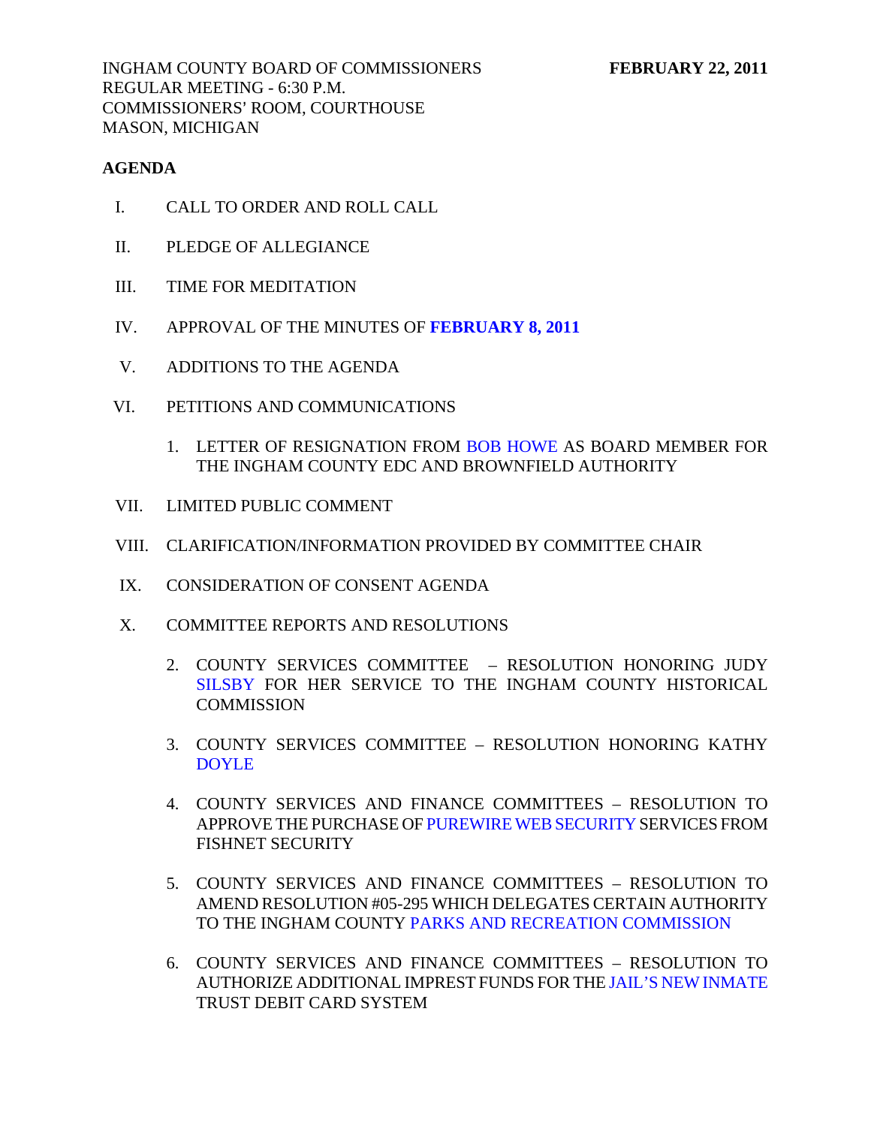## **AGENDA**

- I. CALL TO ORDER AND ROLL CALL
- II. PLEDGE OF ALLEGIANCE
- III. TIME FOR MEDITATION
- IV. APPROVAL OF THE MINUTES OF **[FEBRUARY 8, 2011](#page-3-0)**
- V. ADDITIONS TO THE AGENDA
- VI. PETITIONS AND COMMUNICATIONS
	- 1. LETTER OF RESIGNATION FRO[M BOB HOWE AS](#page-24-0) BOARD MEMBER FOR THE INGHAM COUNTY EDC AND BROWNFIELD AUTHORITY
- VII. LIMITED PUBLIC COMMENT
- VIII. CLARIFICATION/INFORMATION PROVIDED BY COMMITTEE CHAIR
- IX. CONSIDERATION OF CONSENT AGENDA
- X. COMMITTEE REPORTS AND RESOLUTIONS
	- 2. COUNTY SERVICES COMMITTEE RESOLUTION HONORING JUDY [SILSBY FOR HE](#page-25-0)R SERVICE TO THE INGHAM COUNTY HISTORICAL **COMMISSION**
	- 3. COUNTY SERVICES COMMITTEE RESOLUTION HONORING KATHY [DOYLE](#page-26-0)
	- 4. COUNTY SERVICES AND FINANCE COMMITTEES RESOLUTION TO APPROVE THE PURCHASE O[F PUREWIRE WEB SECURITY SERVI](#page-27-0)CES FROM FISHNET SECURITY
	- 5. COUNTY SERVICES AND FINANCE COMMITTEES RESOLUTION TO AMEND RESOLUTION #05-295 WHICH DELEGATES CERTAIN AUTHORITY TO THE INGHAM COUNT[Y PARKS AND RECREATION COMMISSION](#page-28-0)
	- 6. COUNTY SERVICES AND FINANCE COMMITTEES RESOLUTION TO AUTHORIZE ADDITIONAL IMPREST FUNDS FOR T[HE JAIL'S NEW INMATE](#page-30-0)  TRUST DEBIT CARD SYSTEM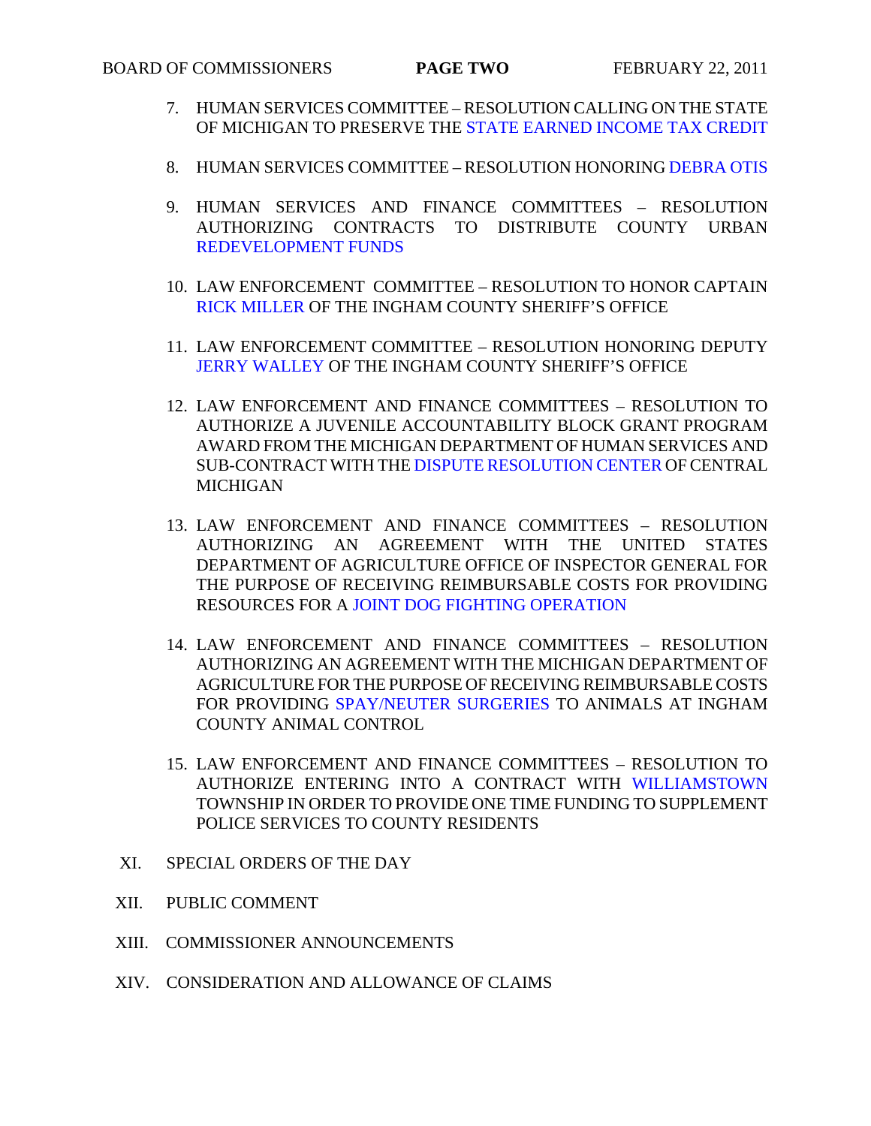- 7. HUMAN SERVICES COMMITTEE [RESOLUTION CALLING ON THE STATE](#page-60-0)  OF MICHIGAN TO PRESERVE THE STATE EARNED INCOME TAX CREDIT
- 8. HUMAN SERVICES COMMITTEE RESOLUTION HONORIN[G DEBRA OTIS](#page-61-0)
- 9. HUMAN SERVICES AND FINANCE COMMITTEES RESOLUTION AUTHORIZING CONTRACTS TO DISTRIBUTE COUNTY URBAN [REDEVELOPMENT FUNDS](#page-62-0)
- 10. LAW ENFORCEMENT COMMITTEE RESOLUTION TO HONOR CAPTAIN [RICK MILLER OF TH](#page-64-0)E INGHAM COUNTY SHERIFF'S OFFICE
- 11. LAW ENFORCEMENT COMMITTEE RESOLUTION HONORING DEPUTY [JERRY WALLEY OF T](#page-66-0)HE INGHAM COUNTY SHERIFF'S OFFICE
- 12. LAW ENFORCEMENT AND FINANCE COMMITTEES RESOLUTION TO AUTHORIZE A JUVENILE ACCOUNTABILITY BLOCK GRANT PROGRAM AWARD FROM THE [MICHIGAN DEPARTMENT OF HUMAN SERVIC](#page-67-0)ES AND SUB-CONTRACT WITH THE DISPUTE RESOLUTION CENTER OF CENTRAL MICHIGAN
- 13. LAW ENFORCEMENT AND FINANCE COMMITTEES RESOLUTION AUTHORIZING AN AGREEMENT WITH THE UNITED STATES DEPARTMENT OF AGRICULTURE OFFICE OF INSPECTOR GENERAL FOR THE PURPOSE OF RECEIVING REIMBURSABLE COSTS FOR PROVIDING RESOURCES FOR [A JOINT DOG FIGHTING OPERATION](#page-69-0)
- 14. LAW ENFORCEMENT AND FINANCE COMMITTEES RESOLUTION AUTHORIZING AN AGREEMENT WITH THE MICHIGAN DEPARTMENT OF AGRICULTURE FOR THE PURPOSE OF RECEIVING REIMBURSABLE COSTS FOR PROVIDIN[G SPAY/NEUTER SURGERIES TO AN](#page-71-0)IMALS AT INGHAM COUNTY ANIMAL CONTROL
- 15. LAW ENFORCEMENT AND FINANCE COMMITTEES RESOLUTION TO AUTHORIZE ENTERING INTO A CONTRACT WIT[H WILLIAMSTOWN](#page-73-0) TOWNSHIP IN ORDER TO PROVIDE ONE TIME FUNDING TO SUPPLEMENT POLICE SERVICES TO COUNTY RESIDENTS
- XI. SPECIAL ORDERS OF THE DAY
- XII. PUBLIC COMMENT
- XIII. COMMISSIONER ANNOUNCEMENTS
- XIV. CONSIDERATION AND ALLOWANCE OF CLAIMS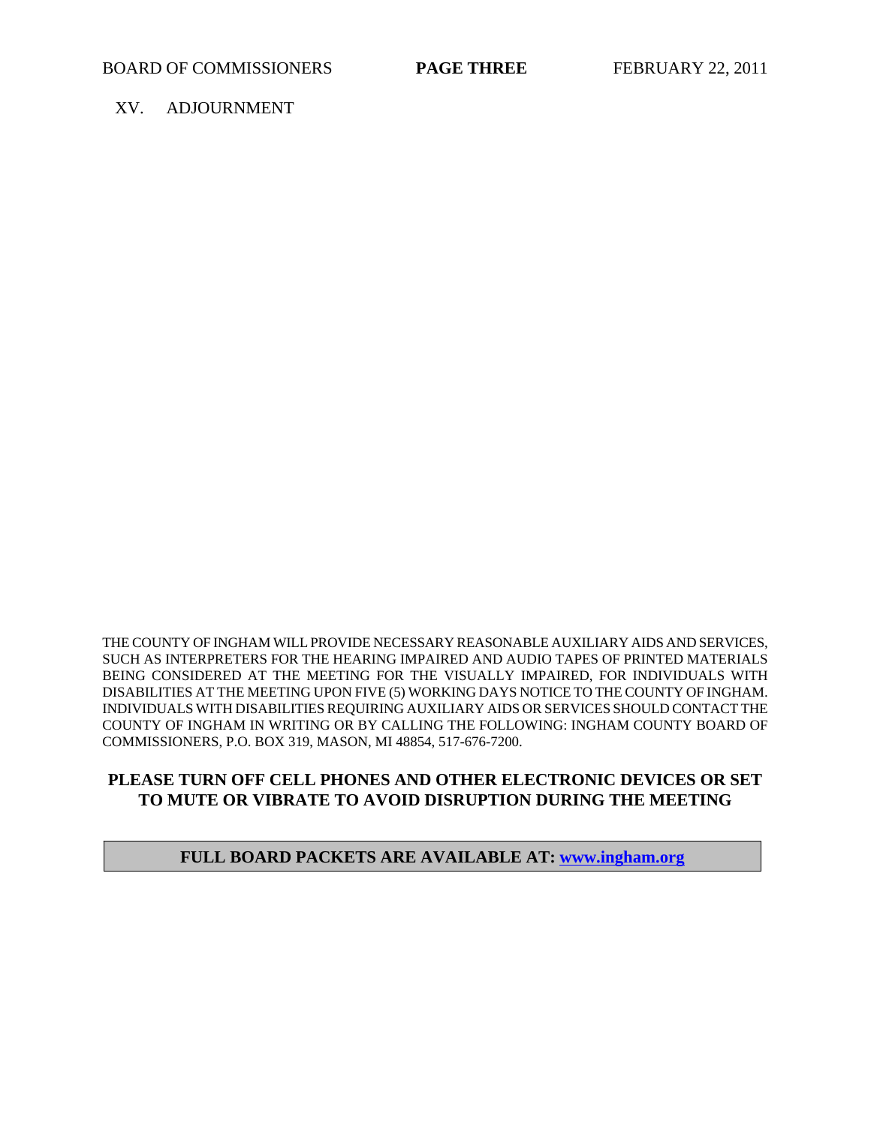XV. ADJOURNMENT

THE COUNTY OF INGHAM WILL PROVIDE NECESSARY REASONABLE AUXILIARY AIDS AND SERVICES, SUCH AS INTERPRETERS FOR THE HEARING IMPAIRED AND AUDIO TAPES OF PRINTED MATERIALS BEING CONSIDERED AT THE MEETING FOR THE VISUALLY IMPAIRED, FOR INDIVIDUALS WITH DISABILITIES AT THE MEETING UPON FIVE (5) WORKING DAYS NOTICE TO THE COUNTY OF INGHAM. INDIVIDUALS WITH DISABILITIES REQUIRING AUXILIARY AIDS OR SERVICES SHOULD CONTACT THE COUNTY OF INGHAM IN WRITING OR BY CALLING THE FOLLOWING: INGHAM COUNTY BOARD OF COMMISSIONERS, P.O. BOX 319, MASON, MI 48854, 517-676-7200.

## **PLEASE TURN OFF CELL PHONES AND OTHER ELECTRONIC DEVICES OR SET TO MUTE OR VIBRATE TO AVOID DISRUPTION DURING THE MEETING**

#### **FULL BOARD PACKETS ARE AVAILABLE AT: www.ingham.org**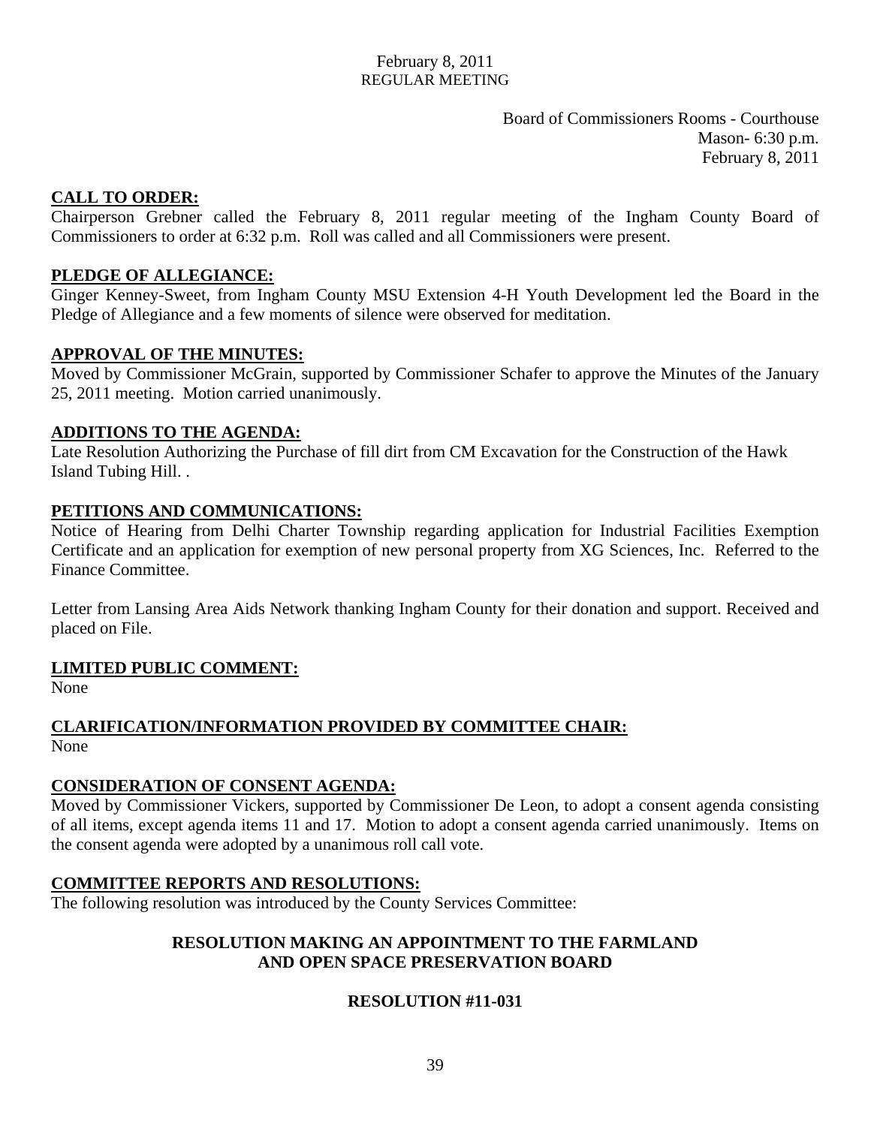Board of Commissioners Rooms - Courthouse Mason- 6:30 p.m. February 8, 2011

## <span id="page-3-0"></span>**CALL TO ORDER:**

Chairperson Grebner called the February 8, 2011 regular meeting of the Ingham County Board of Commissioners to order at 6:32 p.m. Roll was called and all Commissioners were present.

## **PLEDGE OF ALLEGIANCE:**

Ginger Kenney-Sweet, from Ingham County MSU Extension 4-H Youth Development led the Board in the Pledge of Allegiance and a few moments of silence were observed for meditation.

## **APPROVAL OF THE MINUTES:**

Moved by Commissioner McGrain, supported by Commissioner Schafer to approve the Minutes of the January 25, 2011 meeting. Motion carried unanimously.

#### **ADDITIONS TO THE AGENDA:**

Late Resolution Authorizing the Purchase of fill dirt from CM Excavation for the Construction of the Hawk Island Tubing Hill. .

## **PETITIONS AND COMMUNICATIONS:**

Notice of Hearing from Delhi Charter Township regarding application for Industrial Facilities Exemption Certificate and an application for exemption of new personal property from XG Sciences, Inc. Referred to the Finance Committee.

Letter from Lansing Area Aids Network thanking Ingham County for their donation and support. Received and placed on File.

## **LIMITED PUBLIC COMMENT:**

None

## **CLARIFICATION/INFORMATION PROVIDED BY COMMITTEE CHAIR:** None

## **CONSIDERATION OF CONSENT AGENDA:**

Moved by Commissioner Vickers, supported by Commissioner De Leon, to adopt a consent agenda consisting of all items, except agenda items 11 and 17. Motion to adopt a consent agenda carried unanimously. Items on the consent agenda were adopted by a unanimous roll call vote.

## **COMMITTEE REPORTS AND RESOLUTIONS:**

The following resolution was introduced by the County Services Committee:

## **RESOLUTION MAKING AN APPOINTMENT TO THE FARMLAND AND OPEN SPACE PRESERVATION BOARD**

## **RESOLUTION #11-031**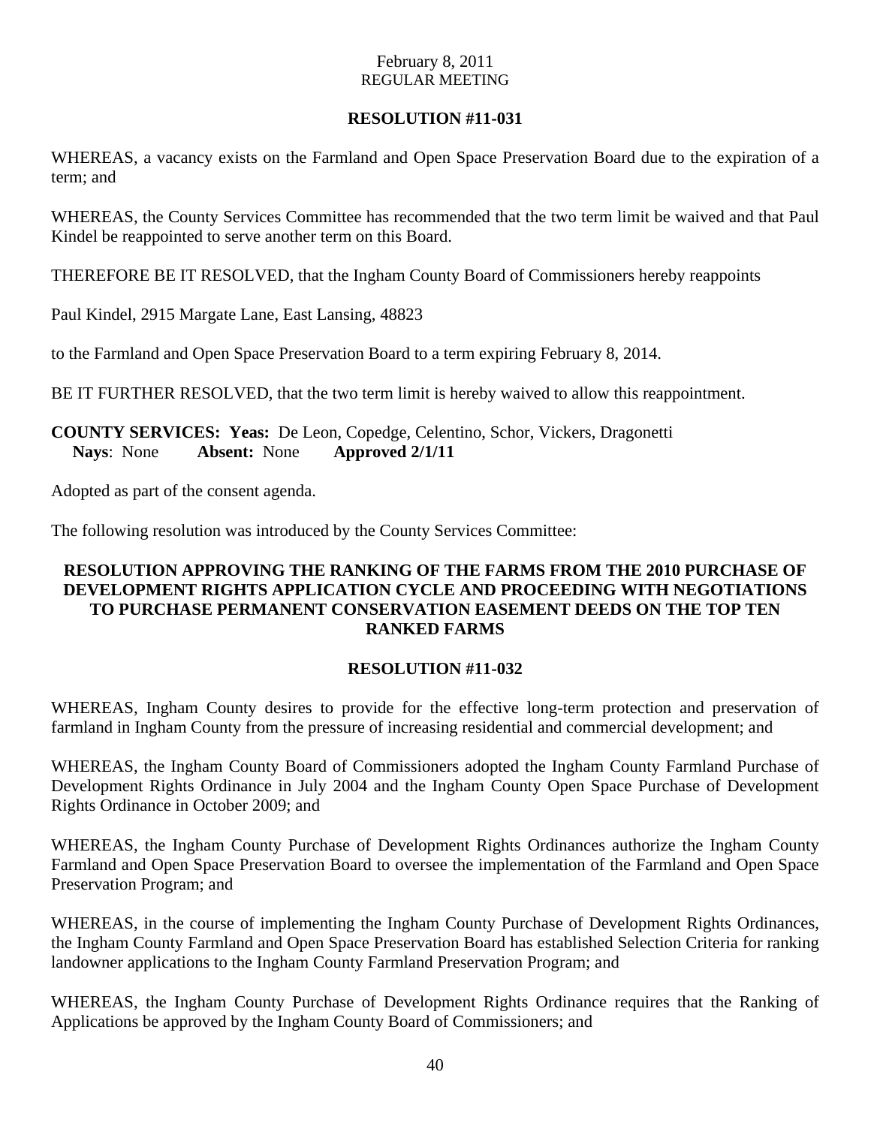## **RESOLUTION #11-031**

WHEREAS, a vacancy exists on the Farmland and Open Space Preservation Board due to the expiration of a term; and

WHEREAS, the County Services Committee has recommended that the two term limit be waived and that Paul Kindel be reappointed to serve another term on this Board.

THEREFORE BE IT RESOLVED, that the Ingham County Board of Commissioners hereby reappoints

Paul Kindel, 2915 Margate Lane, East Lansing, 48823

to the Farmland and Open Space Preservation Board to a term expiring February 8, 2014.

BE IT FURTHER RESOLVED, that the two term limit is hereby waived to allow this reappointment.

## **COUNTY SERVICES: Yeas:** De Leon, Copedge, Celentino, Schor, Vickers, Dragonetti **Nays**: None **Absent:** None **Approved 2/1/11**

Adopted as part of the consent agenda.

The following resolution was introduced by the County Services Committee:

## **RESOLUTION APPROVING THE RANKING OF THE FARMS FROM THE 2010 PURCHASE OF DEVELOPMENT RIGHTS APPLICATION CYCLE AND PROCEEDING WITH NEGOTIATIONS TO PURCHASE PERMANENT CONSERVATION EASEMENT DEEDS ON THE TOP TEN RANKED FARMS**

## **RESOLUTION #11-032**

WHEREAS, Ingham County desires to provide for the effective long-term protection and preservation of farmland in Ingham County from the pressure of increasing residential and commercial development; and

WHEREAS, the Ingham County Board of Commissioners adopted the Ingham County Farmland Purchase of Development Rights Ordinance in July 2004 and the Ingham County Open Space Purchase of Development Rights Ordinance in October 2009; and

WHEREAS, the Ingham County Purchase of Development Rights Ordinances authorize the Ingham County Farmland and Open Space Preservation Board to oversee the implementation of the Farmland and Open Space Preservation Program; and

WHEREAS, in the course of implementing the Ingham County Purchase of Development Rights Ordinances, the Ingham County Farmland and Open Space Preservation Board has established Selection Criteria for ranking landowner applications to the Ingham County Farmland Preservation Program; and

WHEREAS, the Ingham County Purchase of Development Rights Ordinance requires that the Ranking of Applications be approved by the Ingham County Board of Commissioners; and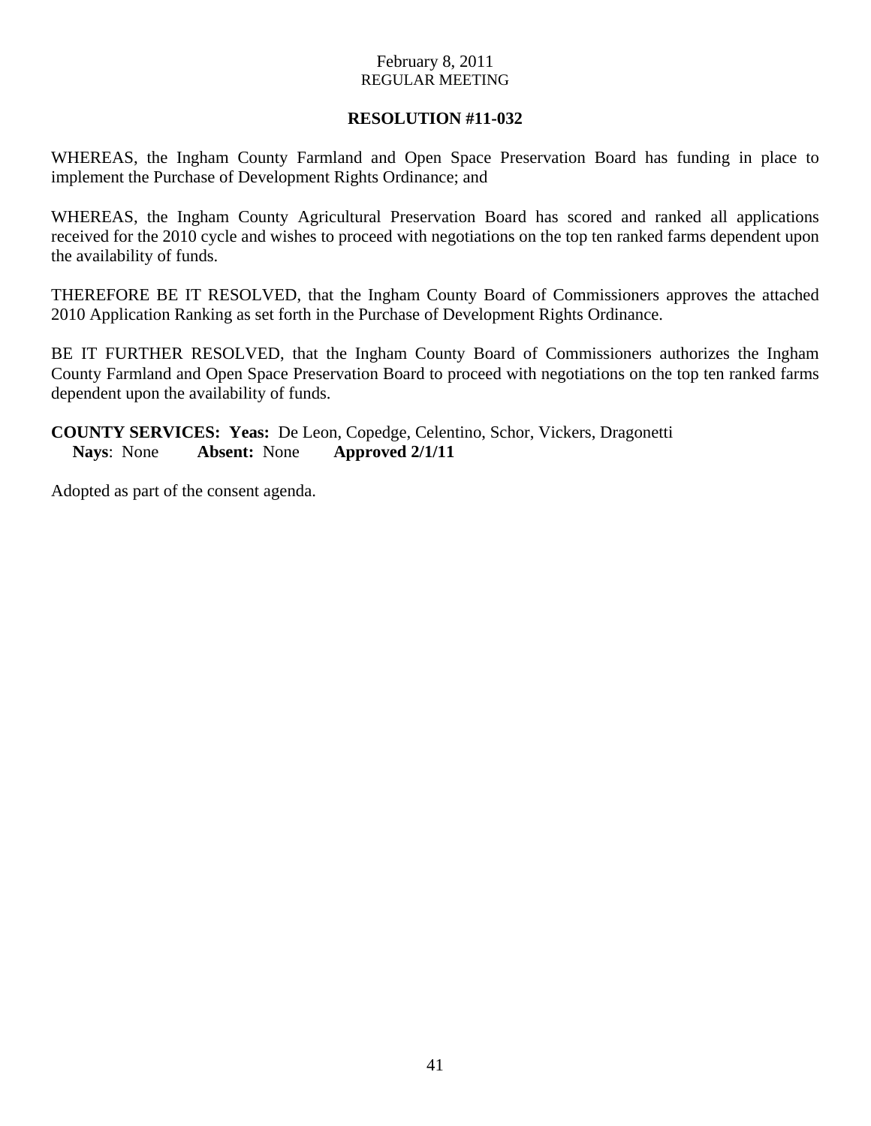## **RESOLUTION #11-032**

WHEREAS, the Ingham County Farmland and Open Space Preservation Board has funding in place to implement the Purchase of Development Rights Ordinance; and

WHEREAS, the Ingham County Agricultural Preservation Board has scored and ranked all applications received for the 2010 cycle and wishes to proceed with negotiations on the top ten ranked farms dependent upon the availability of funds.

THEREFORE BE IT RESOLVED, that the Ingham County Board of Commissioners approves the attached 2010 Application Ranking as set forth in the Purchase of Development Rights Ordinance.

BE IT FURTHER RESOLVED, that the Ingham County Board of Commissioners authorizes the Ingham County Farmland and Open Space Preservation Board to proceed with negotiations on the top ten ranked farms dependent upon the availability of funds.

**COUNTY SERVICES: Yeas:** De Leon, Copedge, Celentino, Schor, Vickers, Dragonetti **Nays**: None **Absent:** None **Approved 2/1/11** 

Adopted as part of the consent agenda.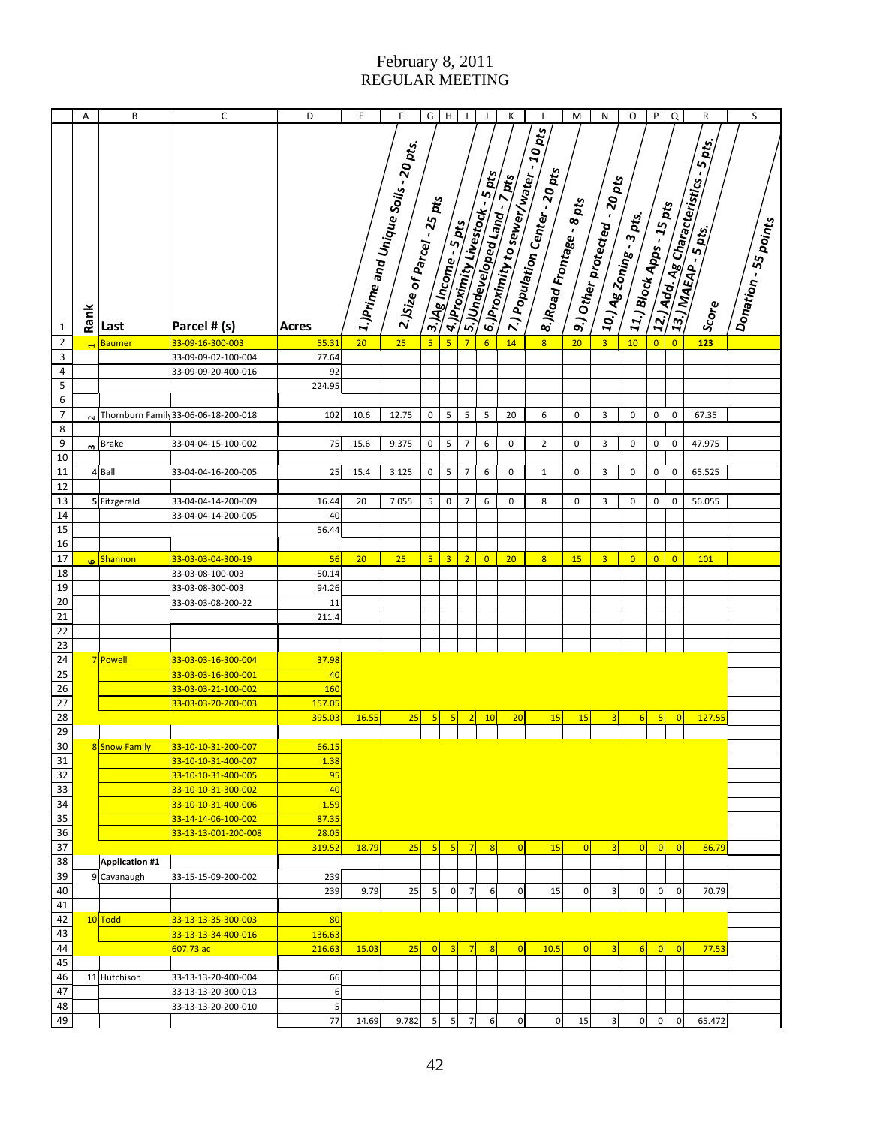|                 | Α    | B                      | $\mathsf C$                                | D          | E     | F                                                                                      | G                | $\overline{H}$          | J.             | J                               | Κ                             | L                                                                                   | M                        | N                                                                    | O                                                                    | ${\sf P}$      | $\overline{a}$ | R                                                    | S                    |
|-----------------|------|------------------------|--------------------------------------------|------------|-------|----------------------------------------------------------------------------------------|------------------|-------------------------|----------------|---------------------------------|-------------------------------|-------------------------------------------------------------------------------------|--------------------------|----------------------------------------------------------------------|----------------------------------------------------------------------|----------------|----------------|------------------------------------------------------|----------------------|
| $\mathbf{1}$    | Rank | Last                   | Parcel # (s)                               | Acres      |       | 3 1.)Prime and Unique Soils - 20 pts.<br>Notes<br>$\epsilon$ -)Size of Parcel - 25 pts |                  | 3. Mg Income - 5 pts    |                | A.I.Provintly Livestock - 5 pts | J.S.JUndeveloped Land . 7 pts | a. Broximity to sewer/water - 10 pts<br><sup>2</sup> 7.) Population Center - 20 pts | 8.)Road Frontage - 8 pts | $-20pt_S$<br>. <mark>1</mark> 9.) Other protect <sub>ed .</sub><br>. | - 11.) Block Apps - 15 pts<br>- <sup>1</sup> 10.) Ag Zoning - 3 pts. |                |                | 2121 Add. Ag Characteristics Spts.<br>$s_{\rm core}$ | Donation - 55 points |
| $\mathbf 2$     |      | <b>Baumer</b>          | 33-09-16-300-003                           | 55.31      | 20    | 25                                                                                     | $5\phantom{a}$   | $\overline{\mathbf{5}}$ | $\overline{7}$ | $6\overline{6}$                 | 14                            | $\overline{\mathbf{8}}$                                                             | 20                       | $\overline{3}$                                                       | 10                                                                   | $\overline{0}$ | $\overline{0}$ | 123                                                  |                      |
| 3               |      |                        | 33-09-09-02-100-004                        | 77.64      |       |                                                                                        |                  |                         |                |                                 |                               |                                                                                     |                          |                                                                      |                                                                      |                |                |                                                      |                      |
| $\sqrt{4}$      |      |                        | 33-09-09-20-400-016                        | 92         |       |                                                                                        |                  |                         |                |                                 |                               |                                                                                     |                          |                                                                      |                                                                      |                |                |                                                      |                      |
| 5               |      |                        |                                            | 224.95     |       |                                                                                        |                  |                         |                |                                 |                               |                                                                                     |                          |                                                                      |                                                                      |                |                |                                                      |                      |
| 6               |      |                        |                                            |            |       |                                                                                        |                  |                         |                |                                 |                               |                                                                                     |                          |                                                                      |                                                                      |                |                |                                                      |                      |
| $\overline{7}$  |      |                        | N Thornburn Family 33-06-06-18-200-018     | 102        | 10.6  | 12.75                                                                                  | 0                | 5                       | 5              | 5                               | 20                            | 6                                                                                   | 0                        | 3                                                                    | 0                                                                    | 0              | $\mathbf 0$    | 67.35                                                |                      |
| 8               |      |                        |                                            |            |       |                                                                                        |                  |                         |                |                                 |                               |                                                                                     |                          |                                                                      |                                                                      |                |                |                                                      |                      |
| 9               |      | $n$ Brake              | 33-04-04-15-100-002                        | 75         | 15.6  | 9.375                                                                                  | $\pmb{0}$        | 5                       | $\overline{7}$ | 6                               | 0                             | $\overline{2}$                                                                      | 0                        | 3                                                                    | 0                                                                    | $\pmb{0}$      | $\pmb{0}$      | 47.975                                               |                      |
| 10              |      |                        |                                            |            |       |                                                                                        |                  |                         |                |                                 |                               |                                                                                     |                          |                                                                      |                                                                      |                |                |                                                      |                      |
| 11              |      | 4 Ball                 | 33-04-04-16-200-005                        | 25         | 15.4  | 3.125                                                                                  | $\pmb{0}$        | 5                       | $\overline{7}$ | 6                               | 0                             | $\mathbf{1}$                                                                        | 0                        | 3                                                                    | $\mathbf 0$                                                          | $\pmb{0}$      | $\mathbf 0$    | 65.525                                               |                      |
| 12              |      |                        |                                            |            |       |                                                                                        |                  |                         |                |                                 |                               |                                                                                     |                          |                                                                      |                                                                      |                |                |                                                      |                      |
| 13              |      | 5 Fitzgerald           | 33-04-04-14-200-009                        | 16.44      | 20    | 7.055                                                                                  | 5                | $\pmb{0}$               | $\overline{7}$ | 6                               | 0                             | 8                                                                                   | 0                        | 3                                                                    | 0                                                                    | $\pmb{0}$      | $\pmb{0}$      | 56.055                                               |                      |
| 14              |      |                        | 33-04-04-14-200-005                        | 40         |       |                                                                                        |                  |                         |                |                                 |                               |                                                                                     |                          |                                                                      |                                                                      |                |                |                                                      |                      |
| 15              |      |                        |                                            | 56.44      |       |                                                                                        |                  |                         |                |                                 |                               |                                                                                     |                          |                                                                      |                                                                      |                |                |                                                      |                      |
| 16              |      |                        |                                            |            |       |                                                                                        |                  |                         |                |                                 |                               |                                                                                     |                          |                                                                      |                                                                      |                |                |                                                      |                      |
| $\overline{17}$ |      | Shannon <mark>ی</mark> | 33-03-03-04-300-19                         | 56         | 20    | 25                                                                                     | $5\overline{5}$  | $\overline{3}$          | $\overline{2}$ | $\overline{0}$                  | 20                            | $\overline{8}$                                                                      | 15                       | $\overline{3}$                                                       | $\overline{0}$                                                       | $\overline{0}$ | $\overline{0}$ | 101                                                  |                      |
| $\overline{18}$ |      |                        | 33-03-08-100-003                           | 50.14      |       |                                                                                        |                  |                         |                |                                 |                               |                                                                                     |                          |                                                                      |                                                                      |                |                |                                                      |                      |
| 19              |      |                        | 33-03-08-300-003                           | 94.26      |       |                                                                                        |                  |                         |                |                                 |                               |                                                                                     |                          |                                                                      |                                                                      |                |                |                                                      |                      |
| 20              |      |                        | 33-03-03-08-200-22                         | 11         |       |                                                                                        |                  |                         |                |                                 |                               |                                                                                     |                          |                                                                      |                                                                      |                |                |                                                      |                      |
| $\overline{21}$ |      |                        |                                            | 211.4      |       |                                                                                        |                  |                         |                |                                 |                               |                                                                                     |                          |                                                                      |                                                                      |                |                |                                                      |                      |
| 22              |      |                        |                                            |            |       |                                                                                        |                  |                         |                |                                 |                               |                                                                                     |                          |                                                                      |                                                                      |                |                |                                                      |                      |
| 23              |      |                        |                                            |            |       |                                                                                        |                  |                         |                |                                 |                               |                                                                                     |                          |                                                                      |                                                                      |                |                |                                                      |                      |
| 24              |      | 7 Powell               | 33-03-03-16-300-004                        | 37.98      |       |                                                                                        |                  |                         |                |                                 |                               |                                                                                     |                          |                                                                      |                                                                      |                |                |                                                      |                      |
| 25              |      |                        | 33-03-03-16-300-001                        | 40         |       |                                                                                        |                  |                         |                |                                 |                               |                                                                                     |                          |                                                                      |                                                                      |                |                |                                                      |                      |
| 26              |      |                        | 33-03-03-21-100-002                        | 160        |       |                                                                                        |                  |                         |                |                                 |                               |                                                                                     |                          |                                                                      |                                                                      |                |                |                                                      |                      |
| $\overline{27}$ |      |                        | 33-03-03-20-200-003                        | 157.05     |       |                                                                                        |                  |                         |                |                                 |                               |                                                                                     |                          |                                                                      |                                                                      |                |                |                                                      |                      |
| 28              |      |                        |                                            | 395.03     | 16.55 | 25                                                                                     | 5                | 5                       | $\overline{2}$ | 10                              | 20                            | 15                                                                                  | 15                       | 3                                                                    | $6 \overline{}$                                                      | 5              | $\overline{0}$ | 127.55                                               |                      |
| 29              |      |                        |                                            |            |       |                                                                                        |                  |                         |                |                                 |                               |                                                                                     |                          |                                                                      |                                                                      |                |                |                                                      |                      |
| 30              |      | 8 Snow Family          | 33-10-10-31-200-007                        | 66.15      |       |                                                                                        |                  |                         |                |                                 |                               |                                                                                     |                          |                                                                      |                                                                      |                |                |                                                      |                      |
| 31<br>32        |      |                        | 33-10-10-31-400-007                        | 1.38<br>95 |       |                                                                                        |                  |                         |                |                                 |                               |                                                                                     |                          |                                                                      |                                                                      |                |                |                                                      |                      |
| $\overline{33}$ |      |                        | 33-10-10-31-400-005<br>33-10-10-31-300-002 | 40         |       |                                                                                        |                  |                         |                |                                 |                               |                                                                                     |                          |                                                                      |                                                                      |                |                |                                                      |                      |
| 34              |      |                        | 33-10-10-31-400-006                        | 1.59       |       |                                                                                        |                  |                         |                |                                 |                               |                                                                                     |                          |                                                                      |                                                                      |                |                |                                                      |                      |
| 35              |      |                        | 33-14-14-06-100-002                        | 87.35      |       |                                                                                        |                  |                         |                |                                 |                               |                                                                                     |                          |                                                                      |                                                                      |                |                |                                                      |                      |
| 36              |      |                        | 33-13-13-001-200-008                       | 28.05      |       |                                                                                        |                  |                         |                |                                 |                               |                                                                                     |                          |                                                                      |                                                                      |                |                |                                                      |                      |
| $\overline{37}$ |      |                        |                                            | 319.52     | 18.79 | 25                                                                                     | 5                | 5                       | $\overline{7}$ | $\overline{8}$                  | $\overline{0}$                | 15                                                                                  | $\overline{0}$           | $\overline{3}$                                                       | $\overline{0}$                                                       | 0              | $\overline{0}$ | 86.79                                                |                      |
| 38              |      | Application #1         |                                            |            |       |                                                                                        |                  |                         |                |                                 |                               |                                                                                     |                          |                                                                      |                                                                      |                |                |                                                      |                      |
| 39              |      | 9 Cavanaugh            | 33-15-15-09-200-002                        | 239        |       |                                                                                        |                  |                         |                |                                 |                               |                                                                                     |                          |                                                                      |                                                                      |                |                |                                                      |                      |
| 40              |      |                        |                                            | 239        | 9.79  | 25                                                                                     | $5 \overline{)}$ | $\mathbf{0}$            | $\overline{7}$ | 6                               | $\overline{0}$                | 15                                                                                  | $\pmb{0}$                | $\overline{\mathbf{3}}$                                              | $\mathbf 0$                                                          | $\overline{0}$ | $\mathbf 0$    | 70.79                                                |                      |
| 41              |      |                        |                                            |            |       |                                                                                        |                  |                         |                |                                 |                               |                                                                                     |                          |                                                                      |                                                                      |                |                |                                                      |                      |
| 42              |      | 10 Todd                | 33-13-13-35-300-003                        | 80         |       |                                                                                        |                  |                         |                |                                 |                               |                                                                                     |                          |                                                                      |                                                                      |                |                |                                                      |                      |
| 43              |      |                        | 33-13-13-34-400-016                        | 136.63     |       |                                                                                        |                  |                         |                |                                 |                               |                                                                                     |                          |                                                                      |                                                                      |                |                |                                                      |                      |
| 44              |      |                        | 607.73 ac                                  | 216.63     | 15.03 | 25                                                                                     | 0                | $\overline{3}$          | $\overline{7}$ | $\overline{\mathbf{8}}$         | $\overline{0}$                | 10.5                                                                                | $\overline{0}$           | $\overline{3}$                                                       | 6                                                                    | 0              | $\overline{0}$ | 77.53                                                |                      |
| 45              |      |                        |                                            |            |       |                                                                                        |                  |                         |                |                                 |                               |                                                                                     |                          |                                                                      |                                                                      |                |                |                                                      |                      |
| 46              |      | 11 Hutchison           | 33-13-13-20-400-004                        | 66         |       |                                                                                        |                  |                         |                |                                 |                               |                                                                                     |                          |                                                                      |                                                                      |                |                |                                                      |                      |
| 47              |      |                        | 33-13-13-20-300-013                        | 6          |       |                                                                                        |                  |                         |                |                                 |                               |                                                                                     |                          |                                                                      |                                                                      |                |                |                                                      |                      |
| 48              |      |                        | 33-13-13-20-200-010                        | 5          |       |                                                                                        |                  |                         |                |                                 |                               |                                                                                     |                          |                                                                      |                                                                      |                |                |                                                      |                      |
| 49              |      |                        |                                            | 77         | 14.69 | 9.782                                                                                  | 5 <sub>l</sub>   | $\sqrt{5}$              | $\overline{7}$ | 6                               | $\pmb{0}$                     | $\overline{0}$                                                                      | 15                       | 3                                                                    | $\overline{0}$                                                       | $\circ$        | $\mathbf 0$    | 65.472                                               |                      |
|                 |      |                        |                                            |            |       |                                                                                        |                  |                         |                |                                 |                               |                                                                                     |                          |                                                                      |                                                                      |                |                |                                                      |                      |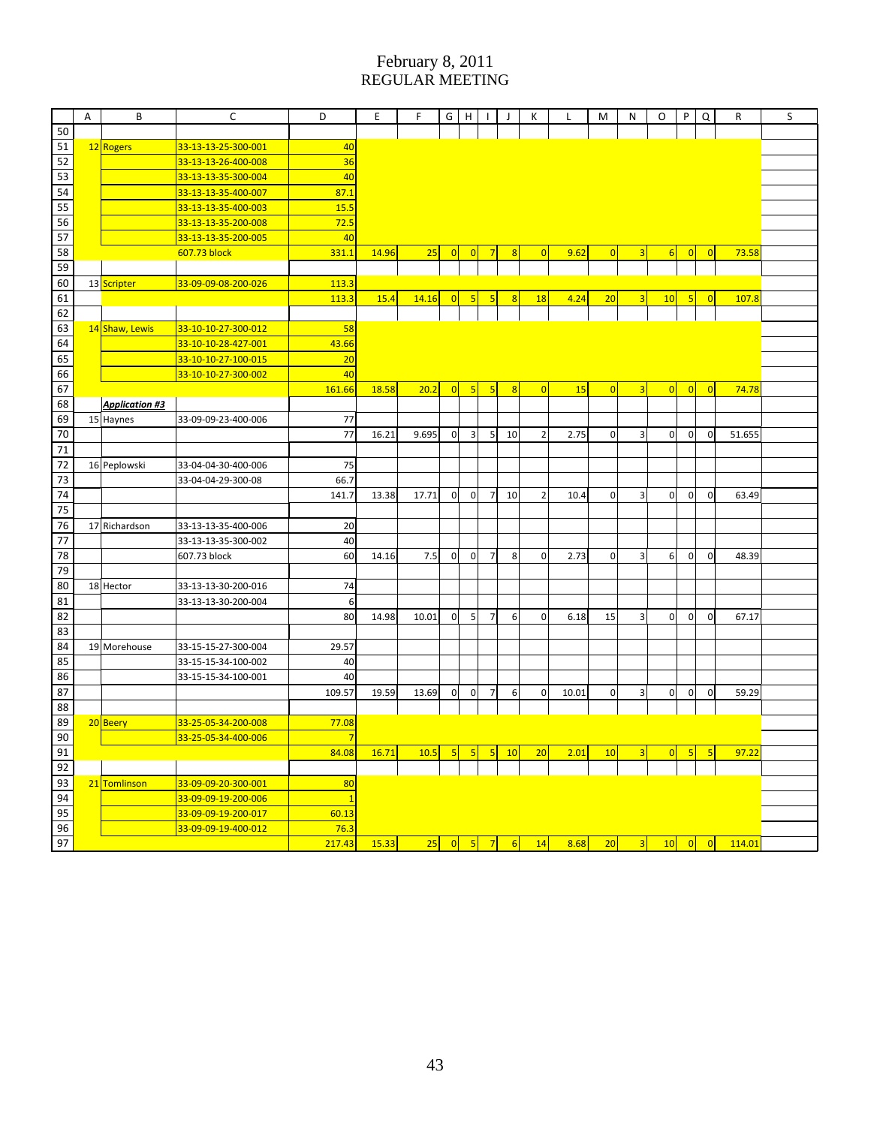|                 | Α | В                     | C                   | D              | Ε     | F.    | G              | н                       |                 | J                | K              | L     | м           | Ν                       | O              | P              | Q              | R      | S |
|-----------------|---|-----------------------|---------------------|----------------|-------|-------|----------------|-------------------------|-----------------|------------------|----------------|-------|-------------|-------------------------|----------------|----------------|----------------|--------|---|
| 50              |   |                       |                     |                |       |       |                |                         |                 |                  |                |       |             |                         |                |                |                |        |   |
| 51              |   | 12 Rogers             | 33-13-13-25-300-001 | 40             |       |       |                |                         |                 |                  |                |       |             |                         |                |                |                |        |   |
| 52              |   |                       | 33-13-13-26-400-008 | 36             |       |       |                |                         |                 |                  |                |       |             |                         |                |                |                |        |   |
| 53              |   |                       | 33-13-13-35-300-004 | 40             |       |       |                |                         |                 |                  |                |       |             |                         |                |                |                |        |   |
| 54              |   |                       | 33-13-13-35-400-007 | 87.1           |       |       |                |                         |                 |                  |                |       |             |                         |                |                |                |        |   |
| 55              |   |                       | 33-13-13-35-400-003 | 15.5           |       |       |                |                         |                 |                  |                |       |             |                         |                |                |                |        |   |
| $\overline{56}$ |   |                       | 33-13-13-35-200-008 | 72.5           |       |       |                |                         |                 |                  |                |       |             |                         |                |                |                |        |   |
| 57              |   |                       | 33-13-13-35-200-005 | 40             |       |       |                |                         |                 |                  |                |       |             |                         |                |                |                |        |   |
| 58              |   |                       | 607.73 block        | 331.1          | 14.96 | 25    | $\overline{0}$ | $\mathbf 0$             | 7               | 8                | $\overline{0}$ | 9.62  | 0           | 3                       | 6              | $\overline{0}$ | $\overline{0}$ | 73.58  |   |
| 59              |   |                       |                     |                |       |       |                |                         |                 |                  |                |       |             |                         |                |                |                |        |   |
| 60              |   | 13 Scripter           | 33-09-09-08-200-026 | 113.3          |       |       |                |                         |                 |                  |                |       |             |                         |                |                |                |        |   |
| 61              |   |                       |                     | 113.3          | 15.4  | 14.16 | 0              | 5                       | 5               | 8                | 18             | 4.24  | 20          | 3                       | 10             | 5              | $\overline{0}$ | 107.8  |   |
| 62              |   |                       |                     |                |       |       |                |                         |                 |                  |                |       |             |                         |                |                |                |        |   |
| 63              |   | 14 Shaw, Lewis        | 33-10-10-27-300-012 | 58             |       |       |                |                         |                 |                  |                |       |             |                         |                |                |                |        |   |
| 64              |   |                       | 33-10-10-28-427-001 | 43.66          |       |       |                |                         |                 |                  |                |       |             |                         |                |                |                |        |   |
| 65              |   |                       | 33-10-10-27-100-015 | 20             |       |       |                |                         |                 |                  |                |       |             |                         |                |                |                |        |   |
| 66              |   |                       | 33-10-10-27-300-002 | 40             |       |       |                |                         |                 |                  |                |       |             |                         |                |                |                |        |   |
| 67              |   |                       |                     | 161.66         | 18.58 | 20.2  | 0              | 5                       | 5               | $\overline{8}$   | 0              | 15    | 0           | 3                       | 0              | $\overline{0}$ | $\overline{0}$ | 74.78  |   |
| 68              |   | <b>Application #3</b> |                     |                |       |       |                |                         |                 |                  |                |       |             |                         |                |                |                |        |   |
| 69              |   | 15 Haynes             | 33-09-09-23-400-006 | 77             |       |       |                |                         |                 |                  |                |       |             |                         |                |                |                |        |   |
| 70              |   |                       |                     | 77             | 16.21 | 9.695 | $\overline{0}$ | 3                       | 5               | 10               | $\overline{2}$ | 2.75  | $\mathbf 0$ | 3                       | $\mathbf 0$    | $\mathbf 0$    | $\mathbf 0$    | 51.655 |   |
| 71              |   |                       |                     |                |       |       |                |                         |                 |                  |                |       |             |                         |                |                |                |        |   |
| 72              |   | 16 Peplowski          | 33-04-04-30-400-006 | 75             |       |       |                |                         |                 |                  |                |       |             |                         |                |                |                |        |   |
| 73              |   |                       | 33-04-04-29-300-08  | 66.7           |       |       |                |                         |                 |                  |                |       |             |                         |                |                |                |        |   |
| 74              |   |                       |                     | 141.7          | 13.38 | 17.71 | $\overline{0}$ | $\overline{0}$          | $\overline{7}$  | 10               | $\overline{2}$ | 10.4  | $\mathbf 0$ | 3                       | $\overline{0}$ | $\mathbf 0$    | $\Omega$       | 63.49  |   |
| 75              |   |                       |                     |                |       |       |                |                         |                 |                  |                |       |             |                         |                |                |                |        |   |
| 76              |   | 17 Richardson         | 33-13-13-35-400-006 | 20             |       |       |                |                         |                 |                  |                |       |             |                         |                |                |                |        |   |
| 77              |   |                       | 33-13-13-35-300-002 | 40             |       |       |                |                         |                 |                  |                |       |             |                         |                |                |                |        |   |
| 78              |   |                       | 607.73 block        | 60             | 14.16 | 7.5   | $\overline{0}$ | $\overline{0}$          | $\overline{7}$  | 8                | $\mathbf{0}$   | 2.73  | 0           | 3                       | 6              | $\mathbf 0$    | $\Omega$       | 48.39  |   |
| 79              |   |                       |                     |                |       |       |                |                         |                 |                  |                |       |             |                         |                |                |                |        |   |
| 80              |   | 18 Hector             | 33-13-13-30-200-016 | 74             |       |       |                |                         |                 |                  |                |       |             |                         |                |                |                |        |   |
| 81              |   |                       | 33-13-13-30-200-004 | 6              |       |       |                |                         |                 |                  |                |       |             |                         |                |                |                |        |   |
| 82              |   |                       |                     | 80             | 14.98 | 10.01 | 0              | $5\overline{)}$         | $\overline{7}$  | $\boldsymbol{6}$ | $\mathbf{0}$   | 6.18  | 15          | $\overline{\mathbf{3}}$ | $\mathbf 0$    | $\mathbf 0$    | $\overline{0}$ | 67.17  |   |
| 83              |   |                       |                     |                |       |       |                |                         |                 |                  |                |       |             |                         |                |                |                |        |   |
| 84              |   | 19 Morehouse          | 33-15-15-27-300-004 | 29.57          |       |       |                |                         |                 |                  |                |       |             |                         |                |                |                |        |   |
| 85              |   |                       | 33-15-15-34-100-002 | 40             |       |       |                |                         |                 |                  |                |       |             |                         |                |                |                |        |   |
| 86              |   |                       | 33-15-15-34-100-001 | 40             |       |       |                |                         |                 |                  |                |       |             |                         |                |                |                |        |   |
| 87              |   |                       |                     | 109.57         | 19.59 | 13.69 | $\overline{0}$ | $\overline{0}$          | $\overline{7}$  | $\sqrt{6}$       | $\mathbf 0$    | 10.01 | $\mathbf 0$ | 3                       | $\mathbf 0$    | $\mathbf 0$    | $\overline{0}$ | 59.29  |   |
| 88              |   |                       |                     |                |       |       |                |                         |                 |                  |                |       |             |                         |                |                |                |        |   |
| 89              |   | 20 Beery              | 33-25-05-34-200-008 | 77.08          |       |       |                |                         |                 |                  |                |       |             |                         |                |                |                |        |   |
| 90              |   |                       | 33-25-05-34-400-006 | 7              |       |       |                |                         |                 |                  |                |       |             |                         |                |                |                |        |   |
| 91              |   |                       |                     | 84.08          | 16.71 | 10.5  | 5              | $\overline{\mathbf{5}}$ | $5\phantom{.0}$ | 10               | 20             | 2.01  | 10          | 3                       | $\overline{0}$ | 5              | -5             | 97.22  |   |
| 92              |   |                       |                     |                |       |       |                |                         |                 |                  |                |       |             |                         |                |                |                |        |   |
| 93              |   | 21 Tomlinson          | 33-09-09-20-300-001 | 80             |       |       |                |                         |                 |                  |                |       |             |                         |                |                |                |        |   |
| 94              |   |                       | 33-09-09-19-200-006 | $\overline{1}$ |       |       |                |                         |                 |                  |                |       |             |                         |                |                |                |        |   |
| 95              |   |                       | 33-09-09-19-200-017 | 60.13          |       |       |                |                         |                 |                  |                |       |             |                         |                |                |                |        |   |
| 96              |   |                       | 33-09-09-19-400-012 | 76.3           |       |       |                |                         |                 |                  |                |       |             |                         |                |                |                |        |   |
| 97              |   |                       |                     | 217.43         | 15.33 | 25    | 0              | $\sqrt{5}$              | $\overline{7}$  | $6 \overline{}$  | 14             | 8.68  | 20          | 3                       | 10             | 0              | 0              | 114.01 |   |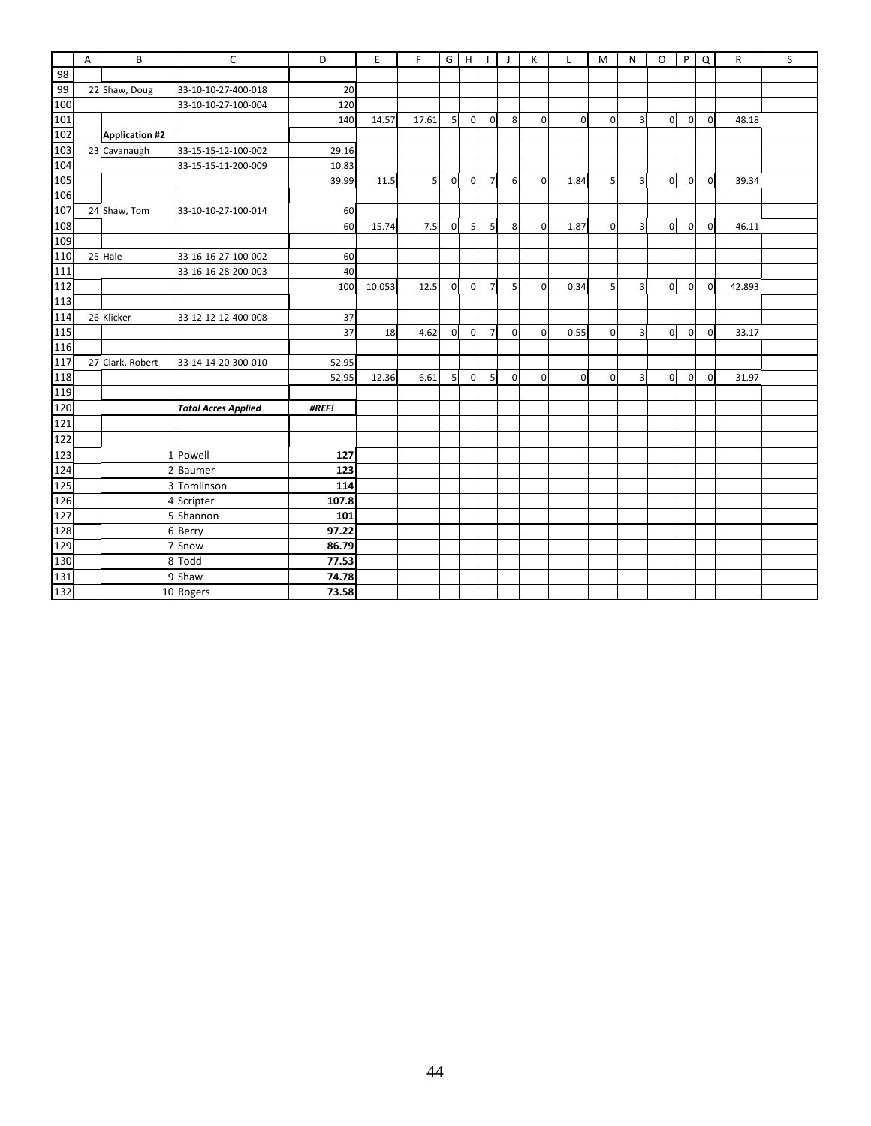|     | А | B                | $\mathsf{C}$               | D     | E      | F.             | G              | H              |                | $\mathsf{I}$ | К           | Г              | M            | N              | O              | P.             | Q              | R      | S |
|-----|---|------------------|----------------------------|-------|--------|----------------|----------------|----------------|----------------|--------------|-------------|----------------|--------------|----------------|----------------|----------------|----------------|--------|---|
| 98  |   |                  |                            |       |        |                |                |                |                |              |             |                |              |                |                |                |                |        |   |
| 99  |   | 22 Shaw, Doug    | 33-10-10-27-400-018        | 20    |        |                |                |                |                |              |             |                |              |                |                |                |                |        |   |
| 100 |   |                  | 33-10-10-27-100-004        | 120   |        |                |                |                |                |              |             |                |              |                |                |                |                |        |   |
| 101 |   |                  |                            | 140   | 14.57  | 17.61          | 5 <sup>1</sup> | $\overline{0}$ | $\mathbf{0}$   | 8            | $\mathbf 0$ | $\overline{0}$ | $\Omega$     | $\overline{3}$ | $\overline{0}$ | $\Omega$       | $\Omega$       | 48.18  |   |
| 102 |   | Application #2   |                            |       |        |                |                |                |                |              |             |                |              |                |                |                |                |        |   |
| 103 |   | 23 Cavanaugh     | 33-15-15-12-100-002        | 29.16 |        |                |                |                |                |              |             |                |              |                |                |                |                |        |   |
| 104 |   |                  | 33-15-15-11-200-009        | 10.83 |        |                |                |                |                |              |             |                |              |                |                |                |                |        |   |
| 105 |   |                  |                            | 39.99 | 11.5   | 5 <sup>1</sup> | $\mathbf{0}$   | $\overline{0}$ | $\overline{7}$ | 6            | $\mathbf 0$ | 1.84           | $\mathsf{S}$ | $\overline{3}$ | $\overline{0}$ | $\overline{0}$ | $\overline{0}$ | 39.34  |   |
| 106 |   |                  |                            |       |        |                |                |                |                |              |             |                |              |                |                |                |                |        |   |
| 107 |   | 24 Shaw, Tom     | 33-10-10-27-100-014        | 60    |        |                |                |                |                |              |             |                |              |                |                |                |                |        |   |
| 108 |   |                  |                            | 60    | 15.74  | 7.5            | $\mathbf{0}$   | 5              | 5              | 8            | $\mathbf 0$ | 1.87           | $\Omega$     | $\overline{3}$ | $\overline{0}$ | $\overline{0}$ | $\overline{0}$ | 46.11  |   |
| 109 |   |                  |                            |       |        |                |                |                |                |              |             |                |              |                |                |                |                |        |   |
| 110 |   | 25 Hale          | 33-16-16-27-100-002        | 60    |        |                |                |                |                |              |             |                |              |                |                |                |                |        |   |
| 111 |   |                  | 33-16-16-28-200-003        | 40    |        |                |                |                |                |              |             |                |              |                |                |                |                |        |   |
| 112 |   |                  |                            | 100   | 10.053 | 12.5           | $\overline{0}$ | $\mathbf 0$    | $\overline{7}$ | 5            | $\mathbf 0$ | 0.34           | 5            | $\overline{3}$ | $\overline{0}$ | $\mathbf{0}$   | $\overline{0}$ | 42.893 |   |
| 113 |   |                  |                            |       |        |                |                |                |                |              |             |                |              |                |                |                |                |        |   |
| 114 |   | 26 Klicker       | 33-12-12-12-400-008        | 37    |        |                |                |                |                |              |             |                |              |                |                |                |                |        |   |
| 115 |   |                  |                            | 37    | 18     | 4.62           | $\mathbf{0}$   | $\overline{0}$ | $\overline{7}$ | $\mathbf 0$  | $\mathbf 0$ | 0.55           | $\Omega$     | $\overline{3}$ | $\overline{0}$ | $\overline{0}$ | $\overline{0}$ | 33.17  |   |
| 116 |   |                  |                            |       |        |                |                |                |                |              |             |                |              |                |                |                |                |        |   |
| 117 |   | 27 Clark, Robert | 33-14-14-20-300-010        | 52.95 |        |                |                |                |                |              |             |                |              |                |                |                |                |        |   |
| 118 |   |                  |                            | 52.95 | 12.36  | 6.61           | 5 <sub>l</sub> | $\overline{0}$ | 5              | $\mathbf{0}$ | $\mathbf 0$ | $\overline{0}$ | $\Omega$     | $\overline{3}$ | $\overline{0}$ | $\overline{0}$ | $\overline{0}$ | 31.97  |   |
| 119 |   |                  |                            |       |        |                |                |                |                |              |             |                |              |                |                |                |                |        |   |
| 120 |   |                  | <b>Total Acres Applied</b> | #REF! |        |                |                |                |                |              |             |                |              |                |                |                |                |        |   |
| 121 |   |                  |                            |       |        |                |                |                |                |              |             |                |              |                |                |                |                |        |   |
| 122 |   |                  |                            |       |        |                |                |                |                |              |             |                |              |                |                |                |                |        |   |
| 123 |   | $\mathbf{1}$     | Powell                     | 127   |        |                |                |                |                |              |             |                |              |                |                |                |                |        |   |
| 124 |   | $\overline{2}$   | <b>Baumer</b>              | 123   |        |                |                |                |                |              |             |                |              |                |                |                |                |        |   |
| 125 |   | 3                | Tomlinson                  | 114   |        |                |                |                |                |              |             |                |              |                |                |                |                |        |   |
| 126 |   |                  | 4 Scripter                 | 107.8 |        |                |                |                |                |              |             |                |              |                |                |                |                |        |   |
| 127 |   |                  | 5 Shannon                  | 101   |        |                |                |                |                |              |             |                |              |                |                |                |                |        |   |
| 128 |   |                  | 6 Berry                    | 97.22 |        |                |                |                |                |              |             |                |              |                |                |                |                |        |   |
| 129 |   |                  | 7 Snow                     | 86.79 |        |                |                |                |                |              |             |                |              |                |                |                |                |        |   |
| 130 |   |                  | 8 Todd                     | 77.53 |        |                |                |                |                |              |             |                |              |                |                |                |                |        |   |
| 131 |   |                  | 9 Shaw                     | 74.78 |        |                |                |                |                |              |             |                |              |                |                |                |                |        |   |
| 132 |   |                  | 10 Rogers                  | 73.58 |        |                |                |                |                |              |             |                |              |                |                |                |                |        |   |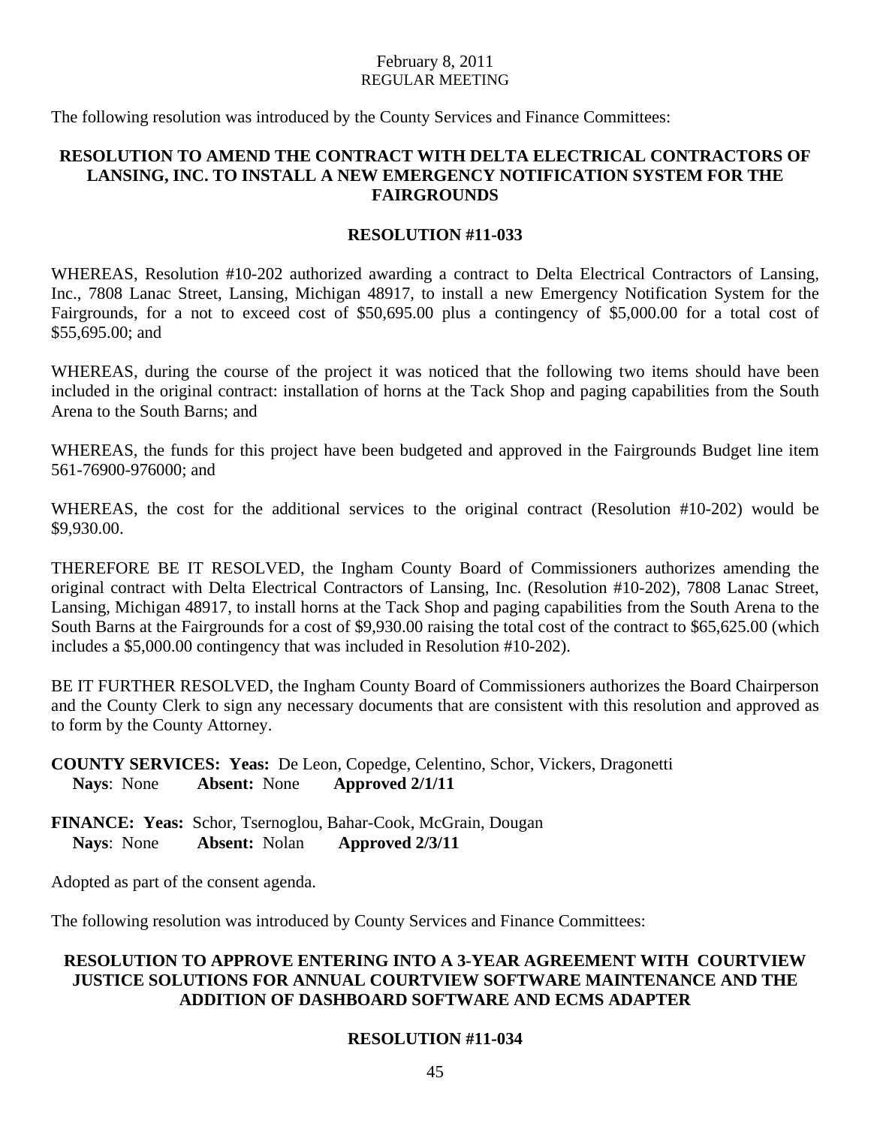The following resolution was introduced by the County Services and Finance Committees:

## **RESOLUTION TO AMEND THE CONTRACT WITH DELTA ELECTRICAL CONTRACTORS OF LANSING, INC. TO INSTALL A NEW EMERGENCY NOTIFICATION SYSTEM FOR THE FAIRGROUNDS**

#### **RESOLUTION #11-033**

WHEREAS, Resolution #10-202 authorized awarding a contract to Delta Electrical Contractors of Lansing, Inc., 7808 Lanac Street, Lansing, Michigan 48917, to install a new Emergency Notification System for the Fairgrounds, for a not to exceed cost of \$50,695.00 plus a contingency of \$5,000.00 for a total cost of \$55,695.00; and

WHEREAS, during the course of the project it was noticed that the following two items should have been included in the original contract: installation of horns at the Tack Shop and paging capabilities from the South Arena to the South Barns; and

WHEREAS, the funds for this project have been budgeted and approved in the Fairgrounds Budget line item 561-76900-976000; and

WHEREAS, the cost for the additional services to the original contract (Resolution #10-202) would be \$9,930.00.

THEREFORE BE IT RESOLVED, the Ingham County Board of Commissioners authorizes amending the original contract with Delta Electrical Contractors of Lansing, Inc. (Resolution #10-202), 7808 Lanac Street, Lansing, Michigan 48917, to install horns at the Tack Shop and paging capabilities from the South Arena to the South Barns at the Fairgrounds for a cost of \$9,930.00 raising the total cost of the contract to \$65,625.00 (which includes a \$5,000.00 contingency that was included in Resolution #10-202).

BE IT FURTHER RESOLVED, the Ingham County Board of Commissioners authorizes the Board Chairperson and the County Clerk to sign any necessary documents that are consistent with this resolution and approved as to form by the County Attorney.

**COUNTY SERVICES: Yeas:** De Leon, Copedge, Celentino, Schor, Vickers, Dragonetti **Nays**: None **Absent:** None **Approved 2/1/11** 

**FINANCE: Yeas:** Schor, Tsernoglou, Bahar-Cook, McGrain, Dougan **Nays**: None **Absent:** Nolan **Approved 2/3/11** 

Adopted as part of the consent agenda.

The following resolution was introduced by County Services and Finance Committees:

## **RESOLUTION TO APPROVE ENTERING INTO A 3-YEAR AGREEMENT WITH COURTVIEW JUSTICE SOLUTIONS FOR ANNUAL COURTVIEW SOFTWARE MAINTENANCE AND THE ADDITION OF DASHBOARD SOFTWARE AND ECMS ADAPTER**

#### **RESOLUTION #11-034**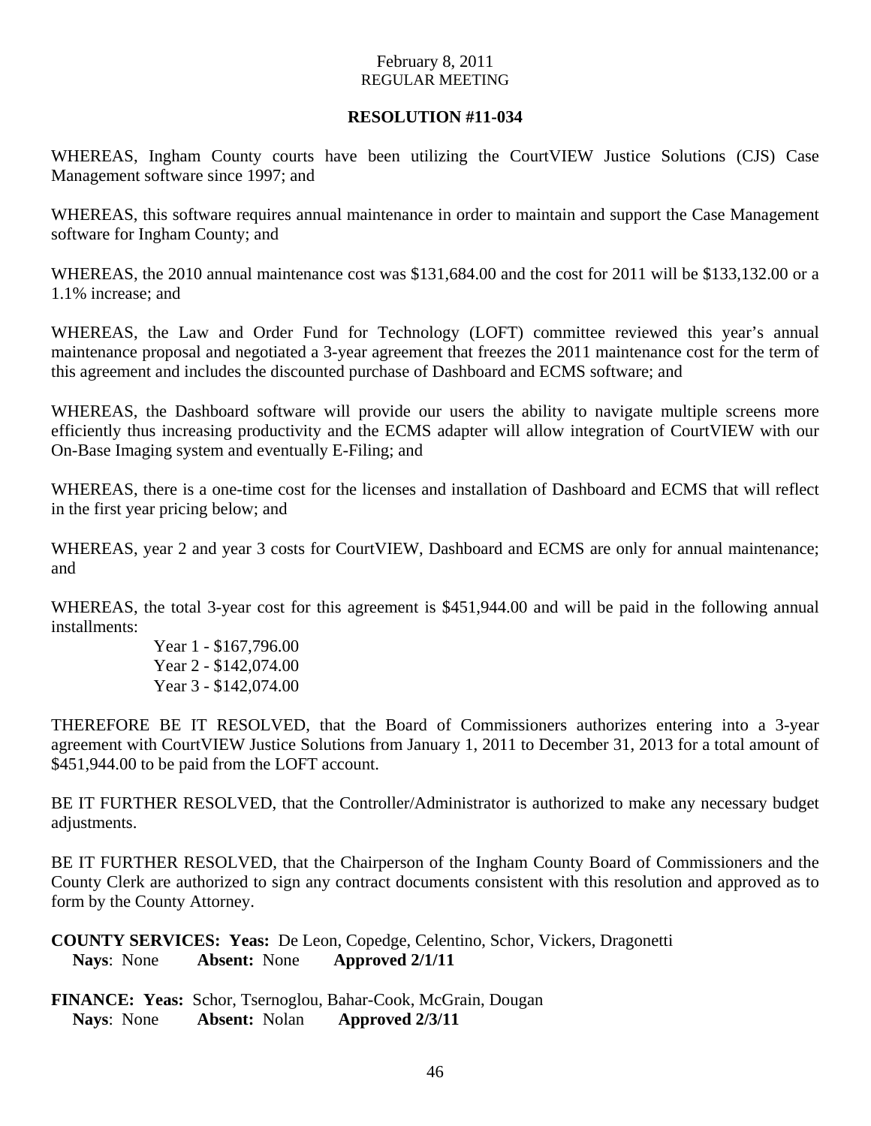## **RESOLUTION #11-034**

WHEREAS, Ingham County courts have been utilizing the CourtVIEW Justice Solutions (CJS) Case Management software since 1997; and

WHEREAS, this software requires annual maintenance in order to maintain and support the Case Management software for Ingham County; and

WHEREAS, the 2010 annual maintenance cost was \$131,684.00 and the cost for 2011 will be \$133,132.00 or a 1.1% increase; and

WHEREAS, the Law and Order Fund for Technology (LOFT) committee reviewed this year's annual maintenance proposal and negotiated a 3-year agreement that freezes the 2011 maintenance cost for the term of this agreement and includes the discounted purchase of Dashboard and ECMS software; and

WHEREAS, the Dashboard software will provide our users the ability to navigate multiple screens more efficiently thus increasing productivity and the ECMS adapter will allow integration of CourtVIEW with our On-Base Imaging system and eventually E-Filing; and

WHEREAS, there is a one-time cost for the licenses and installation of Dashboard and ECMS that will reflect in the first year pricing below; and

WHEREAS, year 2 and year 3 costs for CourtVIEW, Dashboard and ECMS are only for annual maintenance; and

WHEREAS, the total 3-year cost for this agreement is \$451,944.00 and will be paid in the following annual installments:

> Year 1 - \$167,796.00 Year 2 - \$142,074.00 Year 3 - \$142,074.00

THEREFORE BE IT RESOLVED, that the Board of Commissioners authorizes entering into a 3-year agreement with CourtVIEW Justice Solutions from January 1, 2011 to December 31, 2013 for a total amount of \$451,944.00 to be paid from the LOFT account.

BE IT FURTHER RESOLVED, that the Controller/Administrator is authorized to make any necessary budget adjustments.

BE IT FURTHER RESOLVED, that the Chairperson of the Ingham County Board of Commissioners and the County Clerk are authorized to sign any contract documents consistent with this resolution and approved as to form by the County Attorney.

**COUNTY SERVICES: Yeas:** De Leon, Copedge, Celentino, Schor, Vickers, Dragonetti **Nays**: None **Absent:** None **Approved 2/1/11** 

**FINANCE: Yeas:** Schor, Tsernoglou, Bahar-Cook, McGrain, Dougan **Nays**: None **Absent:** Nolan **Approved 2/3/11**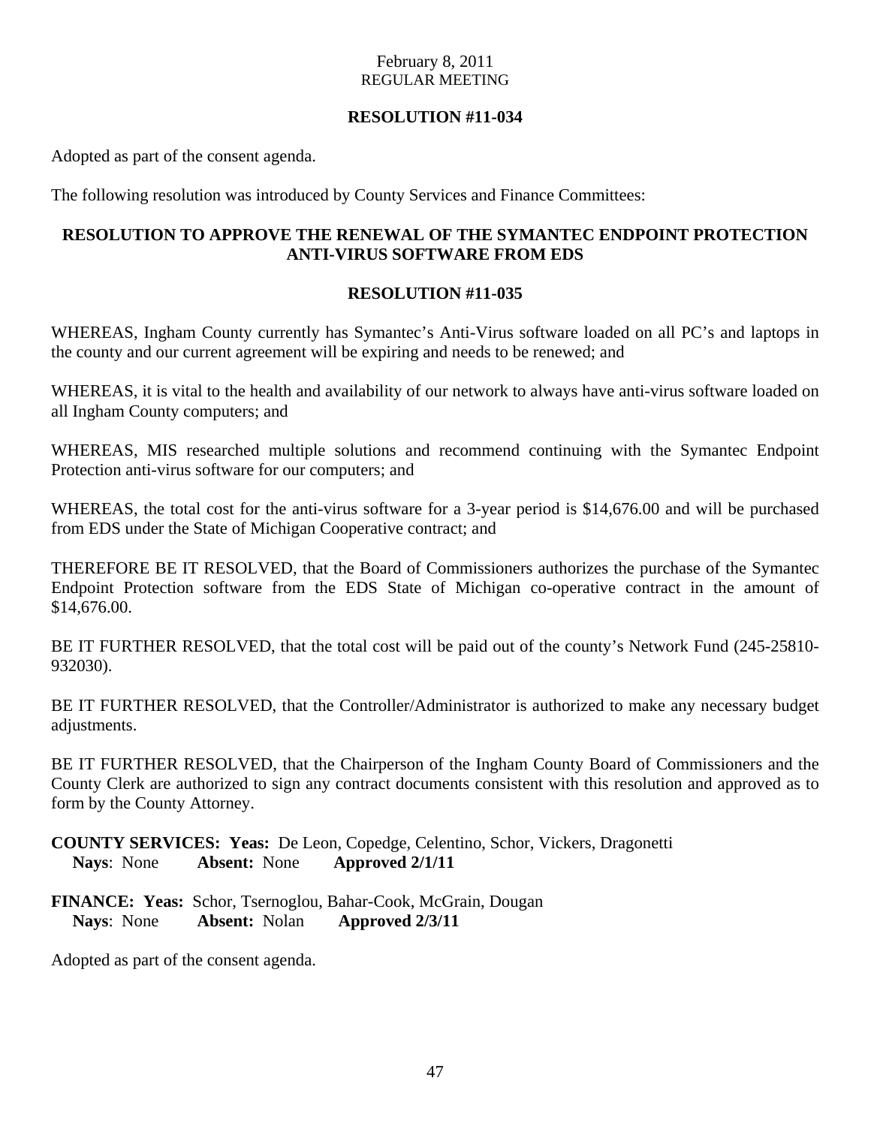## **RESOLUTION #11-034**

Adopted as part of the consent agenda.

The following resolution was introduced by County Services and Finance Committees:

## **RESOLUTION TO APPROVE THE RENEWAL OF THE SYMANTEC ENDPOINT PROTECTION ANTI-VIRUS SOFTWARE FROM EDS**

## **RESOLUTION #11-035**

WHEREAS, Ingham County currently has Symantec's Anti-Virus software loaded on all PC's and laptops in the county and our current agreement will be expiring and needs to be renewed; and

WHEREAS, it is vital to the health and availability of our network to always have anti-virus software loaded on all Ingham County computers; and

WHEREAS, MIS researched multiple solutions and recommend continuing with the Symantec Endpoint Protection anti-virus software for our computers; and

WHEREAS, the total cost for the anti-virus software for a 3-year period is \$14,676.00 and will be purchased from EDS under the State of Michigan Cooperative contract; and

THEREFORE BE IT RESOLVED, that the Board of Commissioners authorizes the purchase of the Symantec Endpoint Protection software from the EDS State of Michigan co-operative contract in the amount of \$14,676.00.

BE IT FURTHER RESOLVED, that the total cost will be paid out of the county's Network Fund (245-25810- 932030).

BE IT FURTHER RESOLVED, that the Controller/Administrator is authorized to make any necessary budget adjustments.

BE IT FURTHER RESOLVED, that the Chairperson of the Ingham County Board of Commissioners and the County Clerk are authorized to sign any contract documents consistent with this resolution and approved as to form by the County Attorney.

**COUNTY SERVICES: Yeas:** De Leon, Copedge, Celentino, Schor, Vickers, Dragonetti **Nays**: None **Absent:** None **Approved 2/1/11** 

**FINANCE: Yeas:** Schor, Tsernoglou, Bahar-Cook, McGrain, Dougan **Nays**: None **Absent:** Nolan **Approved 2/3/11** 

Adopted as part of the consent agenda.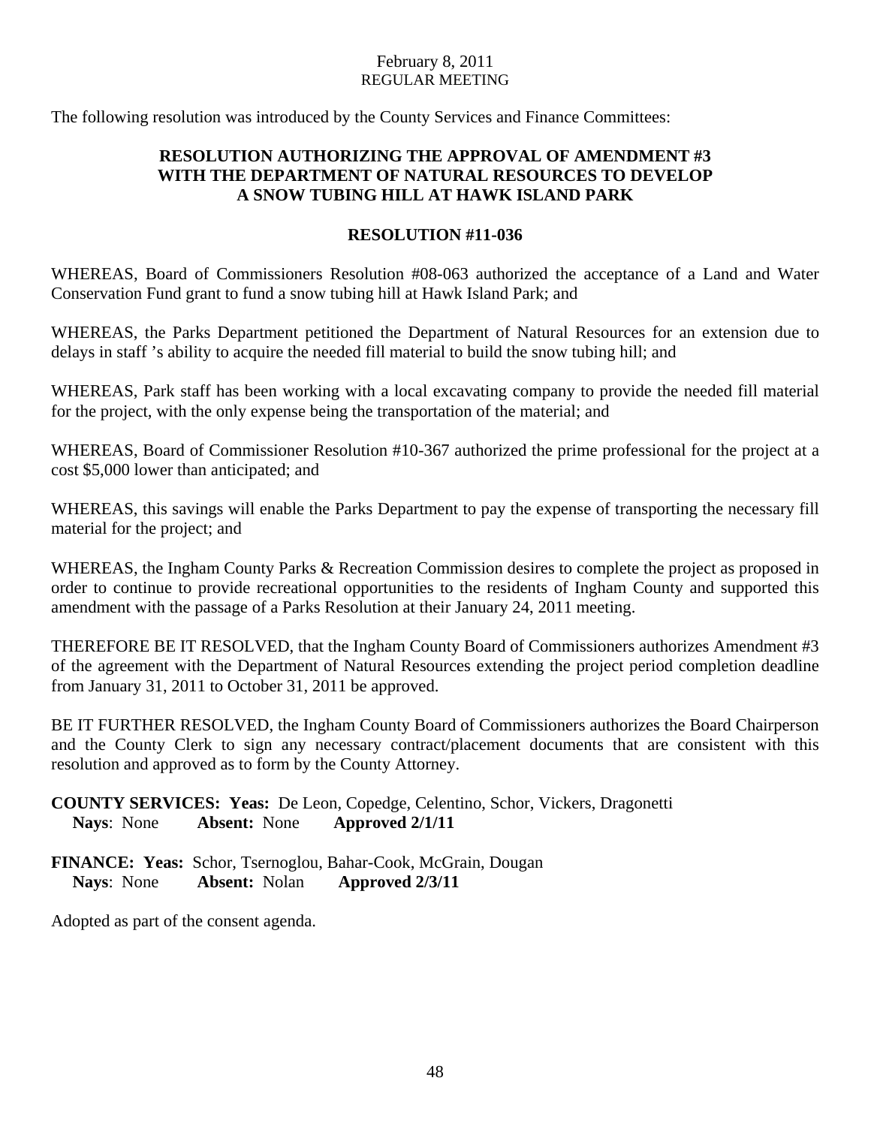The following resolution was introduced by the County Services and Finance Committees:

## **RESOLUTION AUTHORIZING THE APPROVAL OF AMENDMENT #3 WITH THE DEPARTMENT OF NATURAL RESOURCES TO DEVELOP A SNOW TUBING HILL AT HAWK ISLAND PARK**

## **RESOLUTION #11-036**

WHEREAS, Board of Commissioners Resolution #08-063 authorized the acceptance of a Land and Water Conservation Fund grant to fund a snow tubing hill at Hawk Island Park; and

WHEREAS, the Parks Department petitioned the Department of Natural Resources for an extension due to delays in staff 's ability to acquire the needed fill material to build the snow tubing hill; and

WHEREAS, Park staff has been working with a local excavating company to provide the needed fill material for the project, with the only expense being the transportation of the material; and

WHEREAS, Board of Commissioner Resolution #10-367 authorized the prime professional for the project at a cost \$5,000 lower than anticipated; and

WHEREAS, this savings will enable the Parks Department to pay the expense of transporting the necessary fill material for the project; and

WHEREAS, the Ingham County Parks & Recreation Commission desires to complete the project as proposed in order to continue to provide recreational opportunities to the residents of Ingham County and supported this amendment with the passage of a Parks Resolution at their January 24, 2011 meeting.

THEREFORE BE IT RESOLVED, that the Ingham County Board of Commissioners authorizes Amendment #3 of the agreement with the Department of Natural Resources extending the project period completion deadline from January 31, 2011 to October 31, 2011 be approved.

BE IT FURTHER RESOLVED, the Ingham County Board of Commissioners authorizes the Board Chairperson and the County Clerk to sign any necessary contract/placement documents that are consistent with this resolution and approved as to form by the County Attorney.

**COUNTY SERVICES: Yeas:** De Leon, Copedge, Celentino, Schor, Vickers, Dragonetti **Nays**: None **Absent:** None **Approved 2/1/11** 

**FINANCE: Yeas:** Schor, Tsernoglou, Bahar-Cook, McGrain, Dougan **Nays**: None **Absent:** Nolan **Approved 2/3/11** 

Adopted as part of the consent agenda.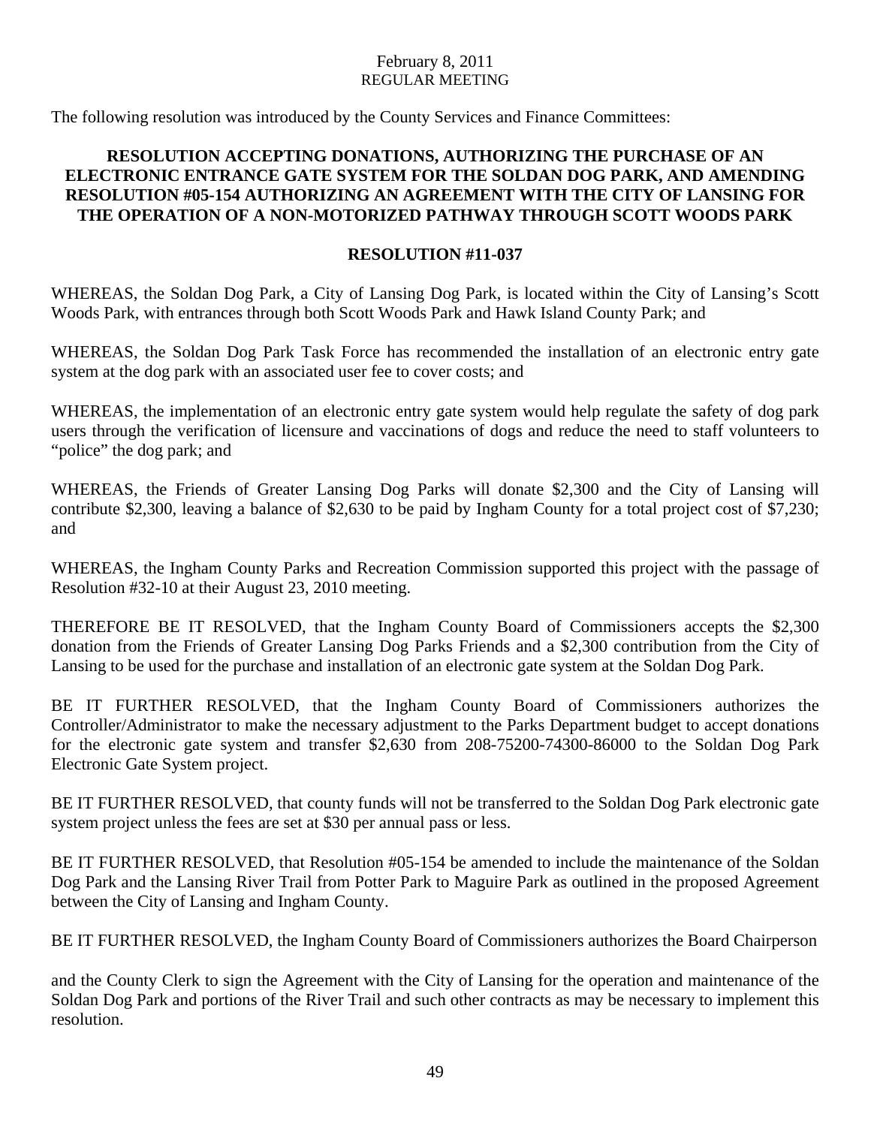The following resolution was introduced by the County Services and Finance Committees:

## **RESOLUTION ACCEPTING DONATIONS, AUTHORIZING THE PURCHASE OF AN ELECTRONIC ENTRANCE GATE SYSTEM FOR THE SOLDAN DOG PARK, AND AMENDING RESOLUTION #05-154 AUTHORIZING AN AGREEMENT WITH THE CITY OF LANSING FOR THE OPERATION OF A NON-MOTORIZED PATHWAY THROUGH SCOTT WOODS PARK**

## **RESOLUTION #11-037**

WHEREAS, the Soldan Dog Park, a City of Lansing Dog Park, is located within the City of Lansing's Scott Woods Park, with entrances through both Scott Woods Park and Hawk Island County Park; and

WHEREAS, the Soldan Dog Park Task Force has recommended the installation of an electronic entry gate system at the dog park with an associated user fee to cover costs; and

WHEREAS, the implementation of an electronic entry gate system would help regulate the safety of dog park users through the verification of licensure and vaccinations of dogs and reduce the need to staff volunteers to "police" the dog park; and

WHEREAS, the Friends of Greater Lansing Dog Parks will donate \$2,300 and the City of Lansing will contribute \$2,300, leaving a balance of \$2,630 to be paid by Ingham County for a total project cost of \$7,230; and

WHEREAS, the Ingham County Parks and Recreation Commission supported this project with the passage of Resolution #32-10 at their August 23, 2010 meeting.

THEREFORE BE IT RESOLVED, that the Ingham County Board of Commissioners accepts the \$2,300 donation from the Friends of Greater Lansing Dog Parks Friends and a \$2,300 contribution from the City of Lansing to be used for the purchase and installation of an electronic gate system at the Soldan Dog Park.

BE IT FURTHER RESOLVED, that the Ingham County Board of Commissioners authorizes the Controller/Administrator to make the necessary adjustment to the Parks Department budget to accept donations for the electronic gate system and transfer \$2,630 from 208-75200-74300-86000 to the Soldan Dog Park Electronic Gate System project.

BE IT FURTHER RESOLVED, that county funds will not be transferred to the Soldan Dog Park electronic gate system project unless the fees are set at \$30 per annual pass or less.

BE IT FURTHER RESOLVED, that Resolution #05-154 be amended to include the maintenance of the Soldan Dog Park and the Lansing River Trail from Potter Park to Maguire Park as outlined in the proposed Agreement between the City of Lansing and Ingham County.

BE IT FURTHER RESOLVED, the Ingham County Board of Commissioners authorizes the Board Chairperson

and the County Clerk to sign the Agreement with the City of Lansing for the operation and maintenance of the Soldan Dog Park and portions of the River Trail and such other contracts as may be necessary to implement this resolution.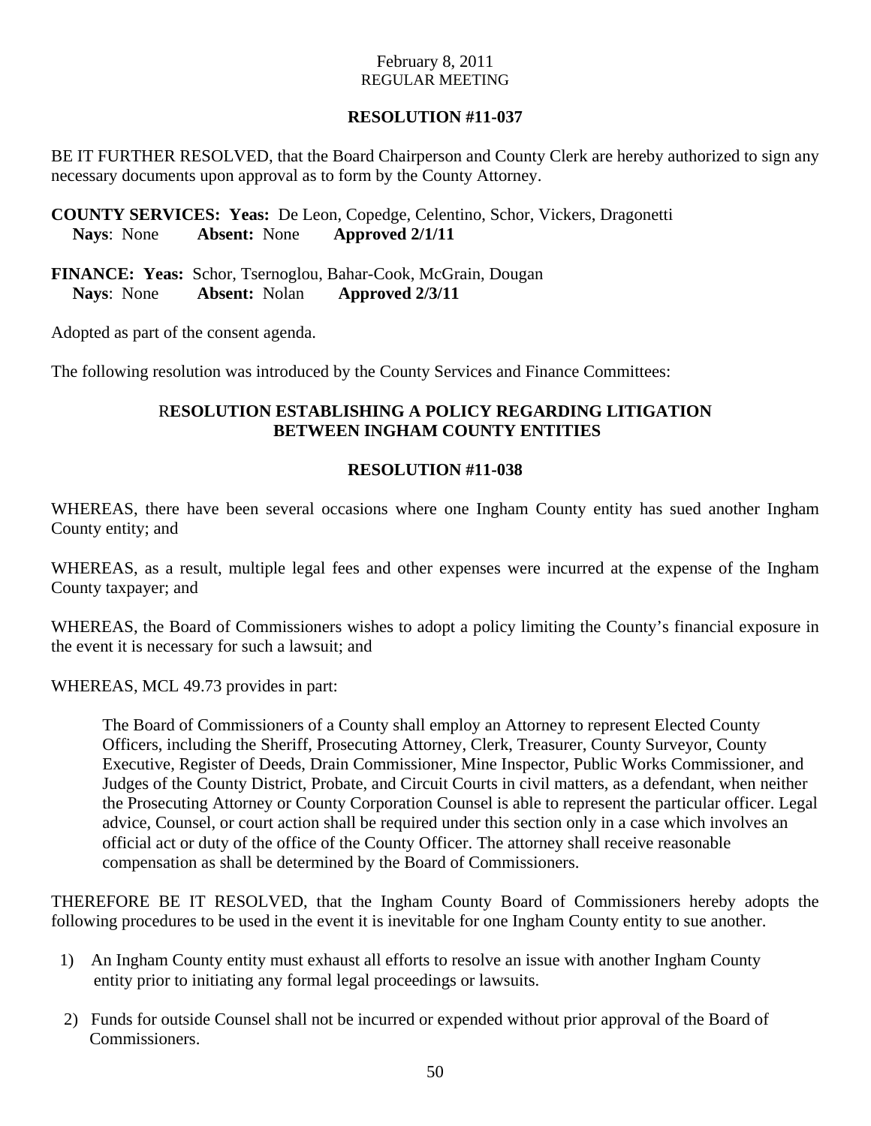## **RESOLUTION #11-037**

BE IT FURTHER RESOLVED, that the Board Chairperson and County Clerk are hereby authorized to sign any necessary documents upon approval as to form by the County Attorney.

**COUNTY SERVICES: Yeas:** De Leon, Copedge, Celentino, Schor, Vickers, Dragonetti **Nays**: None **Absent:** None **Approved 2/1/11** 

**FINANCE: Yeas:** Schor, Tsernoglou, Bahar-Cook, McGrain, Dougan **Nays**: None **Absent:** Nolan **Approved 2/3/11** 

Adopted as part of the consent agenda.

The following resolution was introduced by the County Services and Finance Committees:

## R**ESOLUTION ESTABLISHING A POLICY REGARDING LITIGATION BETWEEN INGHAM COUNTY ENTITIES**

#### **RESOLUTION #11-038**

WHEREAS, there have been several occasions where one Ingham County entity has sued another Ingham County entity; and

WHEREAS, as a result, multiple legal fees and other expenses were incurred at the expense of the Ingham County taxpayer; and

WHEREAS, the Board of Commissioners wishes to adopt a policy limiting the County's financial exposure in the event it is necessary for such a lawsuit; and

WHEREAS, MCL 49.73 provides in part:

The Board of Commissioners of a County shall employ an Attorney to represent Elected County Officers, including the Sheriff, Prosecuting Attorney, Clerk, Treasurer, County Surveyor, County Executive, Register of Deeds, Drain Commissioner, Mine Inspector, Public Works Commissioner, and Judges of the County District, Probate, and Circuit Courts in civil matters, as a defendant, when neither the Prosecuting Attorney or County Corporation Counsel is able to represent the particular officer. Legal advice, Counsel, or court action shall be required under this section only in a case which involves an official act or duty of the office of the County Officer. The attorney shall receive reasonable compensation as shall be determined by the Board of Commissioners.

THEREFORE BE IT RESOLVED, that the Ingham County Board of Commissioners hereby adopts the following procedures to be used in the event it is inevitable for one Ingham County entity to sue another.

- 1) An Ingham County entity must exhaust all efforts to resolve an issue with another Ingham County entity prior to initiating any formal legal proceedings or lawsuits.
- 2) Funds for outside Counsel shall not be incurred or expended without prior approval of the Board of Commissioners.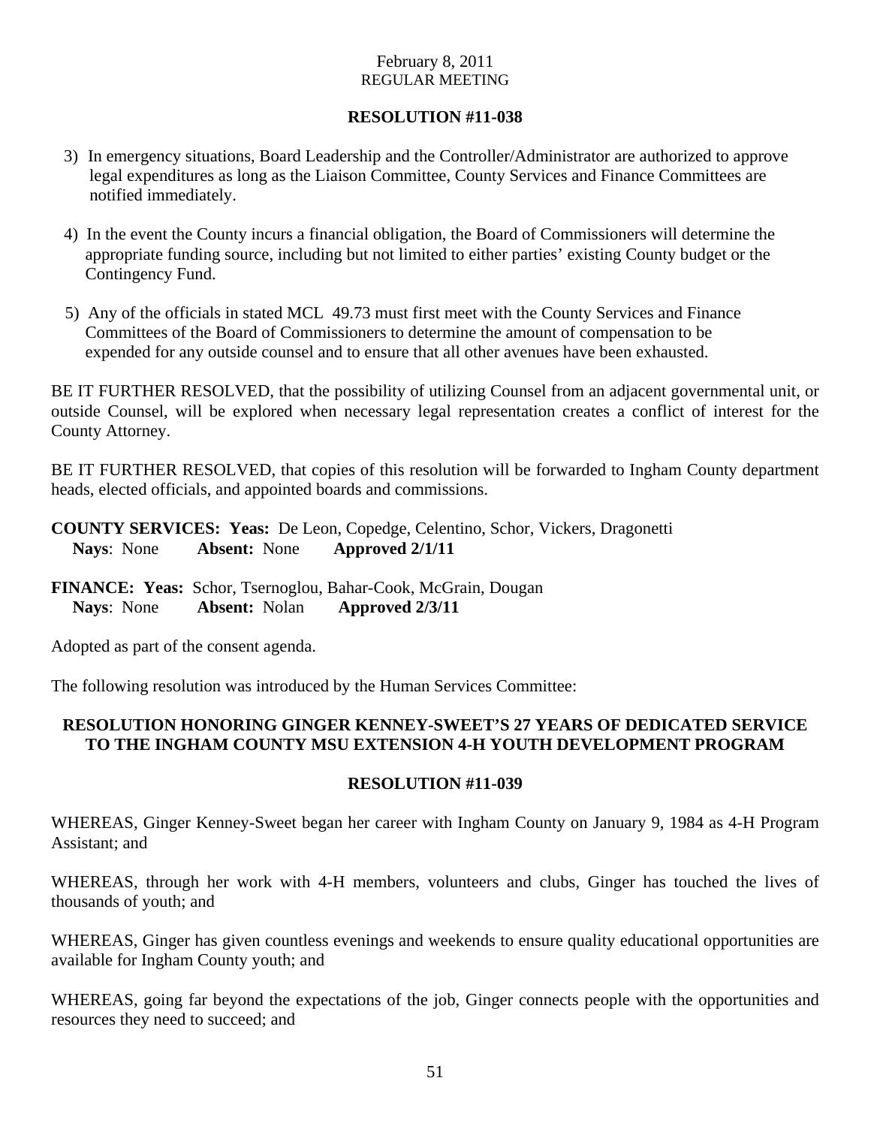## **RESOLUTION #11-038**

- 3) In emergency situations, Board Leadership and the Controller/Administrator are authorized to approve legal expenditures as long as the Liaison Committee, County Services and Finance Committees are notified immediately.
- 4) In the event the County incurs a financial obligation, the Board of Commissioners will determine the appropriate funding source, including but not limited to either parties' existing County budget or the Contingency Fund.
- 5) Any of the officials in stated MCL 49.73 must first meet with the County Services and Finance Committees of the Board of Commissioners to determine the amount of compensation to be expended for any outside counsel and to ensure that all other avenues have been exhausted.

BE IT FURTHER RESOLVED, that the possibility of utilizing Counsel from an adjacent governmental unit, or outside Counsel, will be explored when necessary legal representation creates a conflict of interest for the County Attorney.

BE IT FURTHER RESOLVED, that copies of this resolution will be forwarded to Ingham County department heads, elected officials, and appointed boards and commissions.

**COUNTY SERVICES: Yeas:** De Leon, Copedge, Celentino, Schor, Vickers, Dragonetti **Nays**: None **Absent:** None **Approved 2/1/11** 

**FINANCE: Yeas:** Schor, Tsernoglou, Bahar-Cook, McGrain, Dougan **Nays**: None **Absent:** Nolan **Approved 2/3/11** 

Adopted as part of the consent agenda.

The following resolution was introduced by the Human Services Committee:

## **RESOLUTION HONORING GINGER KENNEY-SWEET'S 27 YEARS OF DEDICATED SERVICE TO THE INGHAM COUNTY MSU EXTENSION 4-H YOUTH DEVELOPMENT PROGRAM**

#### **RESOLUTION #11-039**

WHEREAS, Ginger Kenney-Sweet began her career with Ingham County on January 9, 1984 as 4-H Program Assistant; and

WHEREAS, through her work with 4-H members, volunteers and clubs, Ginger has touched the lives of thousands of youth; and

WHEREAS, Ginger has given countless evenings and weekends to ensure quality educational opportunities are available for Ingham County youth; and

WHEREAS, going far beyond the expectations of the job, Ginger connects people with the opportunities and resources they need to succeed; and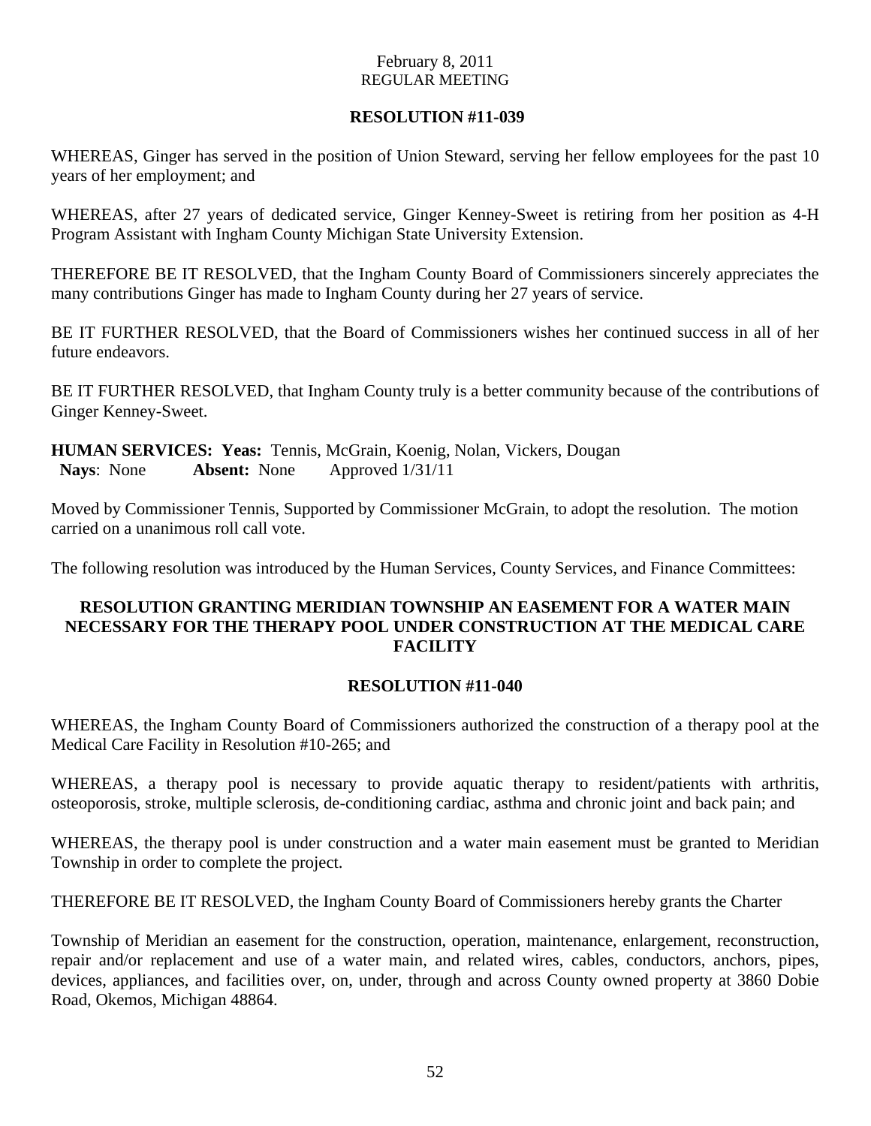## **RESOLUTION #11-039**

WHEREAS, Ginger has served in the position of Union Steward, serving her fellow employees for the past 10 years of her employment; and

WHEREAS, after 27 years of dedicated service, Ginger Kenney-Sweet is retiring from her position as 4-H Program Assistant with Ingham County Michigan State University Extension.

THEREFORE BE IT RESOLVED, that the Ingham County Board of Commissioners sincerely appreciates the many contributions Ginger has made to Ingham County during her 27 years of service.

BE IT FURTHER RESOLVED, that the Board of Commissioners wishes her continued success in all of her future endeavors.

BE IT FURTHER RESOLVED, that Ingham County truly is a better community because of the contributions of Ginger Kenney-Sweet.

**HUMAN SERVICES: Yeas:** Tennis, McGrain, Koenig, Nolan, Vickers, Dougan  **Nays**: None **Absent:** None Approved 1/31/11

Moved by Commissioner Tennis, Supported by Commissioner McGrain, to adopt the resolution. The motion carried on a unanimous roll call vote.

The following resolution was introduced by the Human Services, County Services, and Finance Committees:

## **RESOLUTION GRANTING MERIDIAN TOWNSHIP AN EASEMENT FOR A WATER MAIN NECESSARY FOR THE THERAPY POOL UNDER CONSTRUCTION AT THE MEDICAL CARE FACILITY**

#### **RESOLUTION #11-040**

WHEREAS, the Ingham County Board of Commissioners authorized the construction of a therapy pool at the Medical Care Facility in Resolution #10-265; and

WHEREAS, a therapy pool is necessary to provide aquatic therapy to resident/patients with arthritis, osteoporosis, stroke, multiple sclerosis, de-conditioning cardiac, asthma and chronic joint and back pain; and

WHEREAS, the therapy pool is under construction and a water main easement must be granted to Meridian Township in order to complete the project.

THEREFORE BE IT RESOLVED, the Ingham County Board of Commissioners hereby grants the Charter

Township of Meridian an easement for the construction, operation, maintenance, enlargement, reconstruction, repair and/or replacement and use of a water main, and related wires, cables, conductors, anchors, pipes, devices, appliances, and facilities over, on, under, through and across County owned property at 3860 Dobie Road, Okemos, Michigan 48864.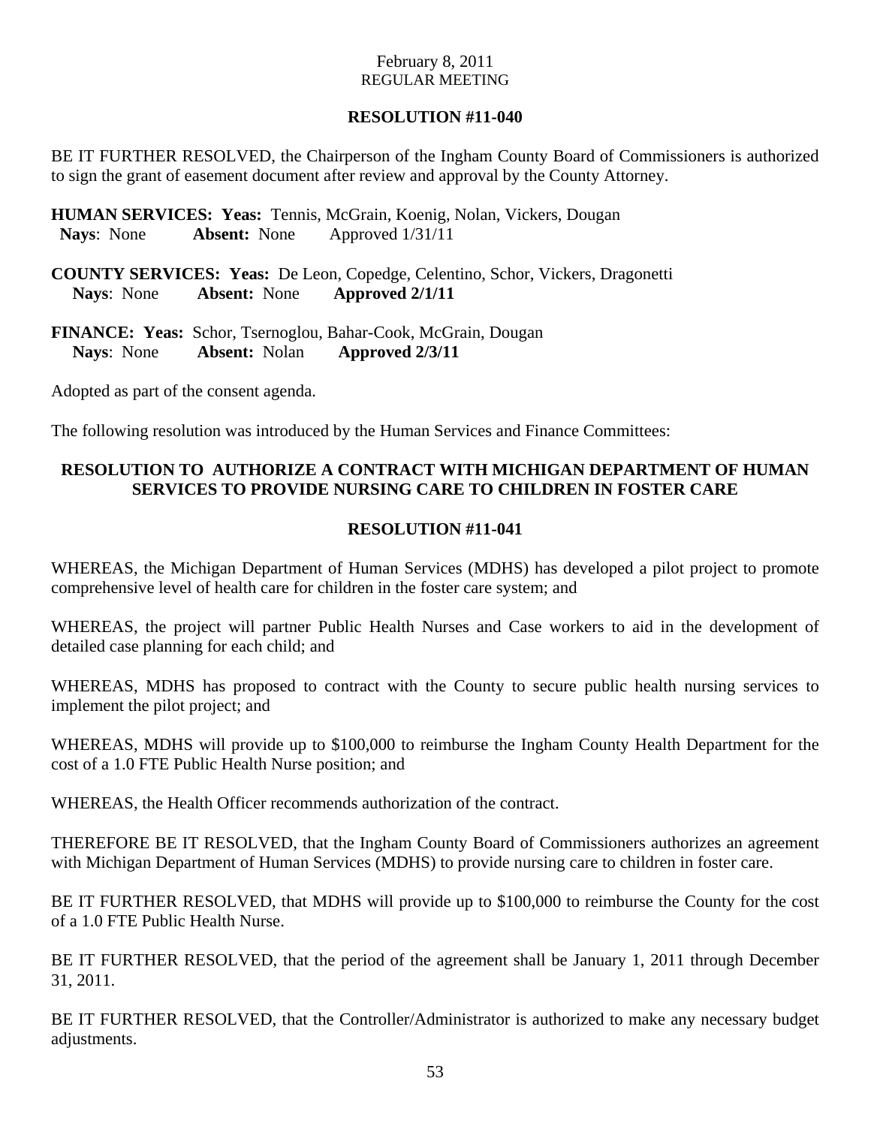## **RESOLUTION #11-040**

BE IT FURTHER RESOLVED, the Chairperson of the Ingham County Board of Commissioners is authorized to sign the grant of easement document after review and approval by the County Attorney.

**HUMAN SERVICES: Yeas:** Tennis, McGrain, Koenig, Nolan, Vickers, Dougan  **Nays**: None **Absent:** None Approved 1/31/11

**COUNTY SERVICES: Yeas:** De Leon, Copedge, Celentino, Schor, Vickers, Dragonetti **Nays**: None **Absent:** None **Approved 2/1/11** 

**FINANCE: Yeas:** Schor, Tsernoglou, Bahar-Cook, McGrain, Dougan **Nays**: None **Absent:** Nolan **Approved 2/3/11** 

Adopted as part of the consent agenda.

The following resolution was introduced by the Human Services and Finance Committees:

## **RESOLUTION TO AUTHORIZE A CONTRACT WITH MICHIGAN DEPARTMENT OF HUMAN SERVICES TO PROVIDE NURSING CARE TO CHILDREN IN FOSTER CARE**

## **RESOLUTION #11-041**

WHEREAS, the Michigan Department of Human Services (MDHS) has developed a pilot project to promote comprehensive level of health care for children in the foster care system; and

WHEREAS, the project will partner Public Health Nurses and Case workers to aid in the development of detailed case planning for each child; and

WHEREAS, MDHS has proposed to contract with the County to secure public health nursing services to implement the pilot project; and

WHEREAS, MDHS will provide up to \$100,000 to reimburse the Ingham County Health Department for the cost of a 1.0 FTE Public Health Nurse position; and

WHEREAS, the Health Officer recommends authorization of the contract.

THEREFORE BE IT RESOLVED, that the Ingham County Board of Commissioners authorizes an agreement with Michigan Department of Human Services (MDHS) to provide nursing care to children in foster care.

BE IT FURTHER RESOLVED, that MDHS will provide up to \$100,000 to reimburse the County for the cost of a 1.0 FTE Public Health Nurse.

BE IT FURTHER RESOLVED, that the period of the agreement shall be January 1, 2011 through December 31, 2011.

BE IT FURTHER RESOLVED, that the Controller/Administrator is authorized to make any necessary budget adjustments.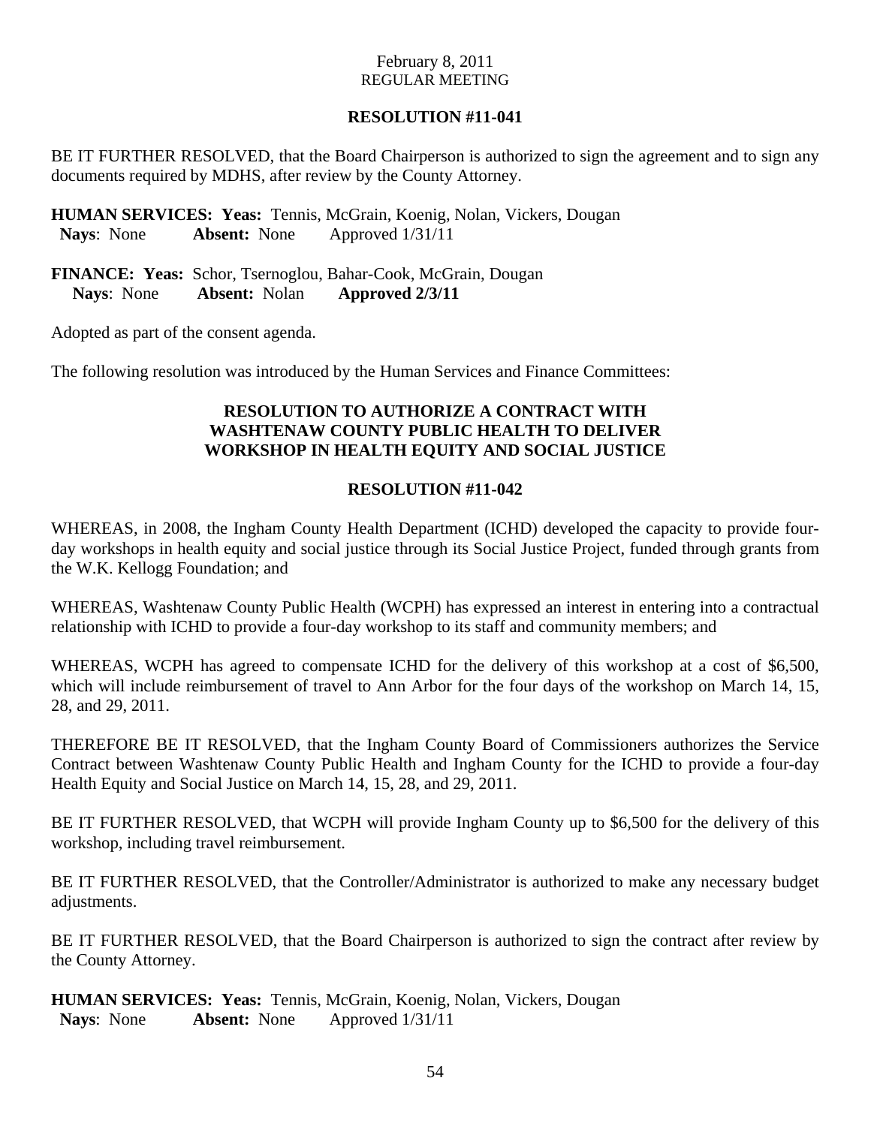## **RESOLUTION #11-041**

BE IT FURTHER RESOLVED, that the Board Chairperson is authorized to sign the agreement and to sign any documents required by MDHS, after review by the County Attorney.

**HUMAN SERVICES: Yeas:** Tennis, McGrain, Koenig, Nolan, Vickers, Dougan  **Nays**: None **Absent:** None Approved 1/31/11

**FINANCE: Yeas:** Schor, Tsernoglou, Bahar-Cook, McGrain, Dougan **Nays**: None **Absent:** Nolan **Approved 2/3/11** 

Adopted as part of the consent agenda.

The following resolution was introduced by the Human Services and Finance Committees:

## **RESOLUTION TO AUTHORIZE A CONTRACT WITH WASHTENAW COUNTY PUBLIC HEALTH TO DELIVER WORKSHOP IN HEALTH EQUITY AND SOCIAL JUSTICE**

## **RESOLUTION #11-042**

WHEREAS, in 2008, the Ingham County Health Department (ICHD) developed the capacity to provide fourday workshops in health equity and social justice through its Social Justice Project, funded through grants from the W.K. Kellogg Foundation; and

WHEREAS, Washtenaw County Public Health (WCPH) has expressed an interest in entering into a contractual relationship with ICHD to provide a four-day workshop to its staff and community members; and

WHEREAS, WCPH has agreed to compensate ICHD for the delivery of this workshop at a cost of \$6,500, which will include reimbursement of travel to Ann Arbor for the four days of the workshop on March 14, 15, 28, and 29, 2011.

THEREFORE BE IT RESOLVED, that the Ingham County Board of Commissioners authorizes the Service Contract between Washtenaw County Public Health and Ingham County for the ICHD to provide a four-day Health Equity and Social Justice on March 14, 15, 28, and 29, 2011.

BE IT FURTHER RESOLVED, that WCPH will provide Ingham County up to \$6,500 for the delivery of this workshop, including travel reimbursement.

BE IT FURTHER RESOLVED, that the Controller/Administrator is authorized to make any necessary budget adjustments.

BE IT FURTHER RESOLVED, that the Board Chairperson is authorized to sign the contract after review by the County Attorney.

**HUMAN SERVICES: Yeas:** Tennis, McGrain, Koenig, Nolan, Vickers, Dougan  **Nays**: None **Absent:** None Approved 1/31/11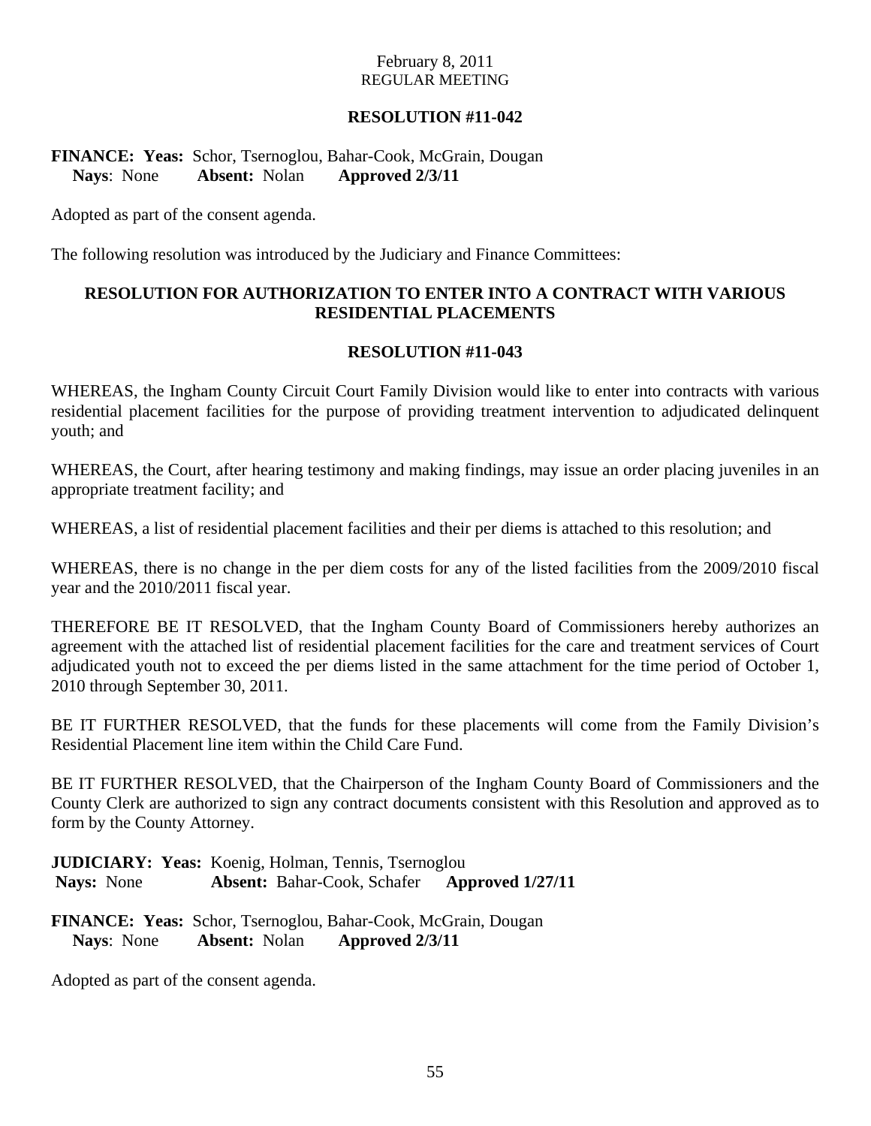## **RESOLUTION #11-042**

## **FINANCE: Yeas:** Schor, Tsernoglou, Bahar-Cook, McGrain, Dougan **Nays**: None **Absent:** Nolan **Approved 2/3/11**

Adopted as part of the consent agenda.

The following resolution was introduced by the Judiciary and Finance Committees:

## **RESOLUTION FOR AUTHORIZATION TO ENTER INTO A CONTRACT WITH VARIOUS RESIDENTIAL PLACEMENTS**

#### **RESOLUTION #11-043**

WHEREAS, the Ingham County Circuit Court Family Division would like to enter into contracts with various residential placement facilities for the purpose of providing treatment intervention to adjudicated delinquent youth; and

WHEREAS, the Court, after hearing testimony and making findings, may issue an order placing juveniles in an appropriate treatment facility; and

WHEREAS, a list of residential placement facilities and their per diems is attached to this resolution; and

WHEREAS, there is no change in the per diem costs for any of the listed facilities from the 2009/2010 fiscal year and the 2010/2011 fiscal year.

THEREFORE BE IT RESOLVED, that the Ingham County Board of Commissioners hereby authorizes an agreement with the attached list of residential placement facilities for the care and treatment services of Court adjudicated youth not to exceed the per diems listed in the same attachment for the time period of October 1, 2010 through September 30, 2011.

BE IT FURTHER RESOLVED, that the funds for these placements will come from the Family Division's Residential Placement line item within the Child Care Fund.

BE IT FURTHER RESOLVED, that the Chairperson of the Ingham County Board of Commissioners and the County Clerk are authorized to sign any contract documents consistent with this Resolution and approved as to form by the County Attorney.

**JUDICIARY: Yeas:** Koenig, Holman, Tennis, Tsernoglou  **Nays:** None **Absent:** Bahar-Cook, Schafer **Approved 1/27/11** 

**FINANCE: Yeas:** Schor, Tsernoglou, Bahar-Cook, McGrain, Dougan **Nays**: None **Absent:** Nolan **Approved 2/3/11** 

Adopted as part of the consent agenda.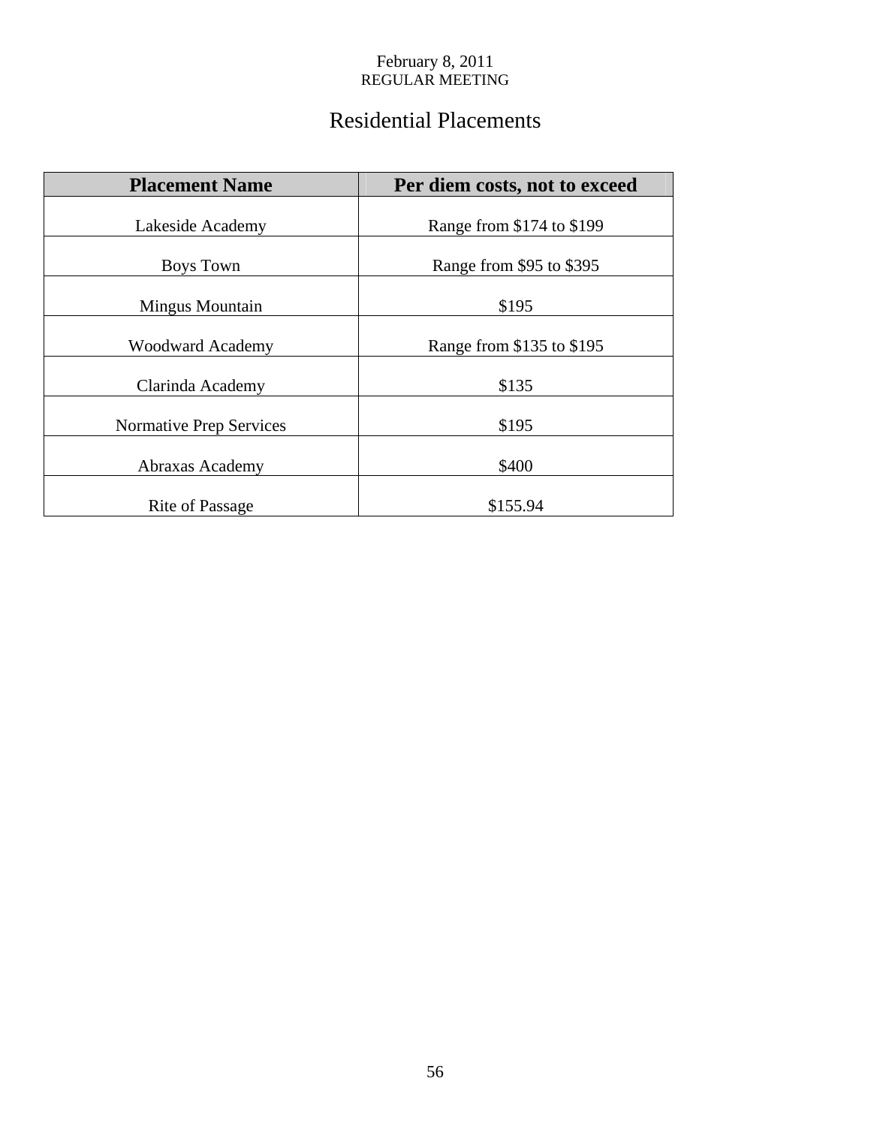# Residential Placements

| <b>Placement Name</b>   | Per diem costs, not to exceed |
|-------------------------|-------------------------------|
| Lakeside Academy        | Range from \$174 to \$199     |
| Boys Town               | Range from \$95 to \$395      |
| Mingus Mountain         | \$195                         |
| <b>Woodward Academy</b> | Range from \$135 to \$195     |
| Clarinda Academy        | \$135                         |
| Normative Prep Services | \$195                         |
| Abraxas Academy         | \$400                         |
| <b>Rite of Passage</b>  | \$155.94                      |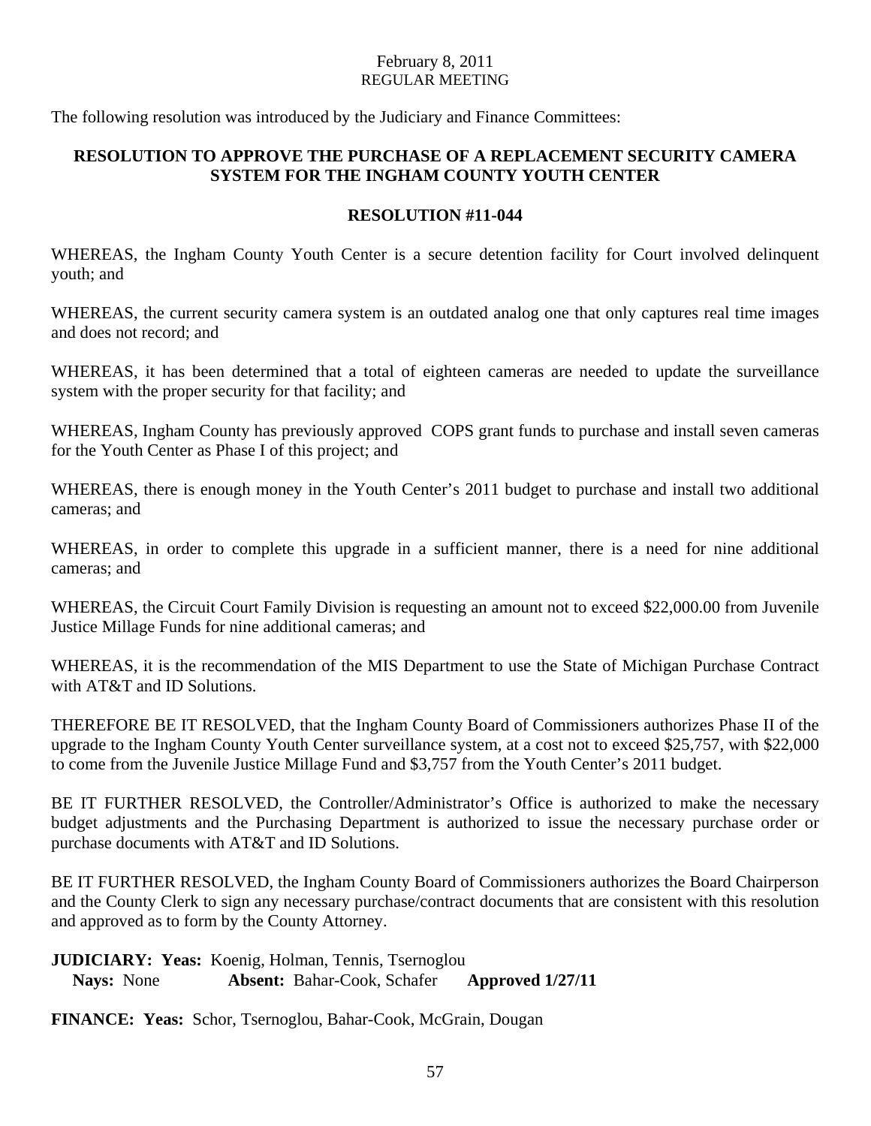The following resolution was introduced by the Judiciary and Finance Committees:

# **RESOLUTION TO APPROVE THE PURCHASE OF A REPLACEMENT SECURITY CAMERA SYSTEM FOR THE INGHAM COUNTY YOUTH CENTER**

## **RESOLUTION #11-044**

WHEREAS, the Ingham County Youth Center is a secure detention facility for Court involved delinquent youth; and

WHEREAS, the current security camera system is an outdated analog one that only captures real time images and does not record; and

WHEREAS, it has been determined that a total of eighteen cameras are needed to update the surveillance system with the proper security for that facility; and

WHEREAS, Ingham County has previously approved COPS grant funds to purchase and install seven cameras for the Youth Center as Phase I of this project; and

WHEREAS, there is enough money in the Youth Center's 2011 budget to purchase and install two additional cameras; and

WHEREAS, in order to complete this upgrade in a sufficient manner, there is a need for nine additional cameras; and

WHEREAS, the Circuit Court Family Division is requesting an amount not to exceed \$22,000.00 from Juvenile Justice Millage Funds for nine additional cameras; and

WHEREAS, it is the recommendation of the MIS Department to use the State of Michigan Purchase Contract with AT&T and ID Solutions.

THEREFORE BE IT RESOLVED, that the Ingham County Board of Commissioners authorizes Phase II of the upgrade to the Ingham County Youth Center surveillance system, at a cost not to exceed \$25,757, with \$22,000 to come from the Juvenile Justice Millage Fund and \$3,757 from the Youth Center's 2011 budget.

BE IT FURTHER RESOLVED, the Controller/Administrator's Office is authorized to make the necessary budget adjustments and the Purchasing Department is authorized to issue the necessary purchase order or purchase documents with AT&T and ID Solutions.

BE IT FURTHER RESOLVED, the Ingham County Board of Commissioners authorizes the Board Chairperson and the County Clerk to sign any necessary purchase/contract documents that are consistent with this resolution and approved as to form by the County Attorney.

**JUDICIARY: Yeas:** Koenig, Holman, Tennis, Tsernoglou **Nays:** None **Absent:** Bahar-Cook, Schafer **Approved 1/27/11** 

**FINANCE: Yeas:** Schor, Tsernoglou, Bahar-Cook, McGrain, Dougan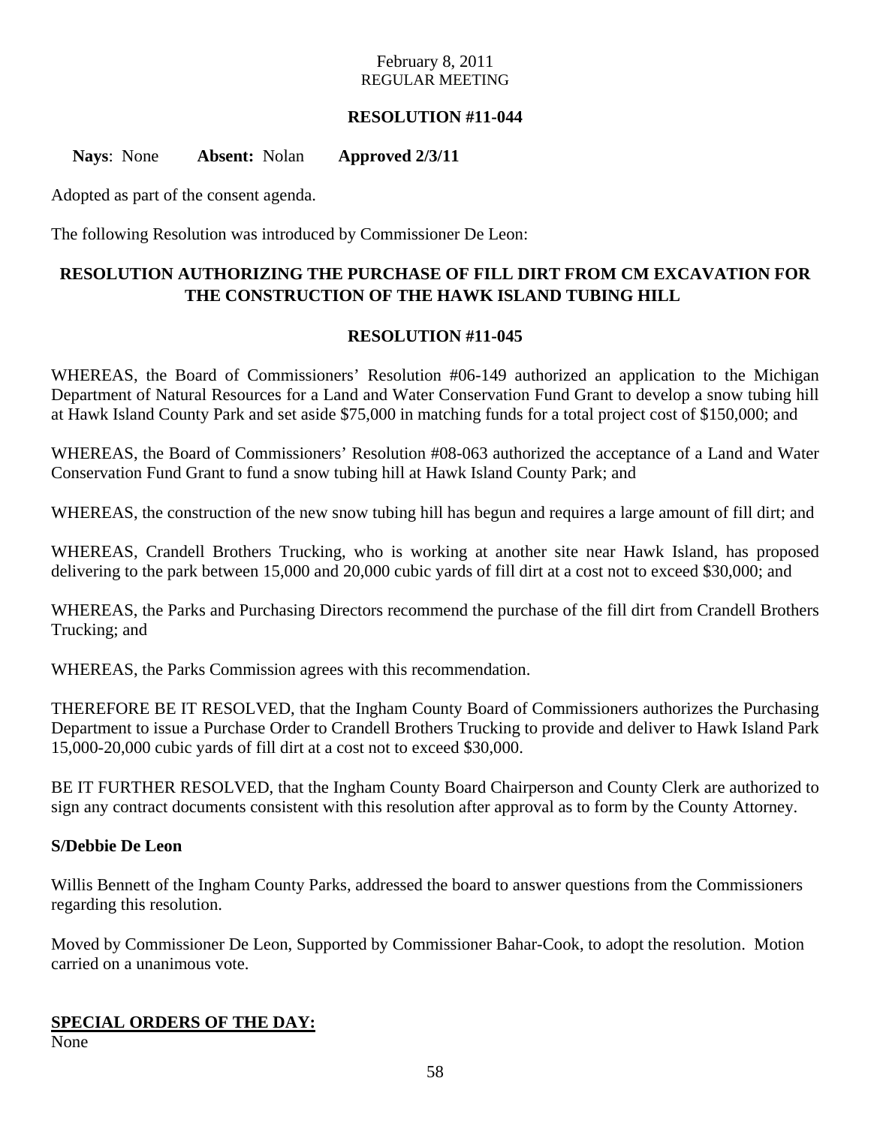## **RESOLUTION #11-044**

**Nays**: None **Absent:** Nolan **Approved 2/3/11** 

Adopted as part of the consent agenda.

The following Resolution was introduced by Commissioner De Leon:

# **RESOLUTION AUTHORIZING THE PURCHASE OF FILL DIRT FROM CM EXCAVATION FOR THE CONSTRUCTION OF THE HAWK ISLAND TUBING HILL**

#### **RESOLUTION #11-045**

WHEREAS, the Board of Commissioners' Resolution #06-149 authorized an application to the Michigan Department of Natural Resources for a Land and Water Conservation Fund Grant to develop a snow tubing hill at Hawk Island County Park and set aside \$75,000 in matching funds for a total project cost of \$150,000; and

WHEREAS, the Board of Commissioners' Resolution #08-063 authorized the acceptance of a Land and Water Conservation Fund Grant to fund a snow tubing hill at Hawk Island County Park; and

WHEREAS, the construction of the new snow tubing hill has begun and requires a large amount of fill dirt; and

WHEREAS, Crandell Brothers Trucking, who is working at another site near Hawk Island, has proposed delivering to the park between 15,000 and 20,000 cubic yards of fill dirt at a cost not to exceed \$30,000; and

WHEREAS, the Parks and Purchasing Directors recommend the purchase of the fill dirt from Crandell Brothers Trucking; and

WHEREAS, the Parks Commission agrees with this recommendation.

THEREFORE BE IT RESOLVED, that the Ingham County Board of Commissioners authorizes the Purchasing Department to issue a Purchase Order to Crandell Brothers Trucking to provide and deliver to Hawk Island Park 15,000-20,000 cubic yards of fill dirt at a cost not to exceed \$30,000.

BE IT FURTHER RESOLVED, that the Ingham County Board Chairperson and County Clerk are authorized to sign any contract documents consistent with this resolution after approval as to form by the County Attorney.

#### **S/Debbie De Leon**

Willis Bennett of the Ingham County Parks, addressed the board to answer questions from the Commissioners regarding this resolution.

Moved by Commissioner De Leon, Supported by Commissioner Bahar-Cook, to adopt the resolution. Motion carried on a unanimous vote.

## **SPECIAL ORDERS OF THE DAY:**

None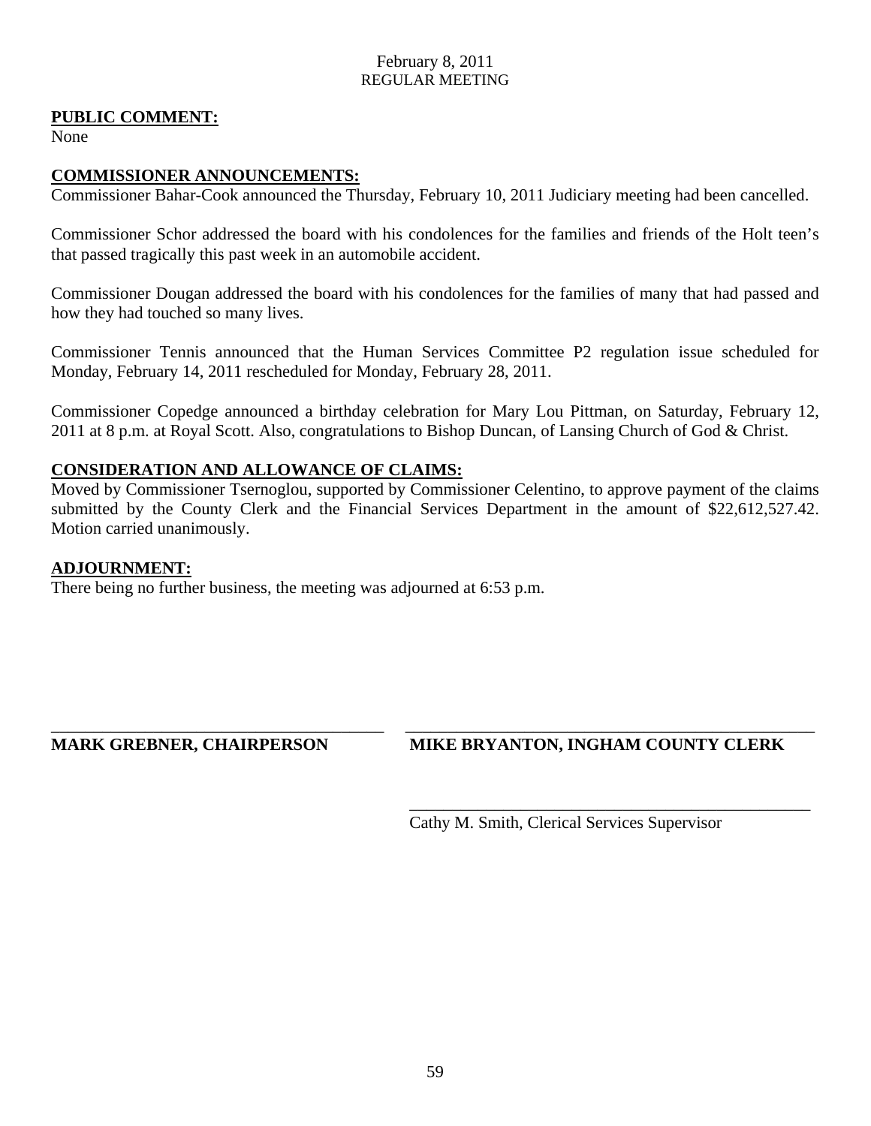## **PUBLIC COMMENT:**

None

## **COMMISSIONER ANNOUNCEMENTS:**

Commissioner Bahar-Cook announced the Thursday, February 10, 2011 Judiciary meeting had been cancelled.

Commissioner Schor addressed the board with his condolences for the families and friends of the Holt teen's that passed tragically this past week in an automobile accident.

Commissioner Dougan addressed the board with his condolences for the families of many that had passed and how they had touched so many lives.

Commissioner Tennis announced that the Human Services Committee P2 regulation issue scheduled for Monday, February 14, 2011 rescheduled for Monday, February 28, 2011.

Commissioner Copedge announced a birthday celebration for Mary Lou Pittman, on Saturday, February 12, 2011 at 8 p.m. at Royal Scott. Also, congratulations to Bishop Duncan, of Lansing Church of God & Christ.

## **CONSIDERATION AND ALLOWANCE OF CLAIMS:**

Moved by Commissioner Tsernoglou, supported by Commissioner Celentino, to approve payment of the claims submitted by the County Clerk and the Financial Services Department in the amount of \$22,612,527.42. Motion carried unanimously.

\_\_\_\_\_\_\_\_\_\_\_\_\_\_\_\_\_\_\_\_\_\_\_\_\_\_\_\_\_\_\_\_\_\_\_\_\_\_\_ \_\_\_\_\_\_\_\_\_\_\_\_\_\_\_\_\_\_\_\_\_\_\_\_\_\_\_\_\_\_\_\_\_\_\_\_\_\_\_\_\_\_\_\_\_\_\_\_

\_\_\_\_\_\_\_\_\_\_\_\_\_\_\_\_\_\_\_\_\_\_\_\_\_\_\_\_\_\_\_\_\_\_\_\_\_\_\_\_\_\_\_\_\_\_\_

#### **ADJOURNMENT:**

There being no further business, the meeting was adjourned at 6:53 p.m.

## **MARK GREBNER, CHAIRPERSON MIKE BRYANTON, INGHAM COUNTY CLERK**

Cathy M. Smith, Clerical Services Supervisor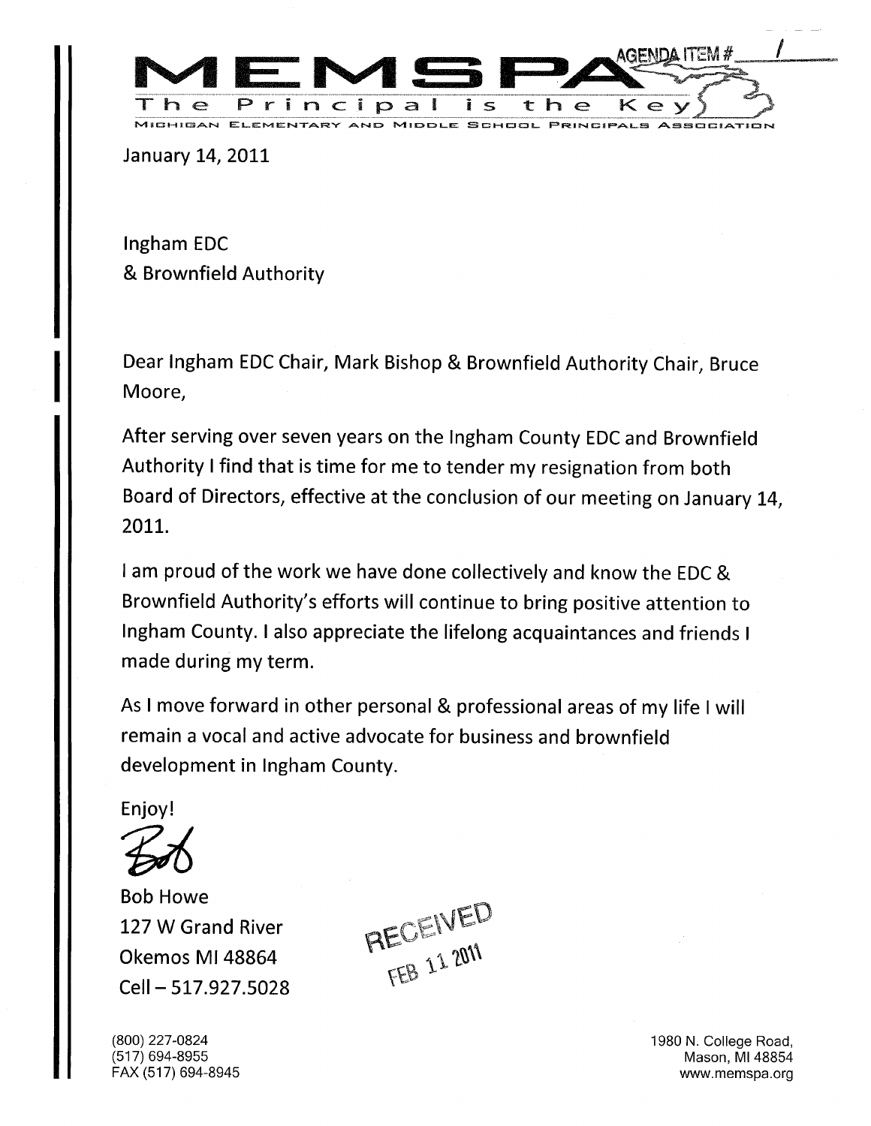<span id="page-24-0"></span>

January 14, 2011

Ingham EDC Brownfield Authority

Dear Ingham EDC Chair, Mark Bishop & Brownfield Authority Chair, Bruce Moore,

After serving over seven years on the Ingham County EDC and Brownfield Authority I find that is time for me to tender my resignation from both Board of Directors, effective at the conclusion of our meeting on January 14, 2011.

I am proud of the work we have done collectively and know the EDC & Brownfield Authority's efforts will continue to bring positive attention to Ingham County. I also appreciate the lifelong acquaintances and friends I made during my term.

As I move forward in other personal & professional areas of my life I will remain a vocal and active advocate for business and brownfield development in Ingham County.

Enjoy!

Bob Howe 127 W Grand River Okemos Ml 48864 Cell-517.927.5028

RECEIVED

(800) 227-0824 1980 N. College Road, (517) 694-8955 Mason, MI 48854 FAX (517) 694-8945 www.memspa.org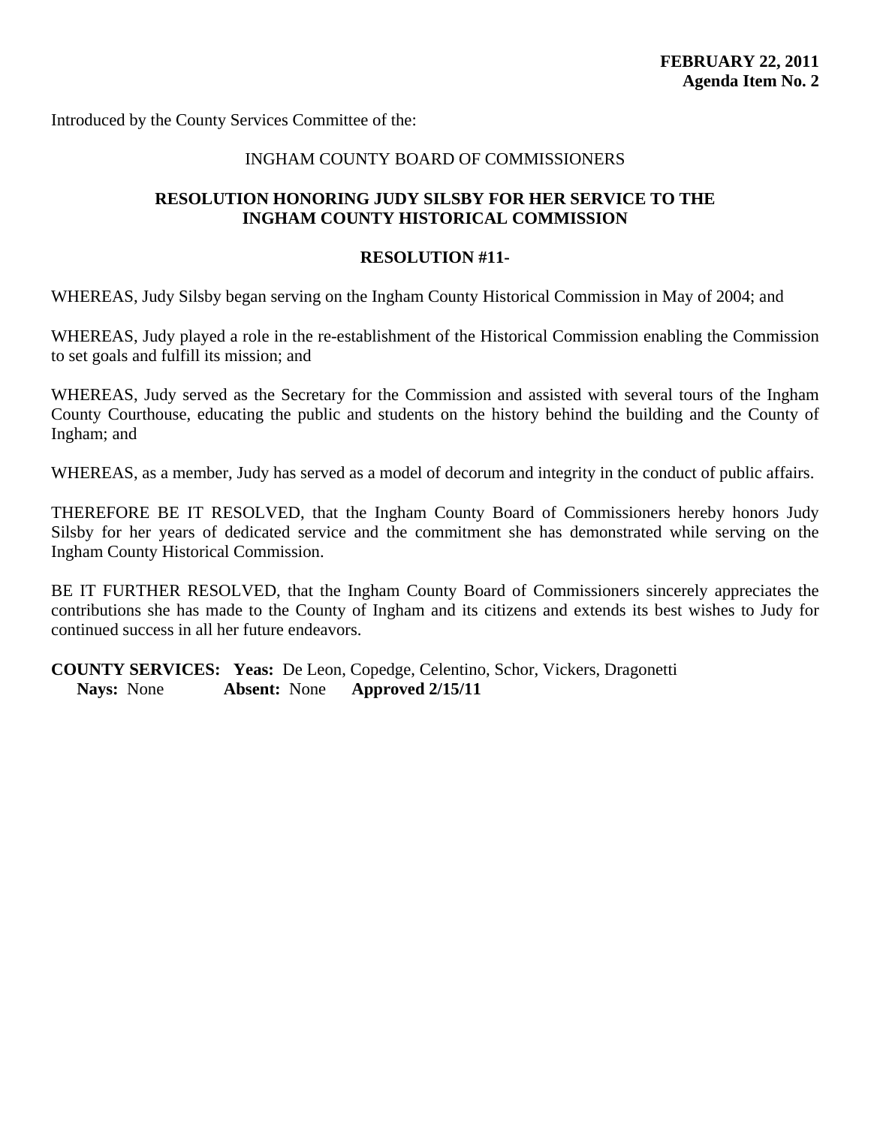<span id="page-25-0"></span>Introduced by the County Services Committee of the:

#### INGHAM COUNTY BOARD OF COMMISSIONERS

#### **RESOLUTION HONORING JUDY SILSBY FOR HER SERVICE TO THE INGHAM COUNTY HISTORICAL COMMISSION**

#### **RESOLUTION #11-**

WHEREAS, Judy Silsby began serving on the Ingham County Historical Commission in May of 2004; and

WHEREAS, Judy played a role in the re-establishment of the Historical Commission enabling the Commission to set goals and fulfill its mission; and

WHEREAS, Judy served as the Secretary for the Commission and assisted with several tours of the Ingham County Courthouse, educating the public and students on the history behind the building and the County of Ingham; and

WHEREAS, as a member, Judy has served as a model of decorum and integrity in the conduct of public affairs.

THEREFORE BE IT RESOLVED, that the Ingham County Board of Commissioners hereby honors Judy Silsby for her years of dedicated service and the commitment she has demonstrated while serving on the Ingham County Historical Commission.

BE IT FURTHER RESOLVED, that the Ingham County Board of Commissioners sincerely appreciates the contributions she has made to the County of Ingham and its citizens and extends its best wishes to Judy for continued success in all her future endeavors.

**COUNTY SERVICES: Yeas:** De Leon, Copedge, Celentino, Schor, Vickers, Dragonetti **Nays:** None **Absent:** None **Approved 2/15/11**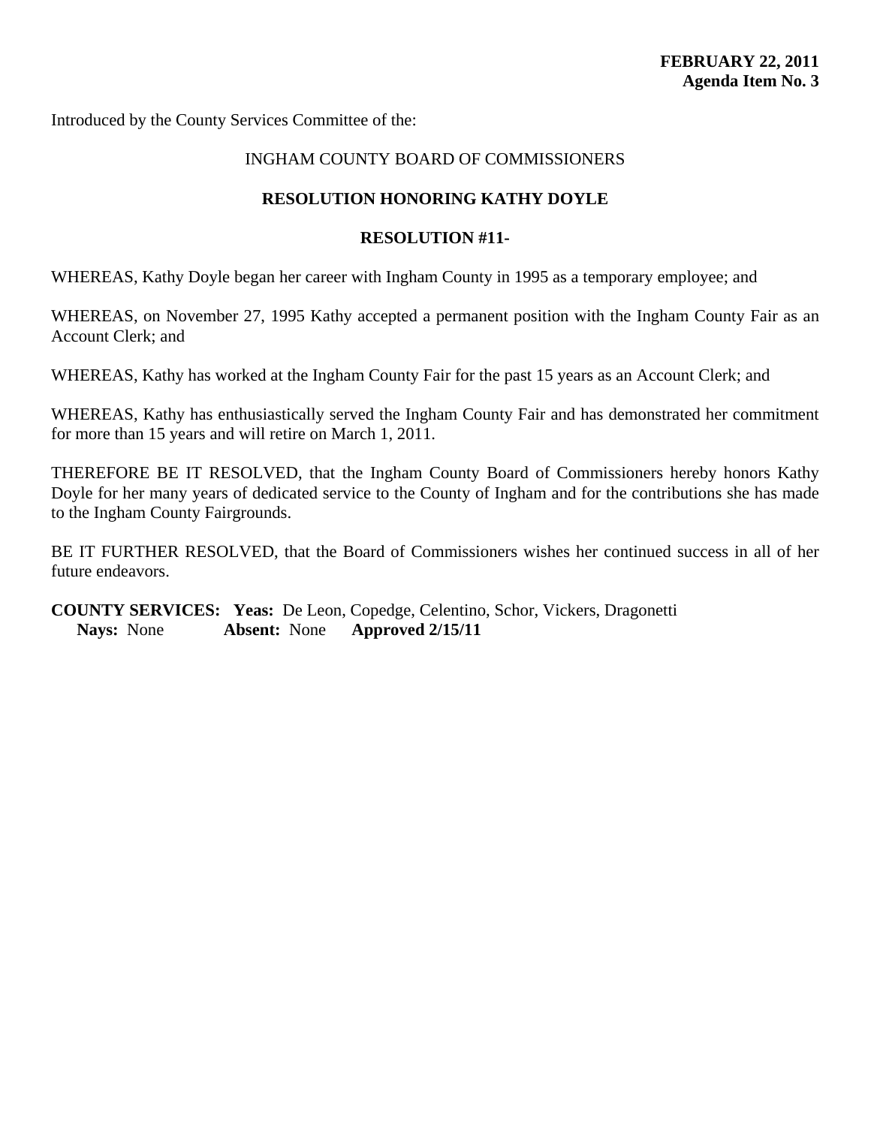<span id="page-26-0"></span>Introduced by the County Services Committee of the:

## INGHAM COUNTY BOARD OF COMMISSIONERS

#### **RESOLUTION HONORING KATHY DOYLE**

#### **RESOLUTION #11-**

WHEREAS, Kathy Doyle began her career with Ingham County in 1995 as a temporary employee; and

WHEREAS, on November 27, 1995 Kathy accepted a permanent position with the Ingham County Fair as an Account Clerk; and

WHEREAS, Kathy has worked at the Ingham County Fair for the past 15 years as an Account Clerk; and

WHEREAS, Kathy has enthusiastically served the Ingham County Fair and has demonstrated her commitment for more than 15 years and will retire on March 1, 2011.

THEREFORE BE IT RESOLVED, that the Ingham County Board of Commissioners hereby honors Kathy Doyle for her many years of dedicated service to the County of Ingham and for the contributions she has made to the Ingham County Fairgrounds.

BE IT FURTHER RESOLVED, that the Board of Commissioners wishes her continued success in all of her future endeavors.

**COUNTY SERVICES: Yeas:** De Leon, Copedge, Celentino, Schor, Vickers, Dragonetti **Nays:** None **Absent:** None **Approved 2/15/11**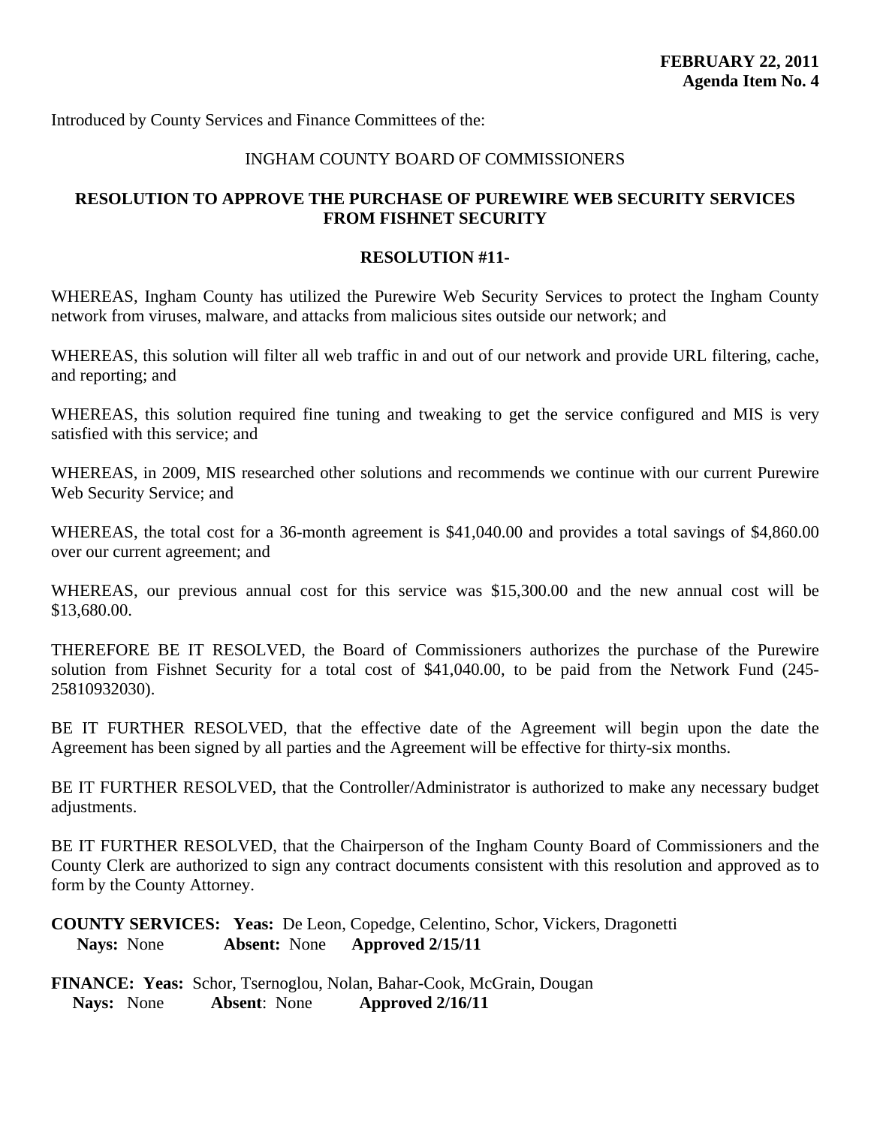<span id="page-27-0"></span>Introduced by County Services and Finance Committees of the:

## INGHAM COUNTY BOARD OF COMMISSIONERS

## **RESOLUTION TO APPROVE THE PURCHASE OF PUREWIRE WEB SECURITY SERVICES FROM FISHNET SECURITY**

#### **RESOLUTION #11-**

WHEREAS, Ingham County has utilized the Purewire Web Security Services to protect the Ingham County network from viruses, malware, and attacks from malicious sites outside our network; and

WHEREAS, this solution will filter all web traffic in and out of our network and provide URL filtering, cache, and reporting; and

WHEREAS, this solution required fine tuning and tweaking to get the service configured and MIS is very satisfied with this service; and

WHEREAS, in 2009, MIS researched other solutions and recommends we continue with our current Purewire Web Security Service; and

WHEREAS, the total cost for a 36-month agreement is \$41,040.00 and provides a total savings of \$4,860.00 over our current agreement; and

WHEREAS, our previous annual cost for this service was \$15,300.00 and the new annual cost will be \$13,680.00.

THEREFORE BE IT RESOLVED, the Board of Commissioners authorizes the purchase of the Purewire solution from Fishnet Security for a total cost of \$41,040.00, to be paid from the Network Fund (245- 25810932030).

BE IT FURTHER RESOLVED, that the effective date of the Agreement will begin upon the date the Agreement has been signed by all parties and the Agreement will be effective for thirty-six months.

BE IT FURTHER RESOLVED, that the Controller/Administrator is authorized to make any necessary budget adjustments.

BE IT FURTHER RESOLVED, that the Chairperson of the Ingham County Board of Commissioners and the County Clerk are authorized to sign any contract documents consistent with this resolution and approved as to form by the County Attorney.

**COUNTY SERVICES: Yeas:** De Leon, Copedge, Celentino, Schor, Vickers, Dragonetti **Nays:** None **Absent:** None **Approved 2/15/11**

**FINANCE: Yeas:** Schor, Tsernoglou, Nolan, Bahar-Cook, McGrain, Dougan **Nays:** None **Absent**: None **Approved 2/16/11**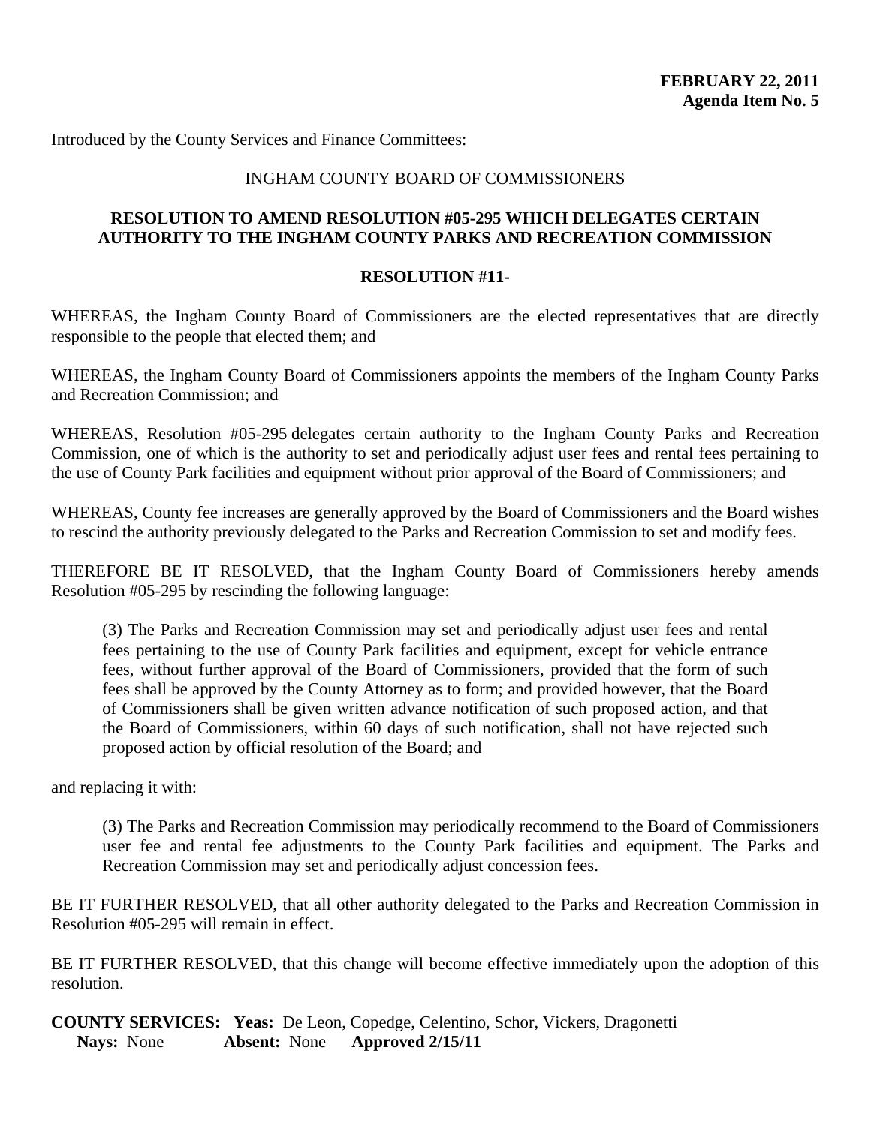<span id="page-28-0"></span>Introduced by the County Services and Finance Committees:

#### INGHAM COUNTY BOARD OF COMMISSIONERS

#### **RESOLUTION TO AMEND RESOLUTION #05-295 WHICH DELEGATES CERTAIN AUTHORITY TO THE INGHAM COUNTY PARKS AND RECREATION COMMISSION**

#### **RESOLUTION #11-**

WHEREAS, the Ingham County Board of Commissioners are the elected representatives that are directly responsible to the people that elected them; and

WHEREAS, the Ingham County Board of Commissioners appoints the members of the Ingham County Parks and Recreation Commission; and

WHEREAS, Resolution #05-295 delegates certain authority to the Ingham County Parks and Recreation Commission, one of which is the authority to set and periodically adjust user fees and rental fees pertaining to the use of County Park facilities and equipment without prior approval of the Board of Commissioners; and

WHEREAS, County fee increases are generally approved by the Board of Commissioners and the Board wishes to rescind the authority previously delegated to the Parks and Recreation Commission to set and modify fees.

THEREFORE BE IT RESOLVED, that the Ingham County Board of Commissioners hereby amends Resolution #05-295 by rescinding the following language:

(3) The Parks and Recreation Commission may set and periodically adjust user fees and rental fees pertaining to the use of County Park facilities and equipment, except for vehicle entrance fees, without further approval of the Board of Commissioners, provided that the form of such fees shall be approved by the County Attorney as to form; and provided however, that the Board of Commissioners shall be given written advance notification of such proposed action, and that the Board of Commissioners, within 60 days of such notification, shall not have rejected such proposed action by official resolution of the Board; and

and replacing it with:

(3) The Parks and Recreation Commission may periodically recommend to the Board of Commissioners user fee and rental fee adjustments to the County Park facilities and equipment. The Parks and Recreation Commission may set and periodically adjust concession fees.

BE IT FURTHER RESOLVED, that all other authority delegated to the Parks and Recreation Commission in Resolution #05-295 will remain in effect.

BE IT FURTHER RESOLVED, that this change will become effective immediately upon the adoption of this resolution.

**COUNTY SERVICES: Yeas:** De Leon, Copedge, Celentino, Schor, Vickers, Dragonetti **Nays:** None **Absent:** None **Approved 2/15/11**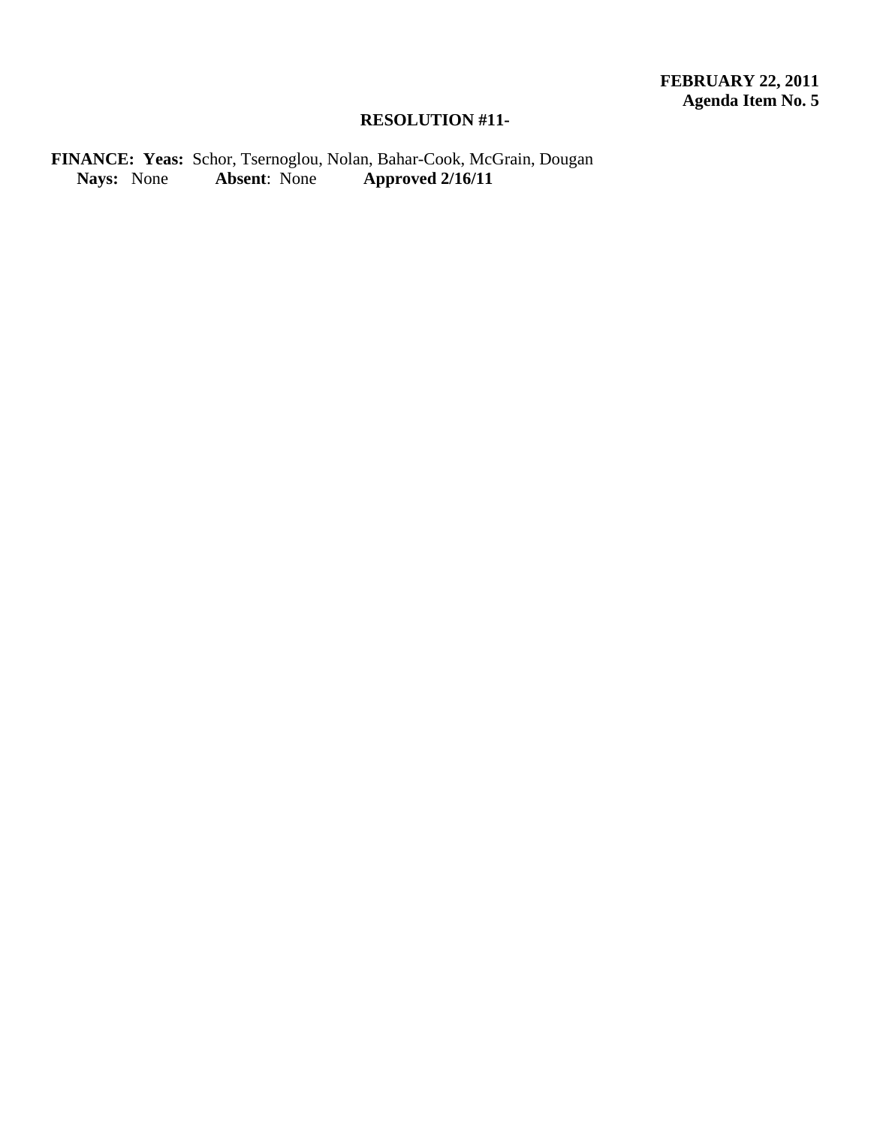## **RESOLUTION #11-**

**FINANCE: Yeas:** Schor, Tsernoglou, Nolan, Bahar-Cook, McGrain, Dougan  **Nays:** None **Absent**: None **Approved 2/16/11**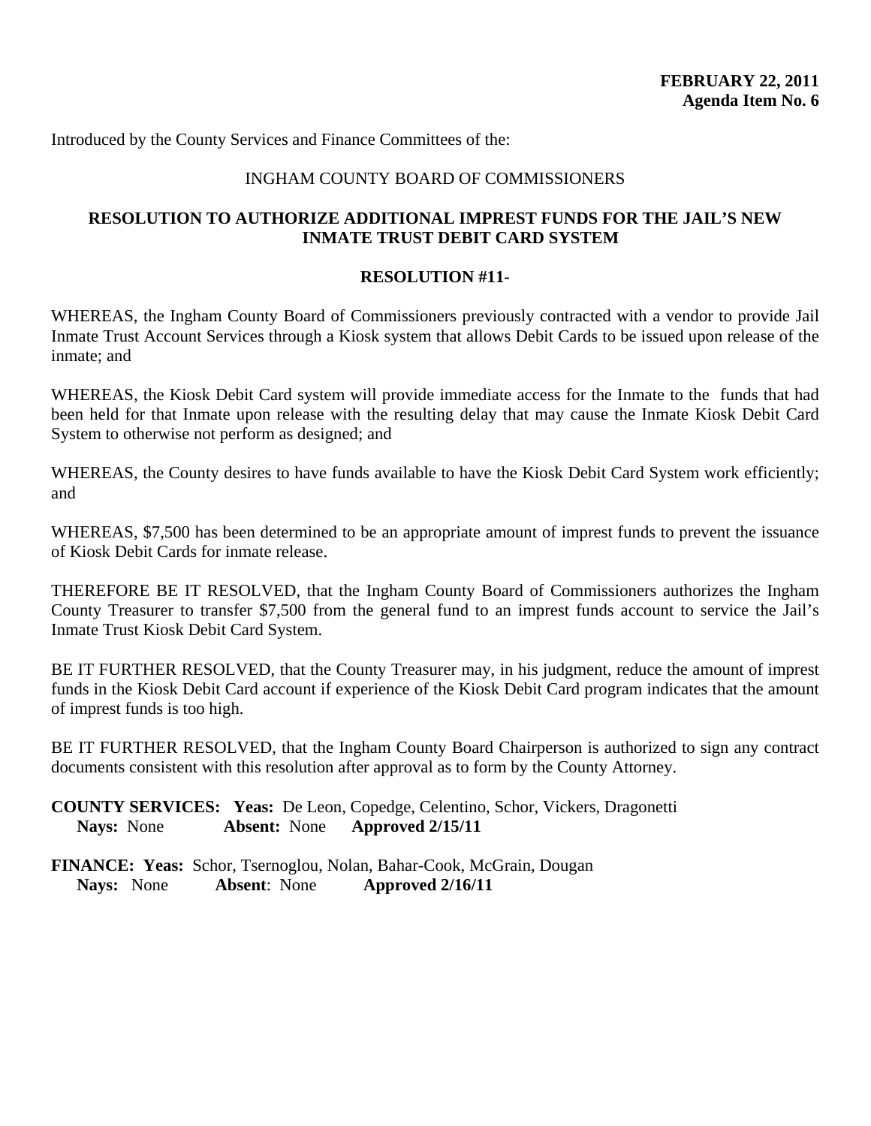<span id="page-30-0"></span>Introduced by the County Services and Finance Committees of the:

#### INGHAM COUNTY BOARD OF COMMISSIONERS

#### **RESOLUTION TO AUTHORIZE ADDITIONAL IMPREST FUNDS FOR THE JAIL'S NEW INMATE TRUST DEBIT CARD SYSTEM**

#### **RESOLUTION #11-**

WHEREAS, the Ingham County Board of Commissioners previously contracted with a vendor to provide Jail Inmate Trust Account Services through a Kiosk system that allows Debit Cards to be issued upon release of the inmate; and

WHEREAS, the Kiosk Debit Card system will provide immediate access for the Inmate to the funds that had been held for that Inmate upon release with the resulting delay that may cause the Inmate Kiosk Debit Card System to otherwise not perform as designed; and

WHEREAS, the County desires to have funds available to have the Kiosk Debit Card System work efficiently; and

WHEREAS, \$7,500 has been determined to be an appropriate amount of imprest funds to prevent the issuance of Kiosk Debit Cards for inmate release.

THEREFORE BE IT RESOLVED, that the Ingham County Board of Commissioners authorizes the Ingham County Treasurer to transfer \$7,500 from the general fund to an imprest funds account to service the Jail's Inmate Trust Kiosk Debit Card System.

BE IT FURTHER RESOLVED, that the County Treasurer may, in his judgment, reduce the amount of imprest funds in the Kiosk Debit Card account if experience of the Kiosk Debit Card program indicates that the amount of imprest funds is too high.

BE IT FURTHER RESOLVED, that the Ingham County Board Chairperson is authorized to sign any contract documents consistent with this resolution after approval as to form by the County Attorney.

**COUNTY SERVICES: Yeas:** De Leon, Copedge, Celentino, Schor, Vickers, Dragonetti **Nays:** None **Absent:** None **Approved 2/15/11**

**FINANCE: Yeas:** Schor, Tsernoglou, Nolan, Bahar-Cook, McGrain, Dougan  **Nays:** None **Absent**: None **Approved 2/16/11**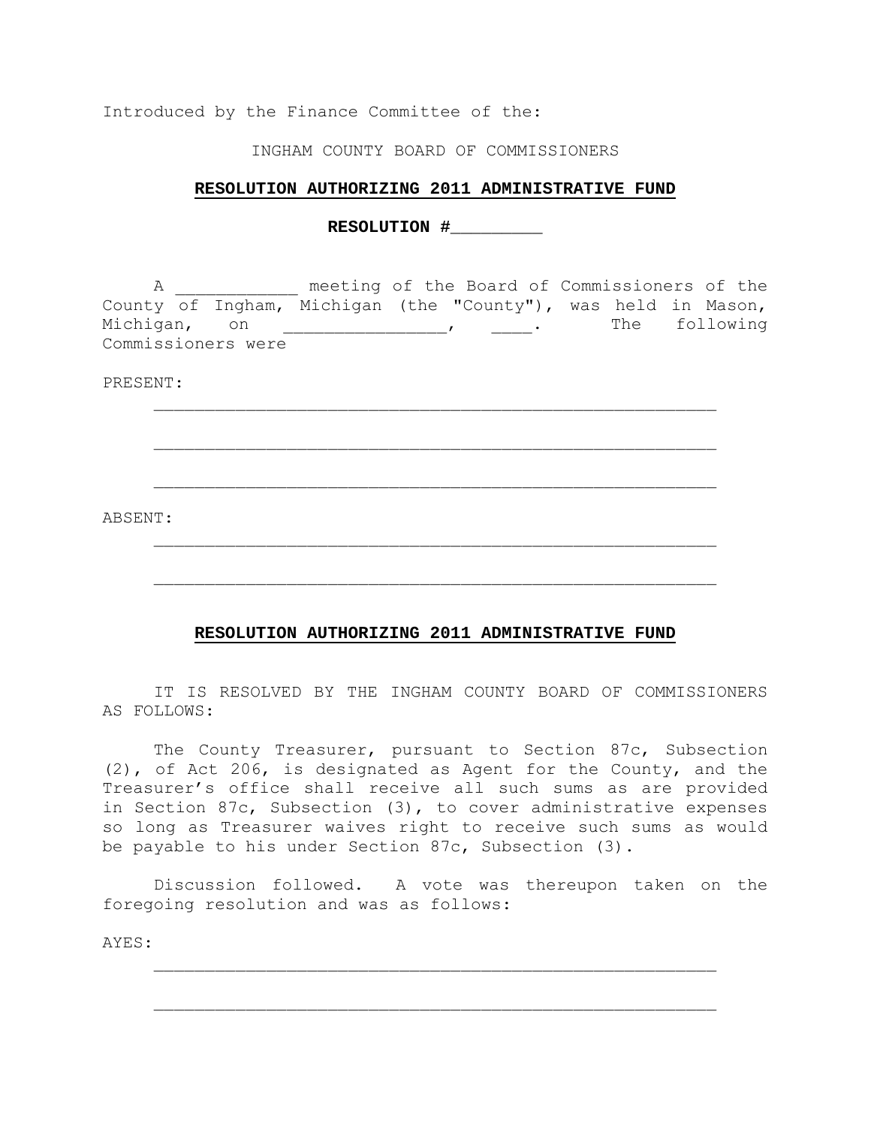Introduced by the Finance Committee of the:

INGHAM COUNTY BOARD OF COMMISSIONERS

#### **RESOLUTION AUTHORIZING 2011 ADMINISTRATIVE FUND**

**RESOLUTION #\_\_\_\_\_\_\_\_\_** 

 A \_\_\_\_\_\_\_\_\_\_\_\_ meeting of the Board of Commissioners of the County of Ingham, Michigan (the "County"), was held in Mason, Michigan, on \_\_\_\_\_\_\_\_\_\_\_\_\_\_\_\_\_\_\_\_\_\_\_\_\_\_, The following Commissioners were

 $\mathcal{L}_\text{max}$  , and the contract of the contract of the contract of the contract of the contract of the contract of the contract of the contract of the contract of the contract of the contract of the contract of the contr

 $\mathcal{L}_\text{max}$  , and the contract of the contract of the contract of the contract of the contract of the contract of the contract of the contract of the contract of the contract of the contract of the contract of the contr

 $\mathcal{L}_\text{max}$  , and the contract of the contract of the contract of the contract of the contract of the contract of the contract of the contract of the contract of the contract of the contract of the contract of the contr

 $\mathcal{L}_\text{max}$  , and the contract of the contract of the contract of the contract of the contract of the contract of the contract of the contract of the contract of the contract of the contract of the contract of the contr

 $\mathcal{L}_\text{max}$  , and the contract of the contract of the contract of the contract of the contract of the contract of the contract of the contract of the contract of the contract of the contract of the contract of the contr

PRESENT:

ABSENT:

#### **RESOLUTION AUTHORIZING 2011 ADMINISTRATIVE FUND**

 IT IS RESOLVED BY THE INGHAM COUNTY BOARD OF COMMISSIONERS AS FOLLOWS:

 The County Treasurer, pursuant to Section 87c, Subsection (2), of Act 206, is designated as Agent for the County, and the Treasurer's office shall receive all such sums as are provided in Section 87c, Subsection (3), to cover administrative expenses so long as Treasurer waives right to receive such sums as would be payable to his under Section 87c, Subsection (3).

 Discussion followed. A vote was thereupon taken on the foregoing resolution and was as follows:

 $\mathcal{L}_\text{max}$  , and the contract of the contract of the contract of the contract of the contract of the contract of the contract of the contract of the contract of the contract of the contract of the contract of the contr

 $\mathcal{L}_\text{max}$  , and the contract of the contract of the contract of the contract of the contract of the contract of the contract of the contract of the contract of the contract of the contract of the contract of the contr

AYES: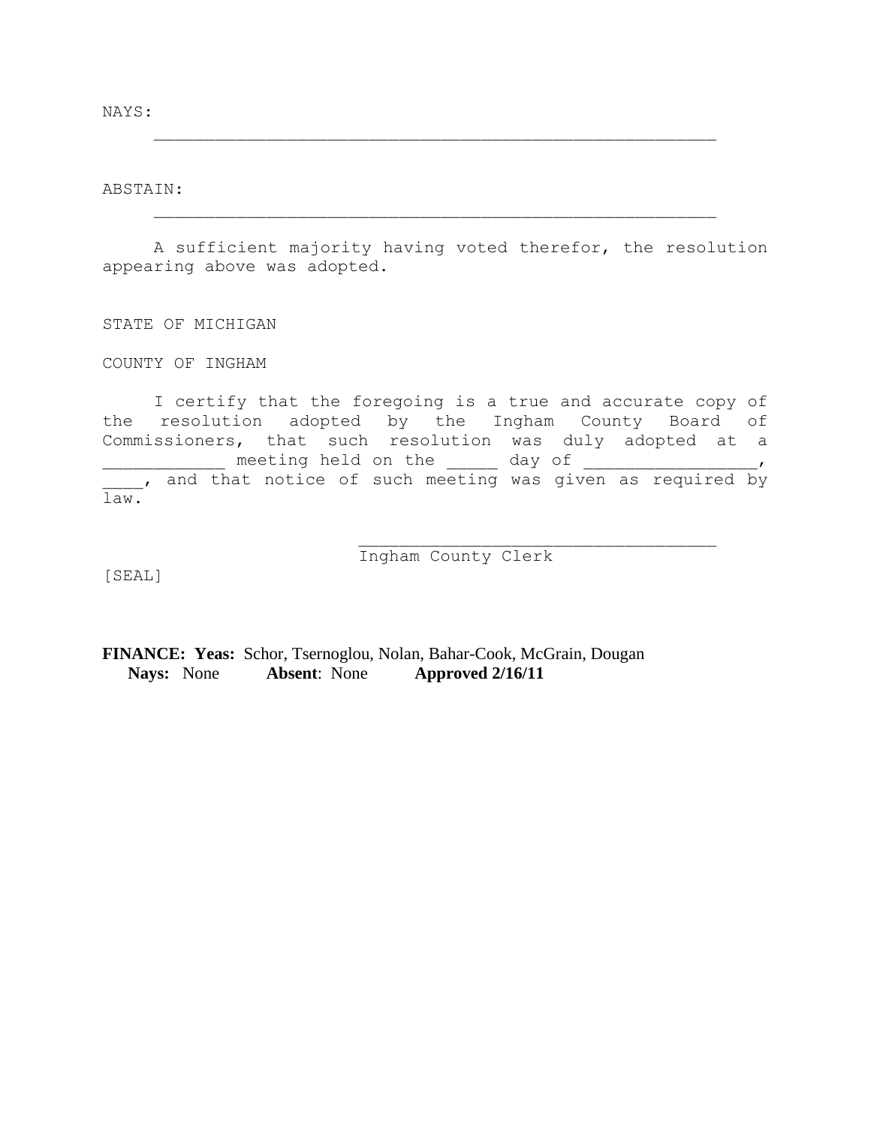NAYS:

ABSTAIN:

 A sufficient majority having voted therefor, the resolution appearing above was adopted.

 $\mathcal{L}_\text{max}$  , and the contract of the contract of the contract of the contract of the contract of the contract of the contract of the contract of the contract of the contract of the contract of the contract of the contr

 $\mathcal{L}_\text{max}$  , and the contract of the contract of the contract of the contract of the contract of the contract of the contract of the contract of the contract of the contract of the contract of the contract of the contr

STATE OF MICHIGAN

COUNTY OF INGHAM

 I certify that the foregoing is a true and accurate copy of the resolution adopted by the Ingham County Board of Commissioners, that such resolution was duly adopted at a \_\_\_\_\_\_\_\_\_\_\_\_ meeting held on the \_\_\_\_\_ day of \_\_\_\_\_\_\_\_\_\_\_\_\_\_\_\_\_, The contract contract of such meeting was given as required by law.

[SEAL]

Ingham County Clerk

\_\_\_\_\_\_\_\_\_\_\_\_\_\_\_\_\_\_\_\_\_\_\_\_\_\_\_\_\_\_\_\_\_\_\_

**FINANCE: Yeas:** Schor, Tsernoglou, Nolan, Bahar-Cook, McGrain, Dougan  **Nays:** None **Absent**: None **Approved 2/16/11**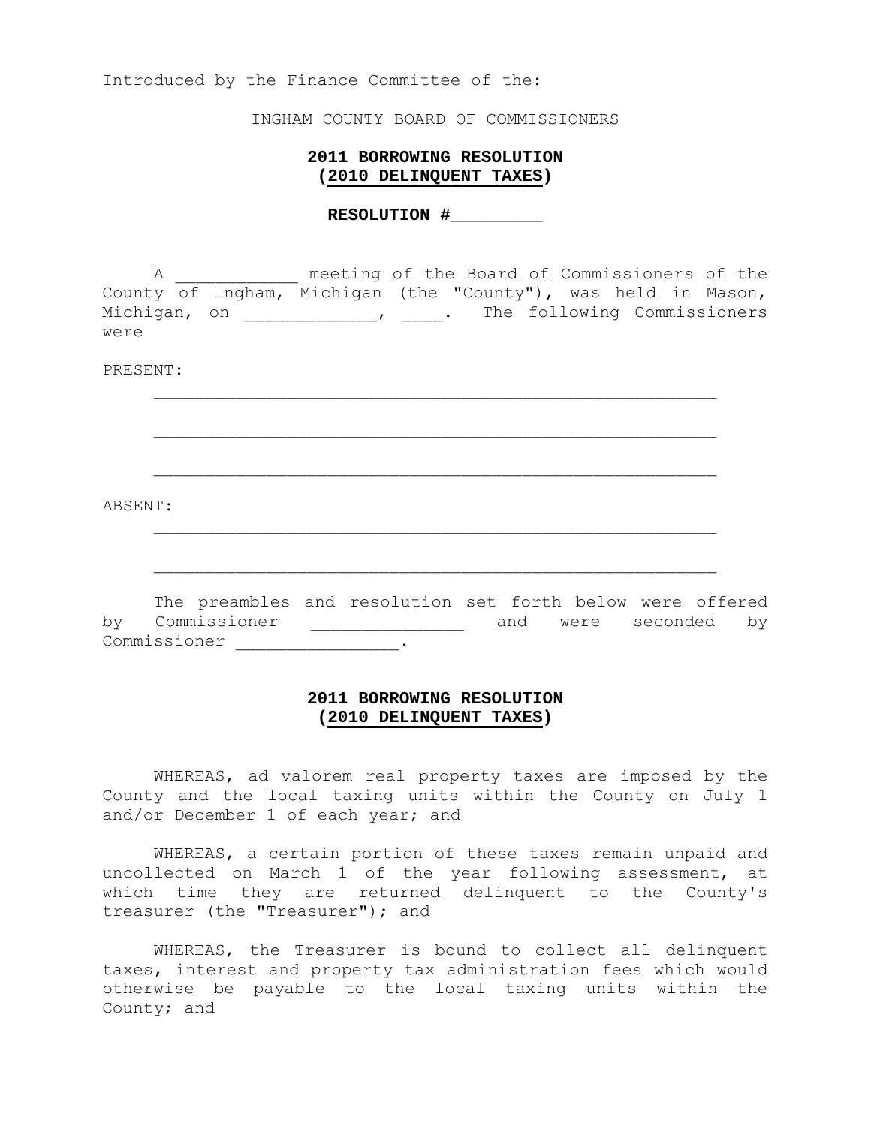Introduced by the Finance Committee of the:

INGHAM COUNTY BOARD OF COMMISSIONERS

#### **2011 BORROWING RESOLUTION (2010 DELINQUENT TAXES)**

**RESOLUTION #\_\_\_\_\_\_\_\_\_** 

 A \_\_\_\_\_\_\_\_\_\_\_\_ meeting of the Board of Commissioners of the County of Ingham, Michigan (the "County"), was held in Mason, Michigan, on \_\_\_\_\_\_\_\_\_\_\_\_\_\_\_, \_\_\_\_. The following Commissioners were

 $\mathcal{L}_\text{max}$  , and the contract of the contract of the contract of the contract of the contract of the contract of the contract of the contract of the contract of the contract of the contract of the contract of the contr

 $\mathcal{L}_\text{max}$  , and the contract of the contract of the contract of the contract of the contract of the contract of the contract of the contract of the contract of the contract of the contract of the contract of the contr

 $\mathcal{L}_\text{max}$  , and the contract of the contract of the contract of the contract of the contract of the contract of the contract of the contract of the contract of the contract of the contract of the contract of the contr

 $\mathcal{L}_\text{max}$  , and the contract of the contract of the contract of the contract of the contract of the contract of the contract of the contract of the contract of the contract of the contract of the contract of the contr

 $\mathcal{L}_\text{max}$  , and the contract of the contract of the contract of the contract of the contract of the contract of the contract of the contract of the contract of the contract of the contract of the contract of the contr

#### PRESENT:

ABSENT:

 The preambles and resolution set forth below were offered ere commission and were seconded by Commissioner \_\_\_\_\_\_\_\_\_\_\_\_\_\_\_\_.

#### **2011 BORROWING RESOLUTION (2010 DELINQUENT TAXES)**

 WHEREAS, ad valorem real property taxes are imposed by the County and the local taxing units within the County on July 1 and/or December 1 of each year; and

 WHEREAS, a certain portion of these taxes remain unpaid and uncollected on March 1 of the year following assessment, at which time they are returned delinquent to the County's treasurer (the "Treasurer"); and

 WHEREAS, the Treasurer is bound to collect all delinquent taxes, interest and property tax administration fees which would otherwise be payable to the local taxing units within the County; and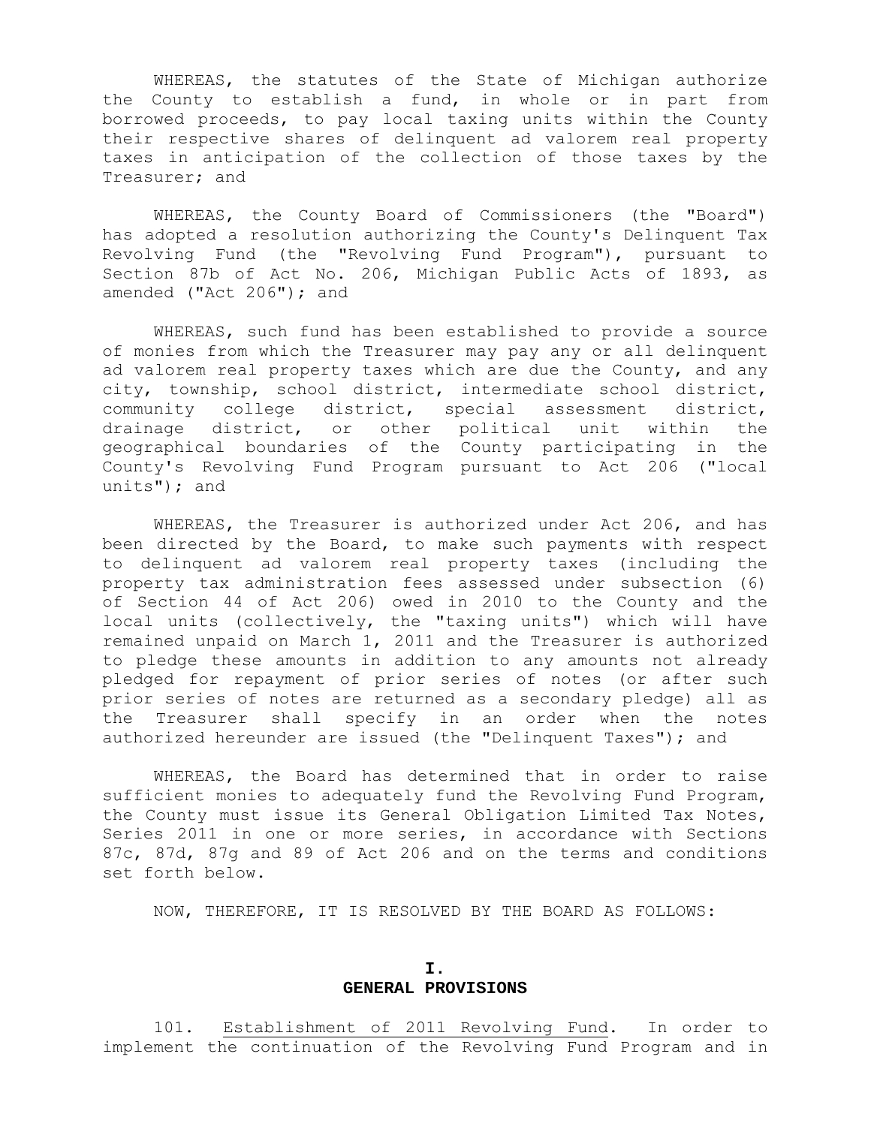WHEREAS, the statutes of the State of Michigan authorize the County to establish a fund, in whole or in part from borrowed proceeds, to pay local taxing units within the County their respective shares of delinquent ad valorem real property taxes in anticipation of the collection of those taxes by the Treasurer; and

 WHEREAS, the County Board of Commissioners (the "Board") has adopted a resolution authorizing the County's Delinquent Tax Revolving Fund (the "Revolving Fund Program"), pursuant to Section 87b of Act No. 206, Michigan Public Acts of 1893, as amended ("Act 206"); and

 WHEREAS, such fund has been established to provide a source of monies from which the Treasurer may pay any or all delinquent ad valorem real property taxes which are due the County, and any city, township, school district, intermediate school district, community college district, special assessment district, drainage district, or other political unit within the geographical boundaries of the County participating in the County's Revolving Fund Program pursuant to Act 206 ("local units"); and

 WHEREAS, the Treasurer is authorized under Act 206, and has been directed by the Board, to make such payments with respect to delinquent ad valorem real property taxes (including the property tax administration fees assessed under subsection (6) of Section 44 of Act 206) owed in 2010 to the County and the local units (collectively, the "taxing units") which will have remained unpaid on March 1, 2011 and the Treasurer is authorized to pledge these amounts in addition to any amounts not already pledged for repayment of prior series of notes (or after such prior series of notes are returned as a secondary pledge) all as the Treasurer shall specify in an order when the notes authorized hereunder are issued (the "Delinquent Taxes"); and

 WHEREAS, the Board has determined that in order to raise sufficient monies to adequately fund the Revolving Fund Program, the County must issue its General Obligation Limited Tax Notes, Series 2011 in one or more series, in accordance with Sections 87c, 87d, 87g and 89 of Act 206 and on the terms and conditions set forth below.

NOW, THEREFORE, IT IS RESOLVED BY THE BOARD AS FOLLOWS:

#### **I. GENERAL PROVISIONS**

 101. Establishment of 2011 Revolving Fund. In order to implement the continuation of the Revolving Fund Program and in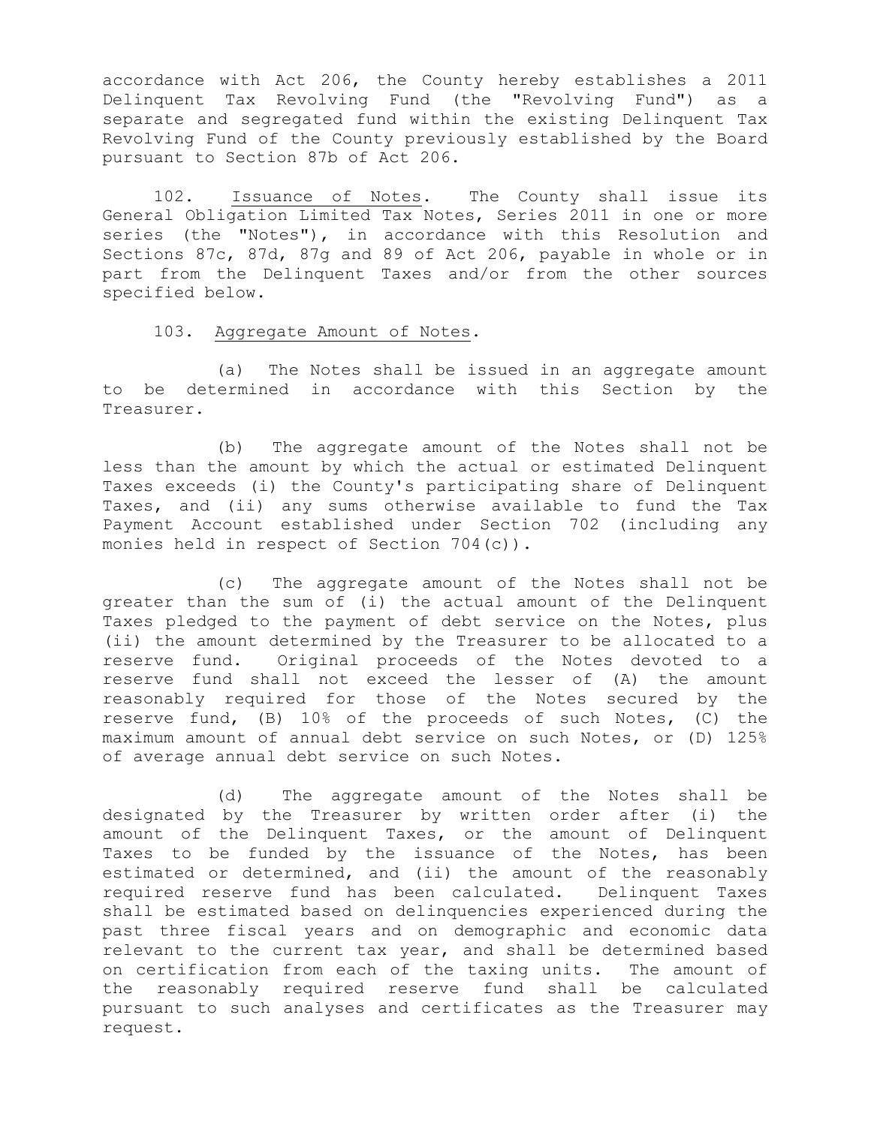accordance with Act 206, the County hereby establishes a 2011 Delinquent Tax Revolving Fund (the "Revolving Fund") as a separate and segregated fund within the existing Delinquent Tax Revolving Fund of the County previously established by the Board pursuant to Section 87b of Act 206.

 102. Issuance of Notes. The County shall issue its General Obligation Limited Tax Notes, Series 2011 in one or more series (the "Notes"), in accordance with this Resolution and Sections 87c, 87d, 87g and 89 of Act 206, payable in whole or in part from the Delinquent Taxes and/or from the other sources specified below.

103. Aggregate Amount of Notes.

 (a) The Notes shall be issued in an aggregate amount to be determined in accordance with this Section by the Treasurer.

 (b) The aggregate amount of the Notes shall not be less than the amount by which the actual or estimated Delinquent Taxes exceeds (i) the County's participating share of Delinquent Taxes, and (ii) any sums otherwise available to fund the Tax Payment Account established under Section 702 (including any monies held in respect of Section 704(c)).

 (c) The aggregate amount of the Notes shall not be greater than the sum of (i) the actual amount of the Delinquent Taxes pledged to the payment of debt service on the Notes, plus (ii) the amount determined by the Treasurer to be allocated to a reserve fund. Original proceeds of the Notes devoted to a reserve fund shall not exceed the lesser of (A) the amount reasonably required for those of the Notes secured by the reserve fund, (B) 10% of the proceeds of such Notes, (C) the maximum amount of annual debt service on such Notes, or (D) 125% of average annual debt service on such Notes.

 (d) The aggregate amount of the Notes shall be designated by the Treasurer by written order after (i) the amount of the Delinquent Taxes, or the amount of Delinquent Taxes to be funded by the issuance of the Notes, has been estimated or determined, and (ii) the amount of the reasonably required reserve fund has been calculated. Delinquent Taxes shall be estimated based on delinquencies experienced during the past three fiscal years and on demographic and economic data relevant to the current tax year, and shall be determined based on certification from each of the taxing units. The amount of the reasonably required reserve fund shall be calculated pursuant to such analyses and certificates as the Treasurer may request.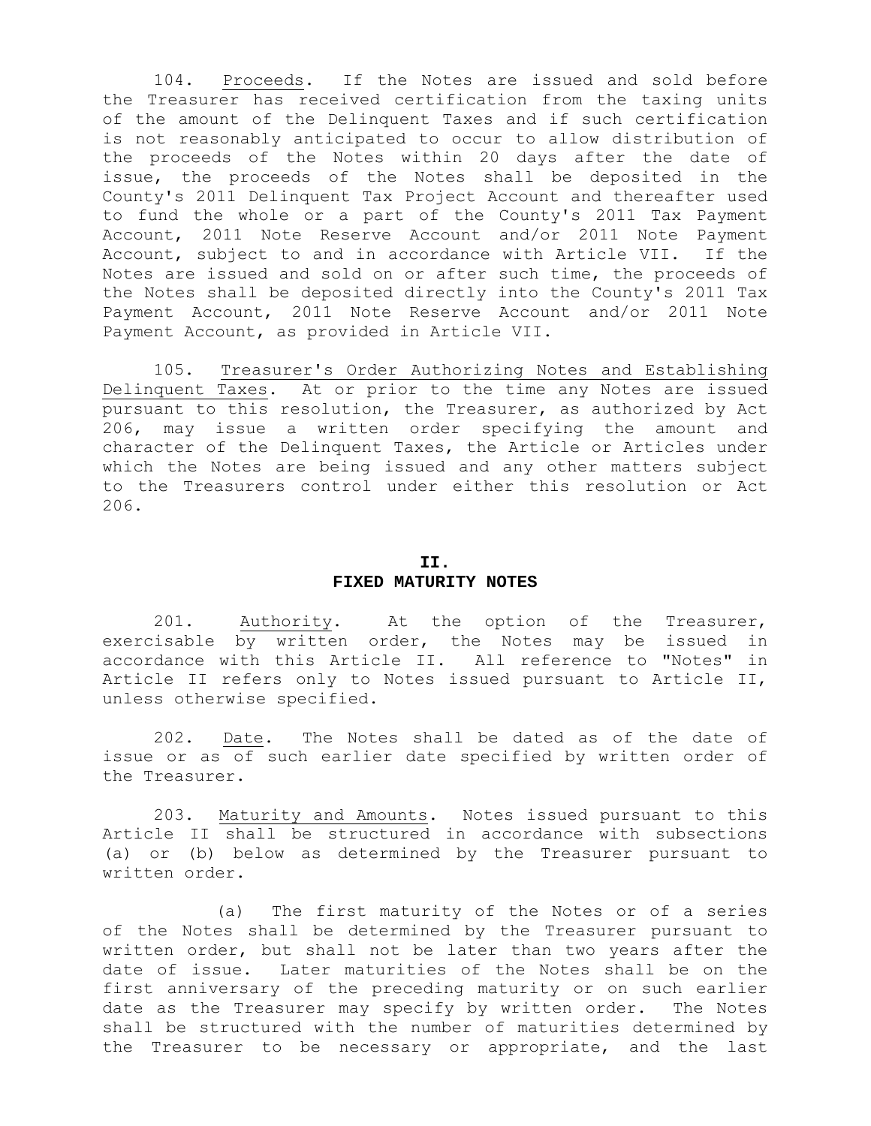104. Proceeds. If the Notes are issued and sold before the Treasurer has received certification from the taxing units of the amount of the Delinquent Taxes and if such certification is not reasonably anticipated to occur to allow distribution of the proceeds of the Notes within 20 days after the date of issue, the proceeds of the Notes shall be deposited in the County's 2011 Delinquent Tax Project Account and thereafter used to fund the whole or a part of the County's 2011 Tax Payment Account, 2011 Note Reserve Account and/or 2011 Note Payment Account, subject to and in accordance with Article VII. If the Notes are issued and sold on or after such time, the proceeds of the Notes shall be deposited directly into the County's 2011 Tax Payment Account, 2011 Note Reserve Account and/or 2011 Note Payment Account, as provided in Article VII.

 105. Treasurer's Order Authorizing Notes and Establishing Delinquent Taxes. At or prior to the time any Notes are issued pursuant to this resolution, the Treasurer, as authorized by Act 206, may issue a written order specifying the amount and character of the Delinquent Taxes, the Article or Articles under which the Notes are being issued and any other matters subject to the Treasurers control under either this resolution or Act 206.

### **II. FIXED MATURITY NOTES**

 201. Authority. At the option of the Treasurer, exercisable by written order, the Notes may be issued in accordance with this Article II. All reference to "Notes" in Article II refers only to Notes issued pursuant to Article II, unless otherwise specified.

 202. Date. The Notes shall be dated as of the date of issue or as of such earlier date specified by written order of the Treasurer.

 203. Maturity and Amounts. Notes issued pursuant to this Article II shall be structured in accordance with subsections (a) or (b) below as determined by the Treasurer pursuant to written order.

 (a) The first maturity of the Notes or of a series of the Notes shall be determined by the Treasurer pursuant to written order, but shall not be later than two years after the date of issue. Later maturities of the Notes shall be on the first anniversary of the preceding maturity or on such earlier date as the Treasurer may specify by written order. The Notes shall be structured with the number of maturities determined by the Treasurer to be necessary or appropriate, and the last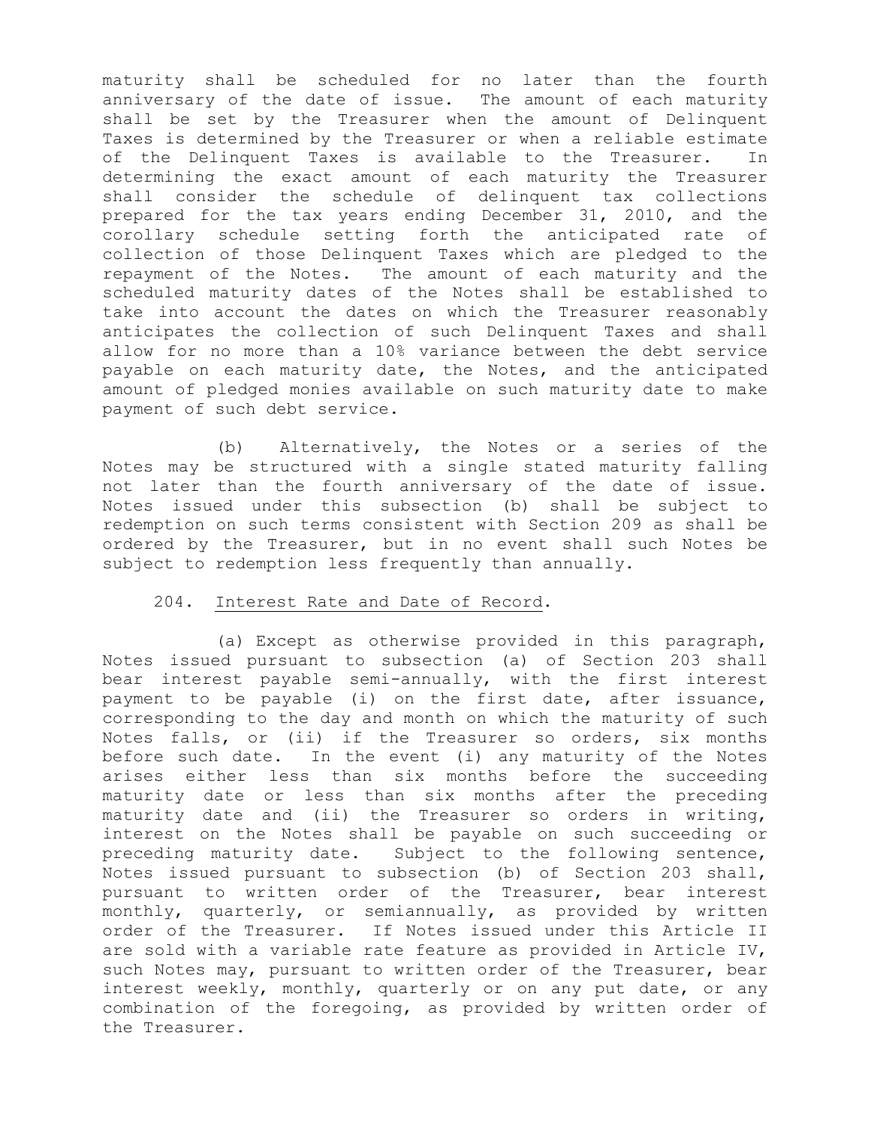maturity shall be scheduled for no later than the fourth anniversary of the date of issue. The amount of each maturity shall be set by the Treasurer when the amount of Delinquent Taxes is determined by the Treasurer or when a reliable estimate of the Delinquent Taxes is available to the Treasurer. In determining the exact amount of each maturity the Treasurer shall consider the schedule of delinquent tax collections prepared for the tax years ending December 31, 2010, and the corollary schedule setting forth the anticipated rate of collection of those Delinquent Taxes which are pledged to the repayment of the Notes. The amount of each maturity and the scheduled maturity dates of the Notes shall be established to take into account the dates on which the Treasurer reasonably anticipates the collection of such Delinquent Taxes and shall allow for no more than a 10% variance between the debt service payable on each maturity date, the Notes, and the anticipated amount of pledged monies available on such maturity date to make payment of such debt service.

 (b) Alternatively, the Notes or a series of the Notes may be structured with a single stated maturity falling not later than the fourth anniversary of the date of issue. Notes issued under this subsection (b) shall be subject to redemption on such terms consistent with Section 209 as shall be ordered by the Treasurer, but in no event shall such Notes be subject to redemption less frequently than annually.

### 204. Interest Rate and Date of Record.

 (a) Except as otherwise provided in this paragraph, Notes issued pursuant to subsection (a) of Section 203 shall bear interest payable semi-annually, with the first interest payment to be payable (i) on the first date, after issuance, corresponding to the day and month on which the maturity of such Notes falls, or (ii) if the Treasurer so orders, six months before such date. In the event (i) any maturity of the Notes arises either less than six months before the succeeding maturity date or less than six months after the preceding maturity date and (ii) the Treasurer so orders in writing, interest on the Notes shall be payable on such succeeding or preceding maturity date. Subject to the following sentence, Notes issued pursuant to subsection (b) of Section 203 shall, pursuant to written order of the Treasurer, bear interest monthly, quarterly, or semiannually, as provided by written order of the Treasurer. If Notes issued under this Article II are sold with a variable rate feature as provided in Article IV, such Notes may, pursuant to written order of the Treasurer, bear interest weekly, monthly, quarterly or on any put date, or any combination of the foregoing, as provided by written order of the Treasurer.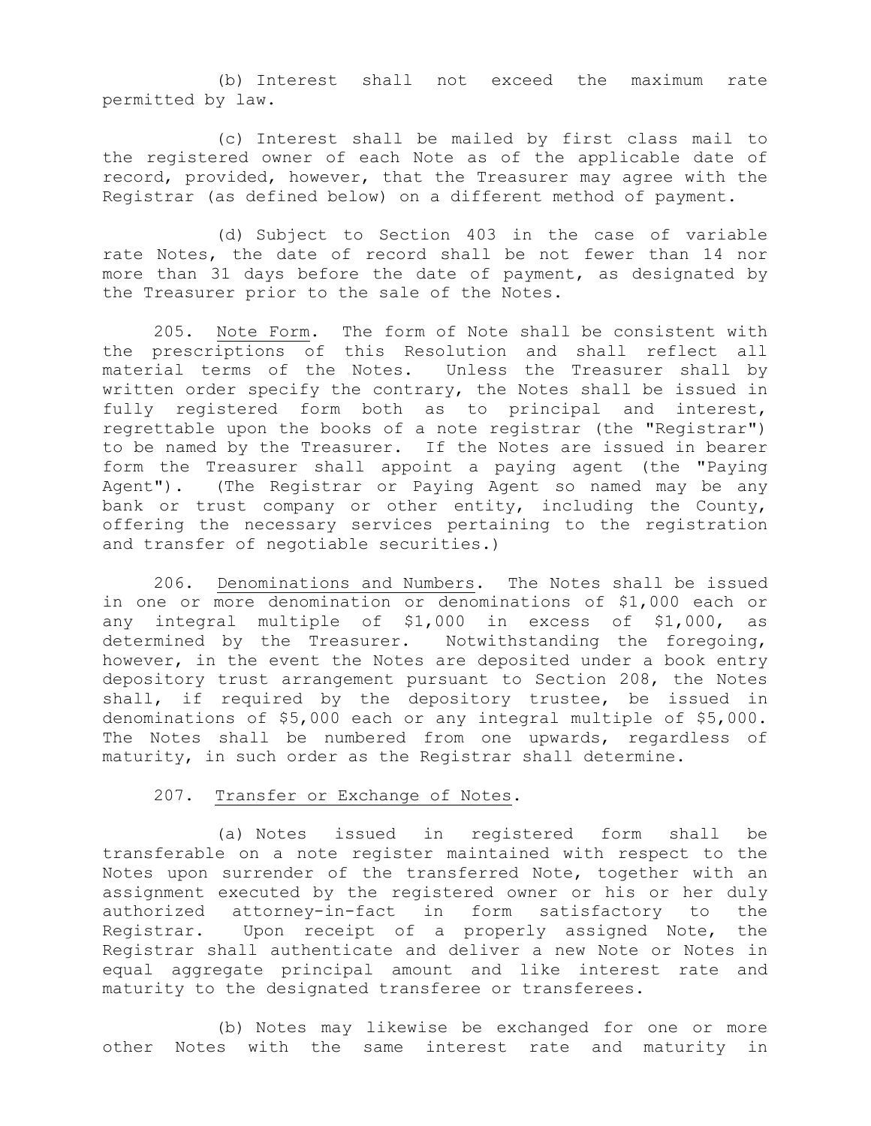(b) Interest shall not exceed the maximum rate permitted by law.

 (c) Interest shall be mailed by first class mail to the registered owner of each Note as of the applicable date of record, provided, however, that the Treasurer may agree with the Registrar (as defined below) on a different method of payment.

 (d) Subject to Section 403 in the case of variable rate Notes, the date of record shall be not fewer than 14 nor more than 31 days before the date of payment, as designated by the Treasurer prior to the sale of the Notes.

 205. Note Form. The form of Note shall be consistent with the prescriptions of this Resolution and shall reflect all material terms of the Notes. Unless the Treasurer shall by written order specify the contrary, the Notes shall be issued in fully registered form both as to principal and interest, regrettable upon the books of a note registrar (the "Registrar") to be named by the Treasurer. If the Notes are issued in bearer form the Treasurer shall appoint a paying agent (the "Paying Agent"). (The Registrar or Paying Agent so named may be any bank or trust company or other entity, including the County, offering the necessary services pertaining to the registration and transfer of negotiable securities.)

 206. Denominations and Numbers. The Notes shall be issued in one or more denomination or denominations of \$1,000 each or any integral multiple of \$1,000 in excess of \$1,000, as determined by the Treasurer. Notwithstanding the foregoing, however, in the event the Notes are deposited under a book entry depository trust arrangement pursuant to Section 208, the Notes shall, if required by the depository trustee, be issued in denominations of \$5,000 each or any integral multiple of \$5,000. The Notes shall be numbered from one upwards, regardless of maturity, in such order as the Registrar shall determine.

#### 207. Transfer or Exchange of Notes.

 (a) Notes issued in registered form shall be transferable on a note register maintained with respect to the Notes upon surrender of the transferred Note, together with an assignment executed by the registered owner or his or her duly authorized attorney-in-fact in form satisfactory to the Registrar. Upon receipt of a properly assigned Note, the Registrar shall authenticate and deliver a new Note or Notes in equal aggregate principal amount and like interest rate and maturity to the designated transferee or transferees.

 (b) Notes may likewise be exchanged for one or more other Notes with the same interest rate and maturity in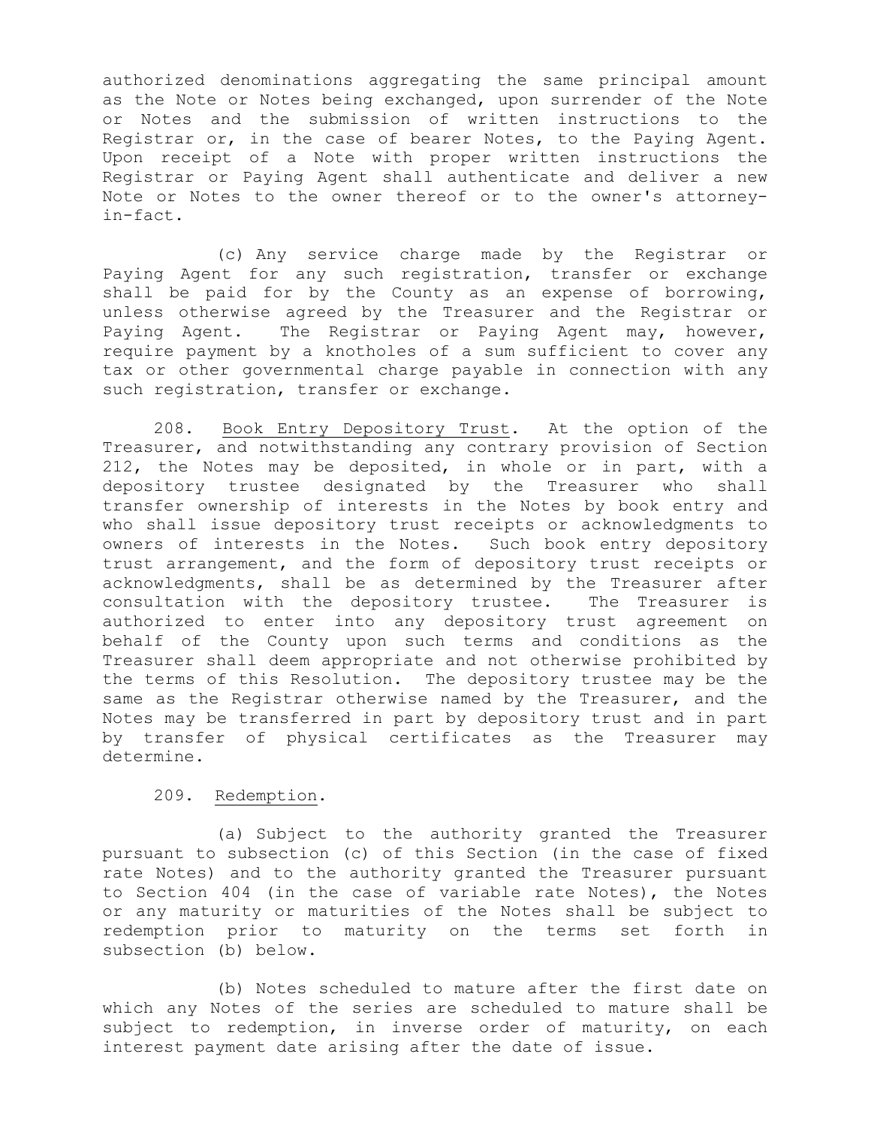authorized denominations aggregating the same principal amount as the Note or Notes being exchanged, upon surrender of the Note or Notes and the submission of written instructions to the Registrar or, in the case of bearer Notes, to the Paying Agent. Upon receipt of a Note with proper written instructions the Registrar or Paying Agent shall authenticate and deliver a new Note or Notes to the owner thereof or to the owner's attorneyin-fact.

 (c) Any service charge made by the Registrar or Paying Agent for any such registration, transfer or exchange shall be paid for by the County as an expense of borrowing, unless otherwise agreed by the Treasurer and the Registrar or Paying Agent. The Registrar or Paying Agent may, however, require payment by a knotholes of a sum sufficient to cover any tax or other governmental charge payable in connection with any such registration, transfer or exchange.

 208. Book Entry Depository Trust. At the option of the Treasurer, and notwithstanding any contrary provision of Section 212, the Notes may be deposited, in whole or in part, with a depository trustee designated by the Treasurer who shall transfer ownership of interests in the Notes by book entry and who shall issue depository trust receipts or acknowledgments to owners of interests in the Notes. Such book entry depository trust arrangement, and the form of depository trust receipts or acknowledgments, shall be as determined by the Treasurer after consultation with the depository trustee. The Treasurer is authorized to enter into any depository trust agreement on behalf of the County upon such terms and conditions as the Treasurer shall deem appropriate and not otherwise prohibited by the terms of this Resolution. The depository trustee may be the same as the Registrar otherwise named by the Treasurer, and the Notes may be transferred in part by depository trust and in part by transfer of physical certificates as the Treasurer may determine.

#### 209. Redemption.

 (a) Subject to the authority granted the Treasurer pursuant to subsection (c) of this Section (in the case of fixed rate Notes) and to the authority granted the Treasurer pursuant to Section 404 (in the case of variable rate Notes), the Notes or any maturity or maturities of the Notes shall be subject to redemption prior to maturity on the terms set forth in subsection (b) below.

 (b) Notes scheduled to mature after the first date on which any Notes of the series are scheduled to mature shall be subject to redemption, in inverse order of maturity, on each interest payment date arising after the date of issue.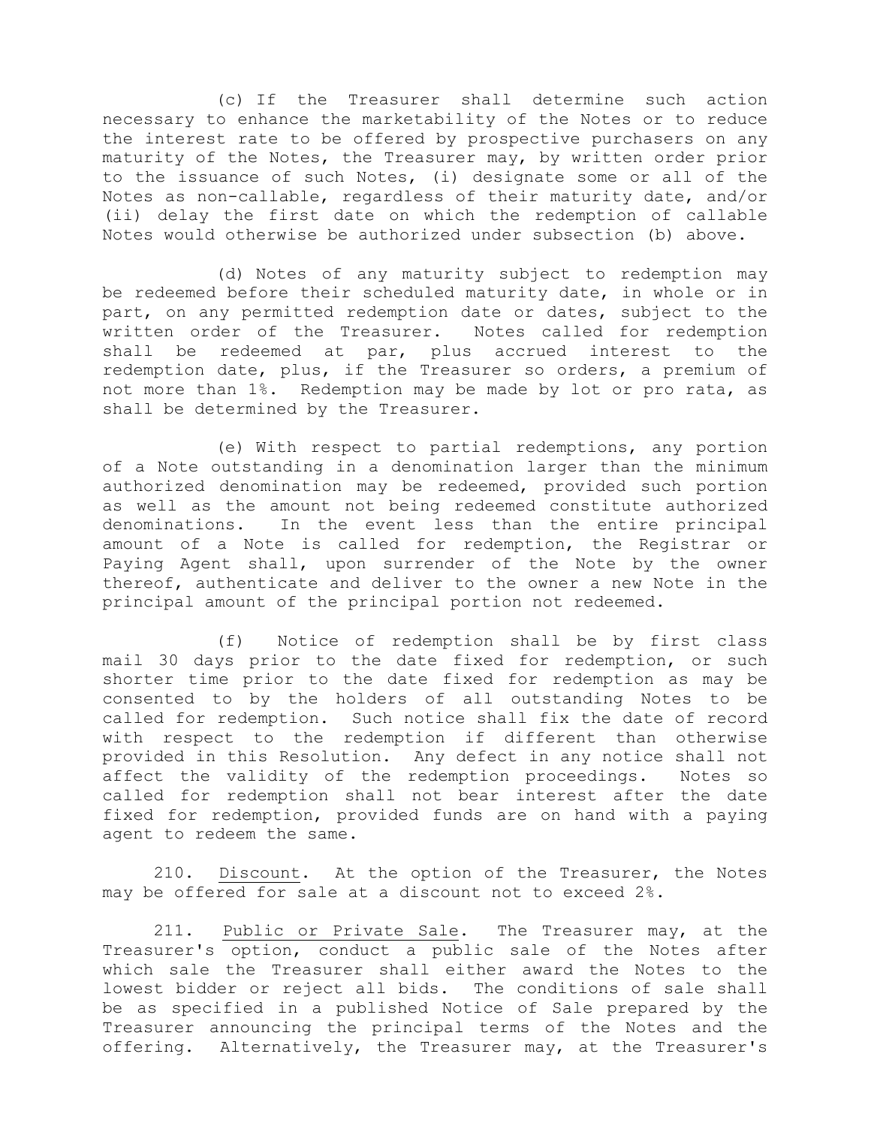(c) If the Treasurer shall determine such action necessary to enhance the marketability of the Notes or to reduce the interest rate to be offered by prospective purchasers on any maturity of the Notes, the Treasurer may, by written order prior to the issuance of such Notes, (i) designate some or all of the Notes as non-callable, regardless of their maturity date, and/or (ii) delay the first date on which the redemption of callable Notes would otherwise be authorized under subsection (b) above.

 (d) Notes of any maturity subject to redemption may be redeemed before their scheduled maturity date, in whole or in part, on any permitted redemption date or dates, subject to the written order of the Treasurer. Notes called for redemption shall be redeemed at par, plus accrued interest to the redemption date, plus, if the Treasurer so orders, a premium of not more than 1%. Redemption may be made by lot or pro rata, as shall be determined by the Treasurer.

 (e) With respect to partial redemptions, any portion of a Note outstanding in a denomination larger than the minimum authorized denomination may be redeemed, provided such portion as well as the amount not being redeemed constitute authorized denominations. In the event less than the entire principal amount of a Note is called for redemption, the Registrar or Paying Agent shall, upon surrender of the Note by the owner thereof, authenticate and deliver to the owner a new Note in the principal amount of the principal portion not redeemed.

 (f) Notice of redemption shall be by first class mail 30 days prior to the date fixed for redemption, or such shorter time prior to the date fixed for redemption as may be consented to by the holders of all outstanding Notes to be called for redemption. Such notice shall fix the date of record with respect to the redemption if different than otherwise provided in this Resolution. Any defect in any notice shall not affect the validity of the redemption proceedings. Notes so called for redemption shall not bear interest after the date fixed for redemption, provided funds are on hand with a paying agent to redeem the same.

 210. Discount. At the option of the Treasurer, the Notes may be offered for sale at a discount not to exceed 2%.

 211. Public or Private Sale. The Treasurer may, at the Treasurer's option, conduct a public sale of the Notes after which sale the Treasurer shall either award the Notes to the lowest bidder or reject all bids. The conditions of sale shall be as specified in a published Notice of Sale prepared by the Treasurer announcing the principal terms of the Notes and the offering. Alternatively, the Treasurer may, at the Treasurer's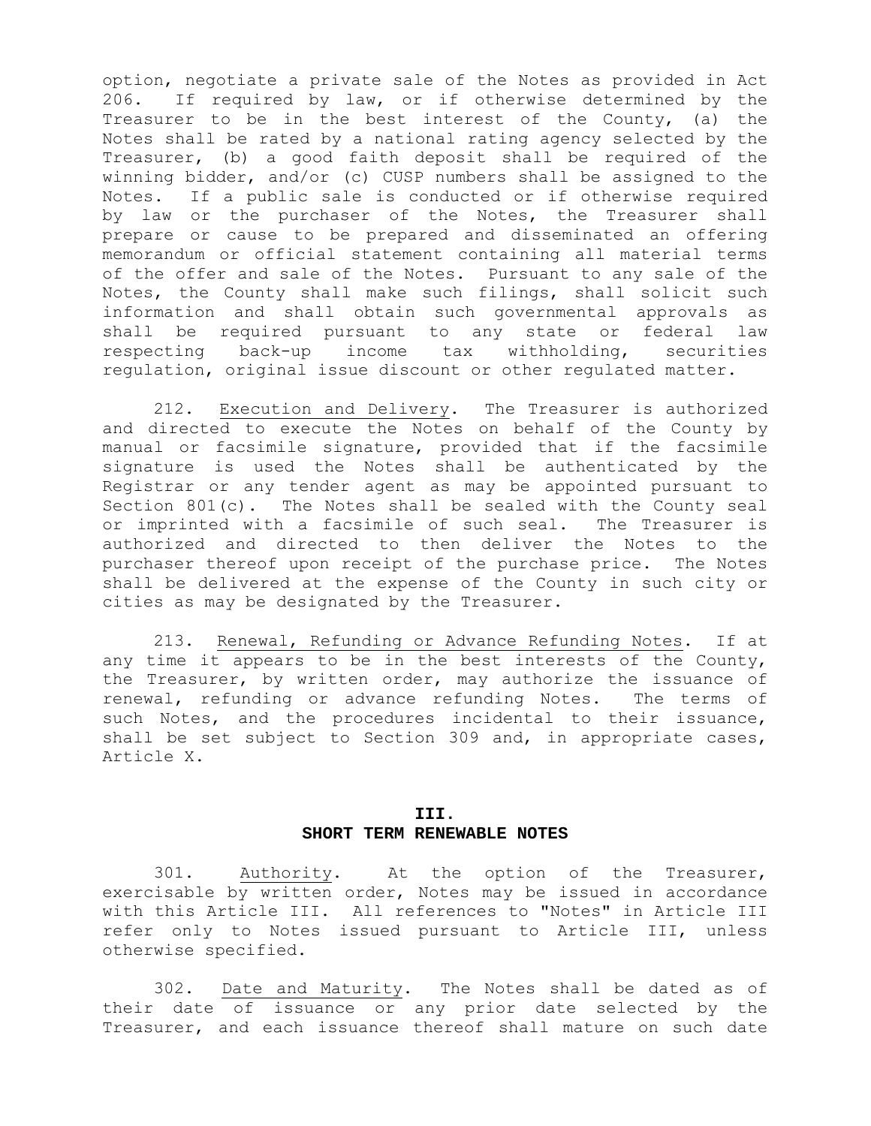option, negotiate a private sale of the Notes as provided in Act 206. If required by law, or if otherwise determined by the Treasurer to be in the best interest of the County, (a) the Notes shall be rated by a national rating agency selected by the Treasurer, (b) a good faith deposit shall be required of the winning bidder, and/or (c) CUSP numbers shall be assigned to the Notes. If a public sale is conducted or if otherwise required by law or the purchaser of the Notes, the Treasurer shall prepare or cause to be prepared and disseminated an offering memorandum or official statement containing all material terms of the offer and sale of the Notes. Pursuant to any sale of the Notes, the County shall make such filings, shall solicit such information and shall obtain such governmental approvals as shall be required pursuant to any state or federal law respecting back-up income tax withholding, securities regulation, original issue discount or other regulated matter.

 212. Execution and Delivery. The Treasurer is authorized and directed to execute the Notes on behalf of the County by manual or facsimile signature, provided that if the facsimile signature is used the Notes shall be authenticated by the Registrar or any tender agent as may be appointed pursuant to Section  $801(c)$ . The Notes shall be sealed with the County seal or imprinted with a facsimile of such seal. The Treasurer is authorized and directed to then deliver the Notes to the purchaser thereof upon receipt of the purchase price. The Notes shall be delivered at the expense of the County in such city or cities as may be designated by the Treasurer.

 213. Renewal, Refunding or Advance Refunding Notes. If at any time it appears to be in the best interests of the County, the Treasurer, by written order, may authorize the issuance of renewal, refunding or advance refunding Notes. The terms of such Notes, and the procedures incidental to their issuance, shall be set subject to Section 309 and, in appropriate cases, Article X.

### **III. SHORT TERM RENEWABLE NOTES**

 301. Authority. At the option of the Treasurer, exercisable by written order, Notes may be issued in accordance with this Article III. All references to "Notes" in Article III refer only to Notes issued pursuant to Article III, unless otherwise specified.

 302. Date and Maturity. The Notes shall be dated as of their date of issuance or any prior date selected by the Treasurer, and each issuance thereof shall mature on such date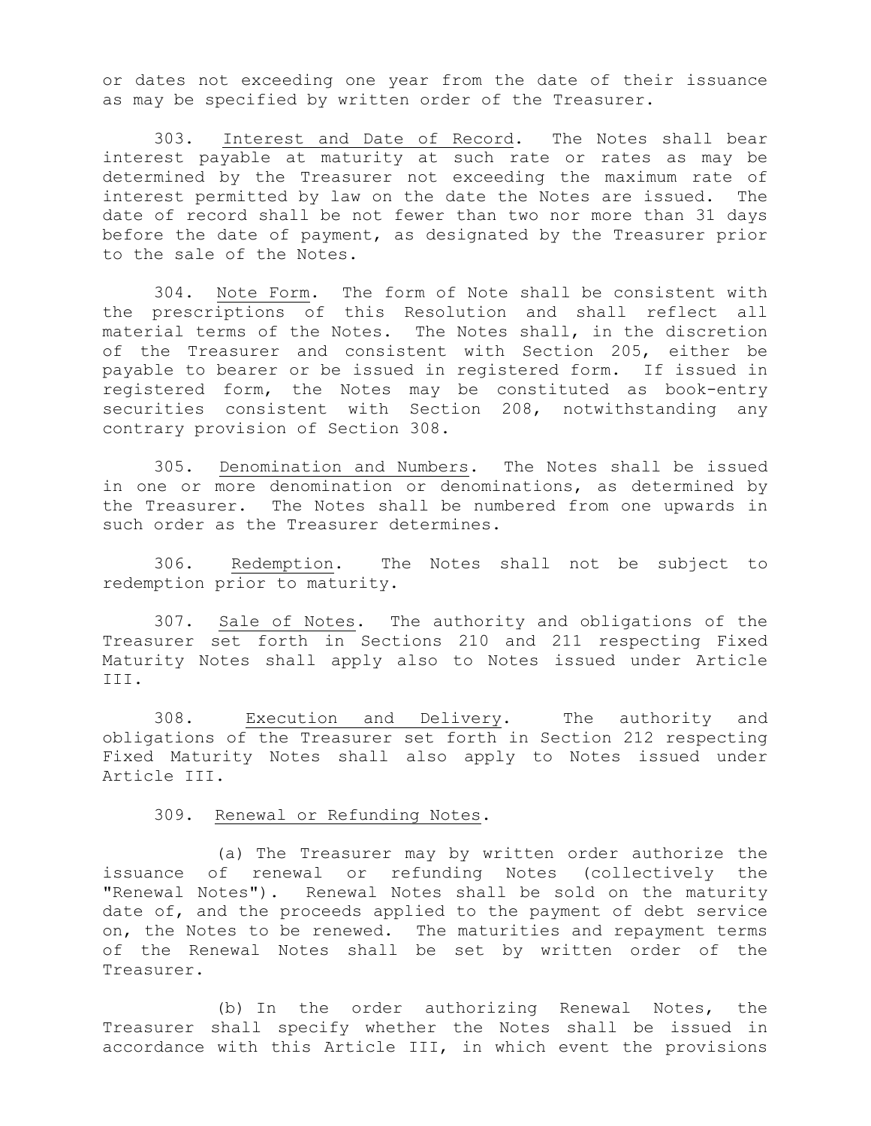or dates not exceeding one year from the date of their issuance as may be specified by written order of the Treasurer.

 303. Interest and Date of Record. The Notes shall bear interest payable at maturity at such rate or rates as may be determined by the Treasurer not exceeding the maximum rate of interest permitted by law on the date the Notes are issued. The date of record shall be not fewer than two nor more than 31 days before the date of payment, as designated by the Treasurer prior to the sale of the Notes.

 304. Note Form. The form of Note shall be consistent with the prescriptions of this Resolution and shall reflect all material terms of the Notes. The Notes shall, in the discretion of the Treasurer and consistent with Section 205, either be payable to bearer or be issued in registered form. If issued in registered form, the Notes may be constituted as book-entry securities consistent with Section 208, notwithstanding any contrary provision of Section 308.

 305. Denomination and Numbers. The Notes shall be issued in one or more denomination or denominations, as determined by the Treasurer. The Notes shall be numbered from one upwards in such order as the Treasurer determines.

 306. Redemption. The Notes shall not be subject to redemption prior to maturity.

 307. Sale of Notes. The authority and obligations of the Treasurer set forth in Sections 210 and 211 respecting Fixed Maturity Notes shall apply also to Notes issued under Article III.

 308. Execution and Delivery. The authority and obligations of the Treasurer set forth in Section 212 respecting Fixed Maturity Notes shall also apply to Notes issued under Article III.

309. Renewal or Refunding Notes.

 (a) The Treasurer may by written order authorize the issuance of renewal or refunding Notes (collectively the "Renewal Notes"). Renewal Notes shall be sold on the maturity date of, and the proceeds applied to the payment of debt service on, the Notes to be renewed. The maturities and repayment terms of the Renewal Notes shall be set by written order of the Treasurer.

 (b) In the order authorizing Renewal Notes, the Treasurer shall specify whether the Notes shall be issued in accordance with this Article III, in which event the provisions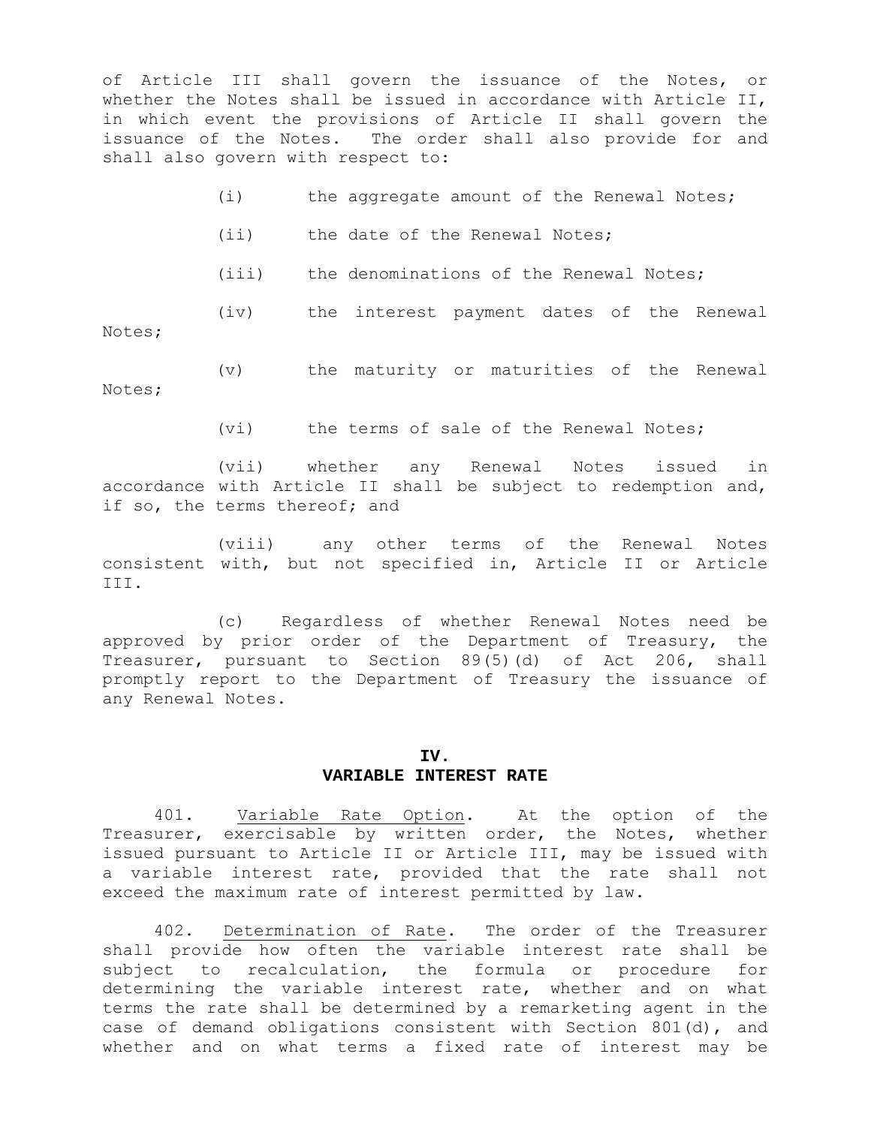of Article III shall govern the issuance of the Notes, or whether the Notes shall be issued in accordance with Article II, in which event the provisions of Article II shall govern the issuance of the Notes. The order shall also provide for and shall also govern with respect to:

|  | the aggregate amount of the Renewal Notes; |
|--|--------------------------------------------|
|--|--------------------------------------------|

(iv) the interest payment dates of the Renewal

- (ii) the date of the Renewal Notes;
- (iii) the denominations of the Renewal Notes;

Notes;

 (v) the maturity or maturities of the Renewal Notes;

(vi) the terms of sale of the Renewal Notes;

 (vii) whether any Renewal Notes issued in accordance with Article II shall be subject to redemption and, if so, the terms thereof; and

 (viii) any other terms of the Renewal Notes consistent with, but not specified in, Article II or Article III.

 (c) Regardless of whether Renewal Notes need be approved by prior order of the Department of Treasury, the Treasurer, pursuant to Section 89(5)(d) of Act 206, shall promptly report to the Department of Treasury the issuance of any Renewal Notes.

#### **IV. VARIABLE INTEREST RATE**

 401. Variable Rate Option. At the option of the Treasurer, exercisable by written order, the Notes, whether issued pursuant to Article II or Article III, may be issued with a variable interest rate, provided that the rate shall not exceed the maximum rate of interest permitted by law.

 402. Determination of Rate. The order of the Treasurer shall provide how often the variable interest rate shall be subject to recalculation, the formula or procedure for determining the variable interest rate, whether and on what terms the rate shall be determined by a remarketing agent in the case of demand obligations consistent with Section 801(d), and whether and on what terms a fixed rate of interest may be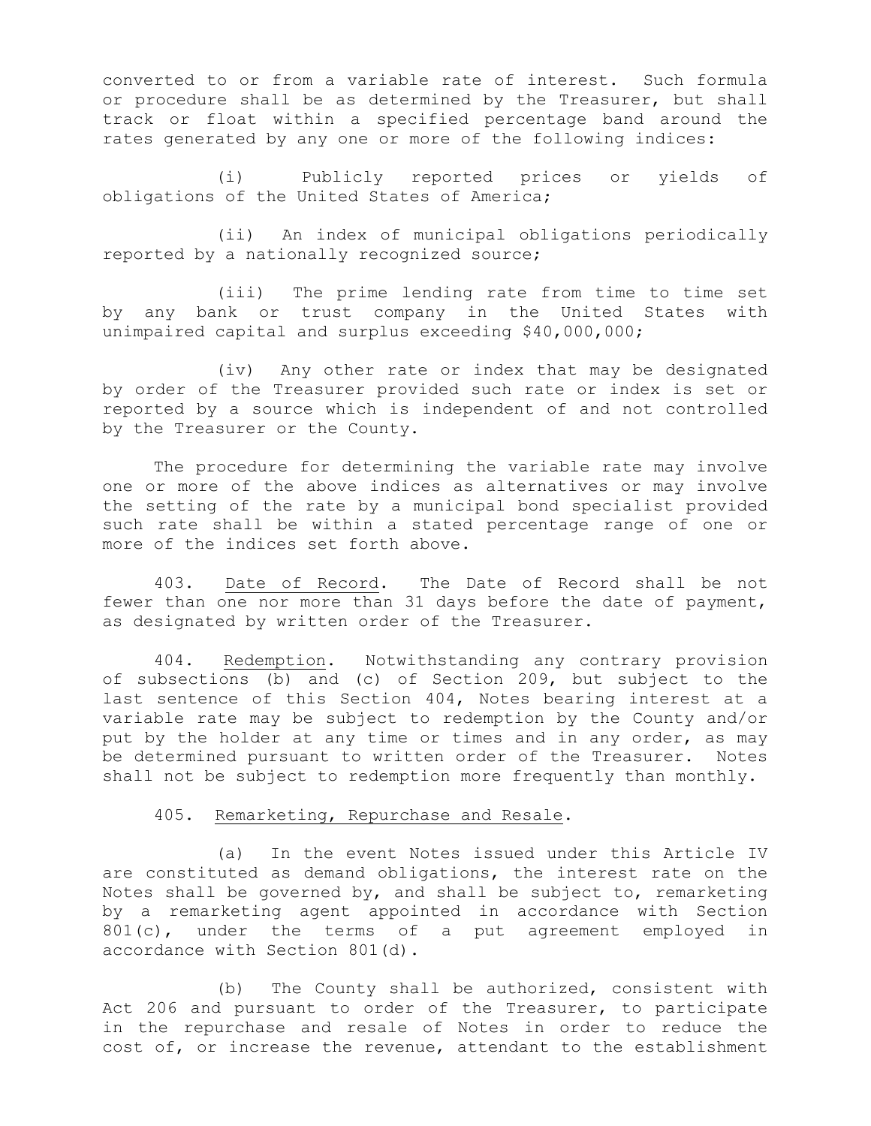converted to or from a variable rate of interest. Such formula or procedure shall be as determined by the Treasurer, but shall track or float within a specified percentage band around the rates generated by any one or more of the following indices:

 (i) Publicly reported prices or yields of obligations of the United States of America;

 (ii) An index of municipal obligations periodically reported by a nationally recognized source;

 (iii) The prime lending rate from time to time set by any bank or trust company in the United States with unimpaired capital and surplus exceeding \$40,000,000;

 (iv) Any other rate or index that may be designated by order of the Treasurer provided such rate or index is set or reported by a source which is independent of and not controlled by the Treasurer or the County.

The procedure for determining the variable rate may involve one or more of the above indices as alternatives or may involve the setting of the rate by a municipal bond specialist provided such rate shall be within a stated percentage range of one or more of the indices set forth above.

 403. Date of Record. The Date of Record shall be not fewer than one nor more than 31 days before the date of payment, as designated by written order of the Treasurer.

 404. Redemption. Notwithstanding any contrary provision of subsections (b) and (c) of Section 209, but subject to the last sentence of this Section 404, Notes bearing interest at a variable rate may be subject to redemption by the County and/or put by the holder at any time or times and in any order, as may be determined pursuant to written order of the Treasurer. Notes shall not be subject to redemption more frequently than monthly.

#### 405. Remarketing, Repurchase and Resale.

 (a) In the event Notes issued under this Article IV are constituted as demand obligations, the interest rate on the Notes shall be governed by, and shall be subject to, remarketing by a remarketing agent appointed in accordance with Section 801(c), under the terms of a put agreement employed in accordance with Section 801(d).

 (b) The County shall be authorized, consistent with Act 206 and pursuant to order of the Treasurer, to participate in the repurchase and resale of Notes in order to reduce the cost of, or increase the revenue, attendant to the establishment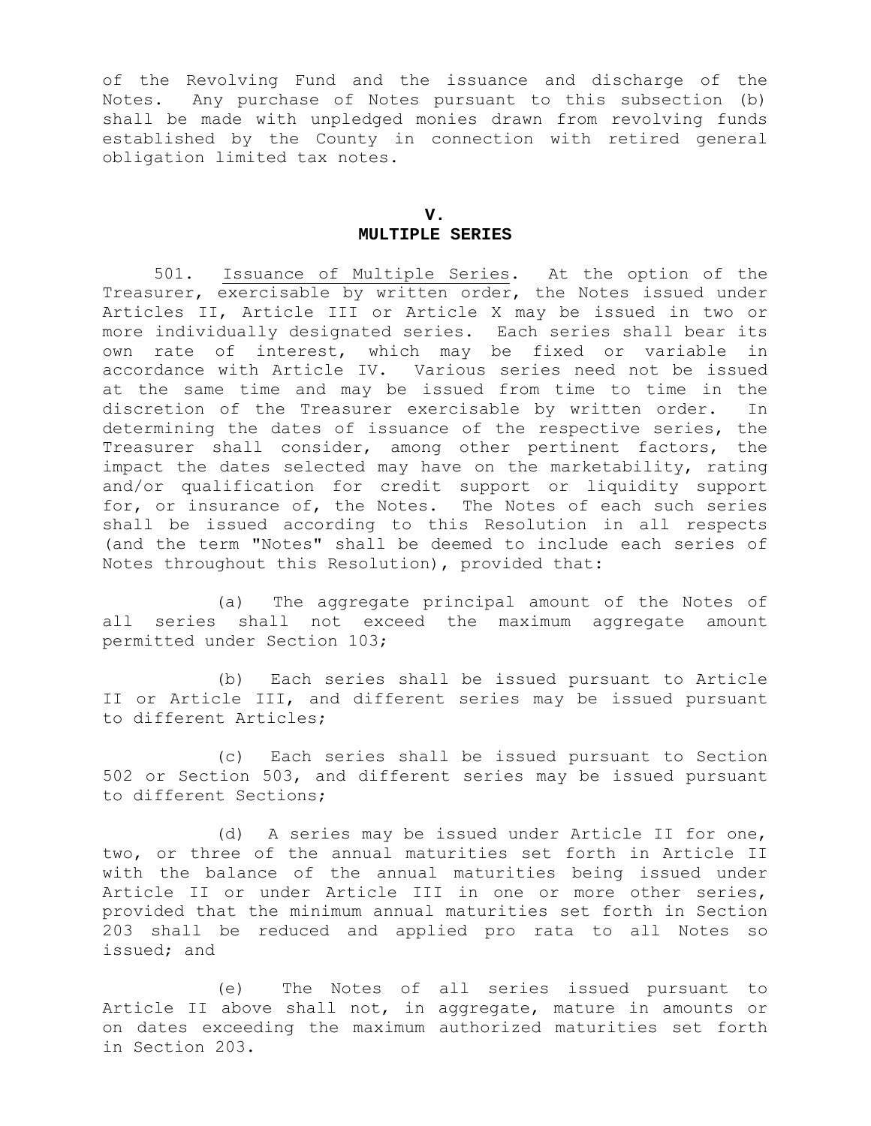of the Revolving Fund and the issuance and discharge of the Notes. Any purchase of Notes pursuant to this subsection (b) shall be made with unpledged monies drawn from revolving funds established by the County in connection with retired general obligation limited tax notes.

### **V. MULTIPLE SERIES**

 501. Issuance of Multiple Series. At the option of the Treasurer, exercisable by written order, the Notes issued under Articles II, Article III or Article X may be issued in two or more individually designated series. Each series shall bear its own rate of interest, which may be fixed or variable in accordance with Article IV. Various series need not be issued at the same time and may be issued from time to time in the discretion of the Treasurer exercisable by written order. In determining the dates of issuance of the respective series, the Treasurer shall consider, among other pertinent factors, the impact the dates selected may have on the marketability, rating and/or qualification for credit support or liquidity support for, or insurance of, the Notes. The Notes of each such series shall be issued according to this Resolution in all respects (and the term "Notes" shall be deemed to include each series of Notes throughout this Resolution), provided that:

 (a) The aggregate principal amount of the Notes of all series shall not exceed the maximum aggregate amount permitted under Section 103;

 (b) Each series shall be issued pursuant to Article II or Article III, and different series may be issued pursuant to different Articles;

 (c) Each series shall be issued pursuant to Section 502 or Section 503, and different series may be issued pursuant to different Sections;

 (d) A series may be issued under Article II for one, two, or three of the annual maturities set forth in Article II with the balance of the annual maturities being issued under Article II or under Article III in one or more other series, provided that the minimum annual maturities set forth in Section 203 shall be reduced and applied pro rata to all Notes so issued; and

 (e) The Notes of all series issued pursuant to Article II above shall not, in aggregate, mature in amounts or on dates exceeding the maximum authorized maturities set forth in Section 203.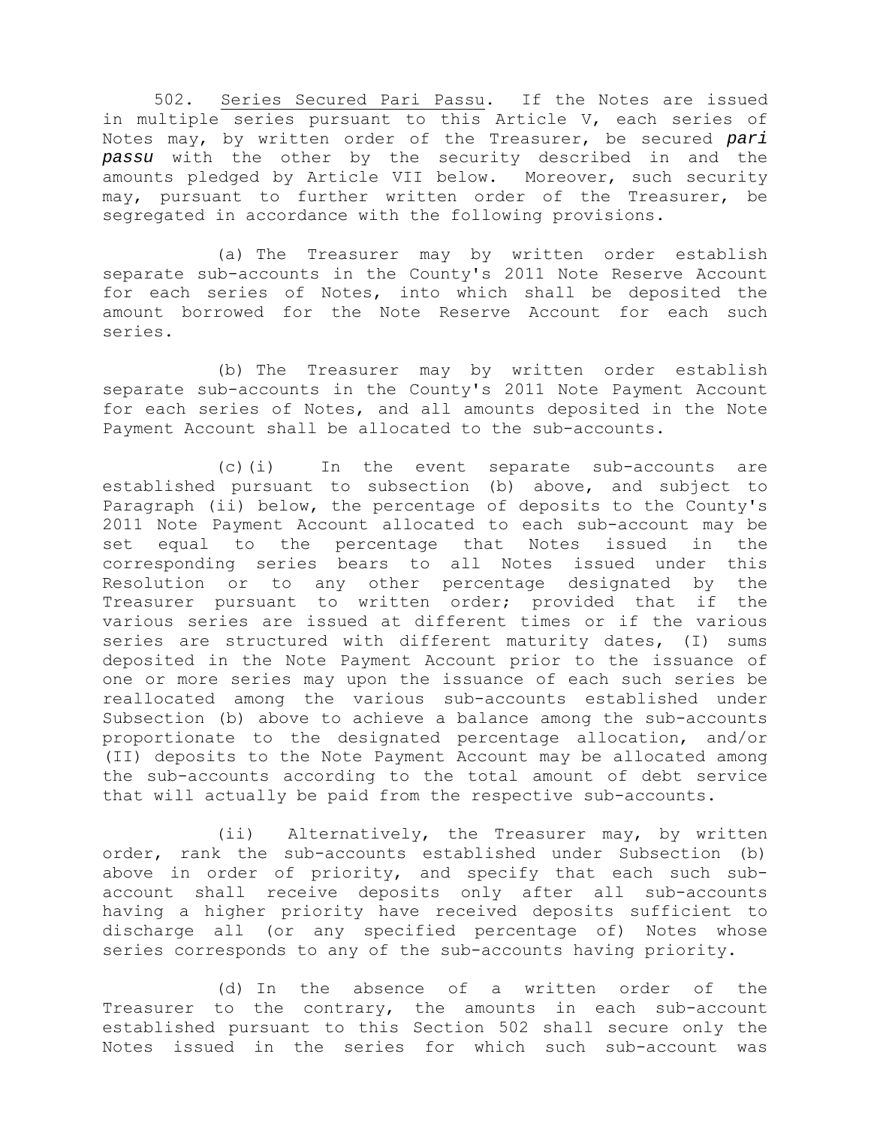502. Series Secured Pari Passu. If the Notes are issued in multiple series pursuant to this Article V, each series of Notes may, by written order of the Treasurer, be secured *pari passu* with the other by the security described in and the amounts pledged by Article VII below. Moreover, such security may, pursuant to further written order of the Treasurer, be segregated in accordance with the following provisions.

 (a) The Treasurer may by written order establish separate sub-accounts in the County's 2011 Note Reserve Account for each series of Notes, into which shall be deposited the amount borrowed for the Note Reserve Account for each such series.

 (b) The Treasurer may by written order establish separate sub-accounts in the County's 2011 Note Payment Account for each series of Notes, and all amounts deposited in the Note Payment Account shall be allocated to the sub-accounts.

 (c)(i) In the event separate sub-accounts are established pursuant to subsection (b) above, and subject to Paragraph (ii) below, the percentage of deposits to the County's 2011 Note Payment Account allocated to each sub-account may be set equal to the percentage that Notes issued in the corresponding series bears to all Notes issued under this Resolution or to any other percentage designated by the Treasurer pursuant to written order; provided that if the various series are issued at different times or if the various series are structured with different maturity dates, (I) sums deposited in the Note Payment Account prior to the issuance of one or more series may upon the issuance of each such series be reallocated among the various sub-accounts established under Subsection (b) above to achieve a balance among the sub-accounts proportionate to the designated percentage allocation, and/or (II) deposits to the Note Payment Account may be allocated among the sub-accounts according to the total amount of debt service that will actually be paid from the respective sub-accounts.

 (ii) Alternatively, the Treasurer may, by written order, rank the sub-accounts established under Subsection (b) above in order of priority, and specify that each such subaccount shall receive deposits only after all sub-accounts having a higher priority have received deposits sufficient to discharge all (or any specified percentage of) Notes whose series corresponds to any of the sub-accounts having priority.

 (d) In the absence of a written order of the Treasurer to the contrary, the amounts in each sub-account established pursuant to this Section 502 shall secure only the Notes issued in the series for which such sub-account was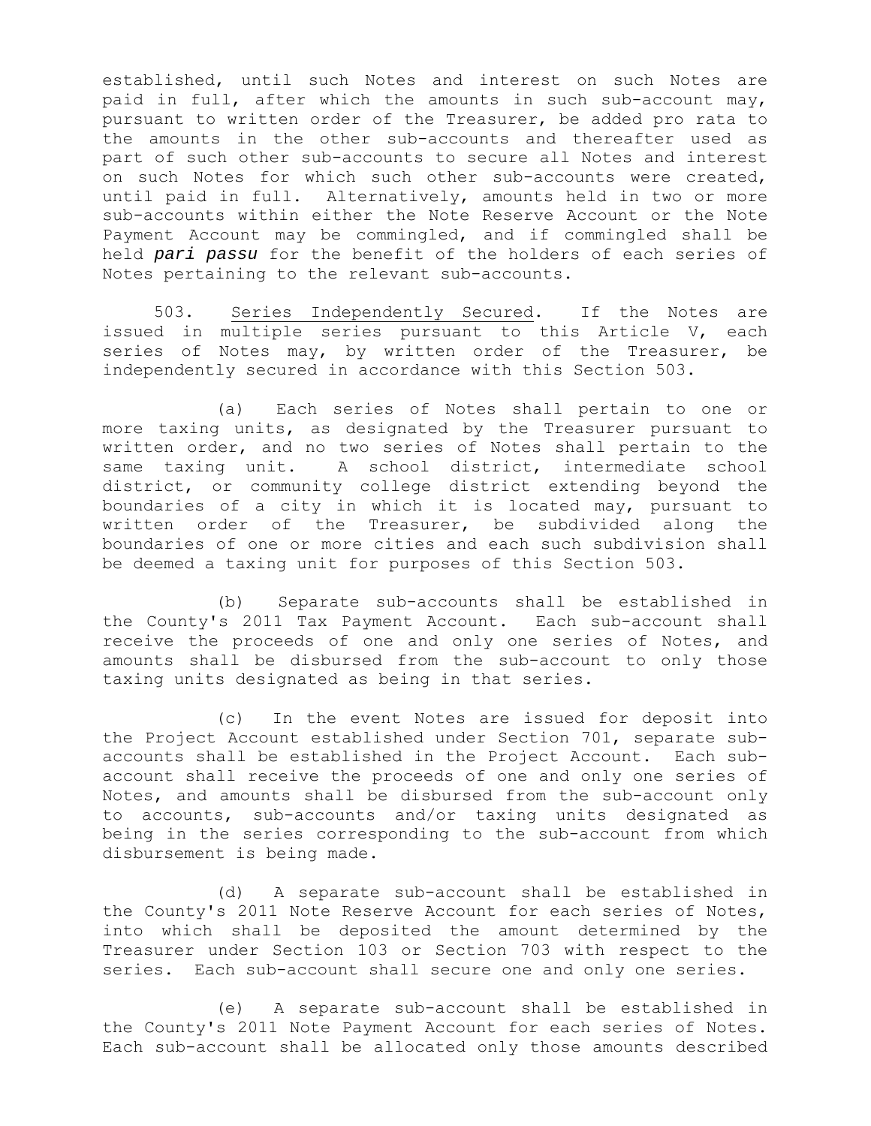established, until such Notes and interest on such Notes are paid in full, after which the amounts in such sub-account may, pursuant to written order of the Treasurer, be added pro rata to the amounts in the other sub-accounts and thereafter used as part of such other sub-accounts to secure all Notes and interest on such Notes for which such other sub-accounts were created, until paid in full. Alternatively, amounts held in two or more sub-accounts within either the Note Reserve Account or the Note Payment Account may be commingled, and if commingled shall be held *pari passu* for the benefit of the holders of each series of Notes pertaining to the relevant sub-accounts.

 503. Series Independently Secured. If the Notes are issued in multiple series pursuant to this Article V, each series of Notes may, by written order of the Treasurer, be independently secured in accordance with this Section 503.

 (a) Each series of Notes shall pertain to one or more taxing units, as designated by the Treasurer pursuant to written order, and no two series of Notes shall pertain to the same taxing unit. A school district, intermediate school district, or community college district extending beyond the boundaries of a city in which it is located may, pursuant to written order of the Treasurer, be subdivided along the boundaries of one or more cities and each such subdivision shall be deemed a taxing unit for purposes of this Section 503.

 (b) Separate sub-accounts shall be established in the County's 2011 Tax Payment Account. Each sub-account shall receive the proceeds of one and only one series of Notes, and amounts shall be disbursed from the sub-account to only those taxing units designated as being in that series.

 (c) In the event Notes are issued for deposit into the Project Account established under Section 701, separate subaccounts shall be established in the Project Account. Each subaccount shall receive the proceeds of one and only one series of Notes, and amounts shall be disbursed from the sub-account only to accounts, sub-accounts and/or taxing units designated as being in the series corresponding to the sub-account from which disbursement is being made.

 (d) A separate sub-account shall be established in the County's 2011 Note Reserve Account for each series of Notes, into which shall be deposited the amount determined by the Treasurer under Section 103 or Section 703 with respect to the series. Each sub-account shall secure one and only one series.

 (e) A separate sub-account shall be established in the County's 2011 Note Payment Account for each series of Notes. Each sub-account shall be allocated only those amounts described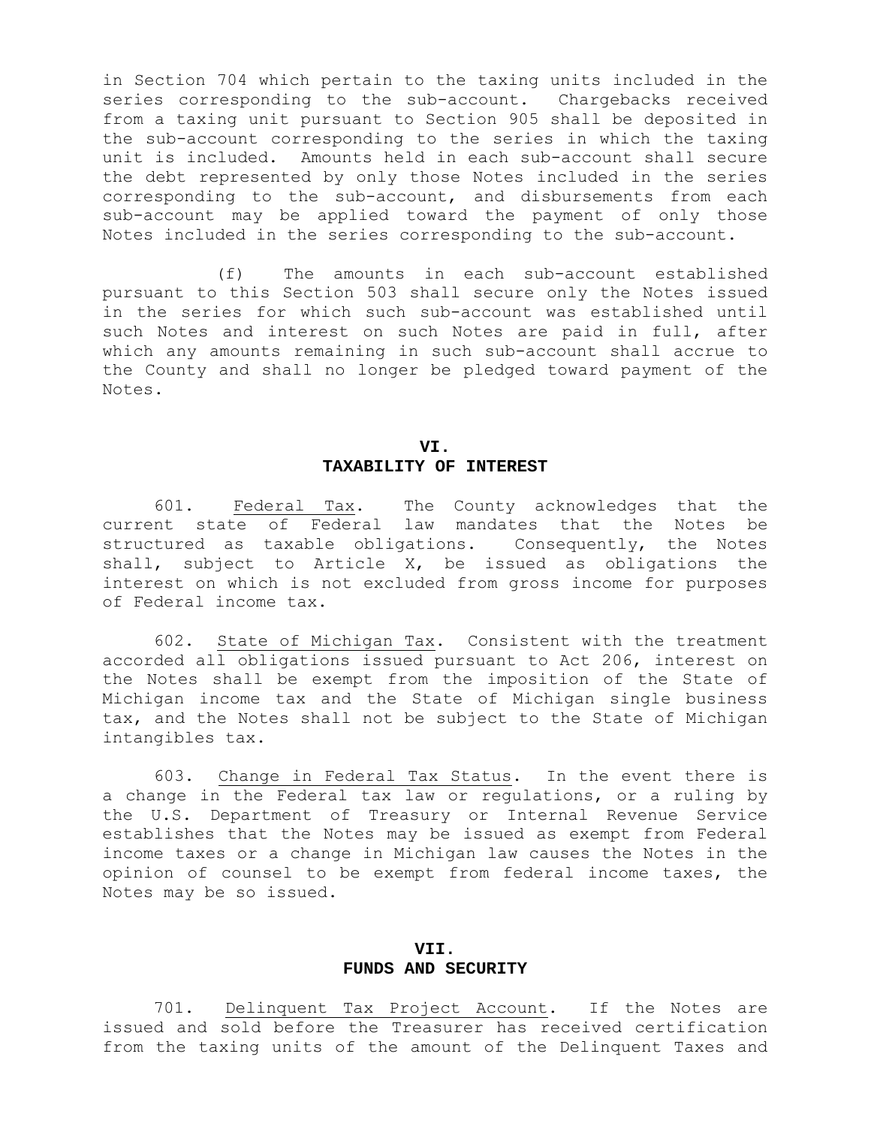in Section 704 which pertain to the taxing units included in the series corresponding to the sub-account. Chargebacks received from a taxing unit pursuant to Section 905 shall be deposited in the sub-account corresponding to the series in which the taxing unit is included. Amounts held in each sub-account shall secure the debt represented by only those Notes included in the series corresponding to the sub-account, and disbursements from each sub-account may be applied toward the payment of only those Notes included in the series corresponding to the sub-account.

 (f) The amounts in each sub-account established pursuant to this Section 503 shall secure only the Notes issued in the series for which such sub-account was established until such Notes and interest on such Notes are paid in full, after which any amounts remaining in such sub-account shall accrue to the County and shall no longer be pledged toward payment of the Notes.

### **VI. TAXABILITY OF INTEREST**

 601. Federal Tax. The County acknowledges that the current state of Federal law mandates that the Notes be structured as taxable obligations. Consequently, the Notes shall, subject to Article X, be issued as obligations the interest on which is not excluded from gross income for purposes of Federal income tax.

 602. State of Michigan Tax. Consistent with the treatment accorded all obligations issued pursuant to Act 206, interest on the Notes shall be exempt from the imposition of the State of Michigan income tax and the State of Michigan single business tax, and the Notes shall not be subject to the State of Michigan intangibles tax.

 603. Change in Federal Tax Status. In the event there is a change in the Federal tax law or regulations, or a ruling by the U.S. Department of Treasury or Internal Revenue Service establishes that the Notes may be issued as exempt from Federal income taxes or a change in Michigan law causes the Notes in the opinion of counsel to be exempt from federal income taxes, the Notes may be so issued.

#### **VII.**

#### **FUNDS AND SECURITY**

 701. Delinquent Tax Project Account. If the Notes are issued and sold before the Treasurer has received certification from the taxing units of the amount of the Delinquent Taxes and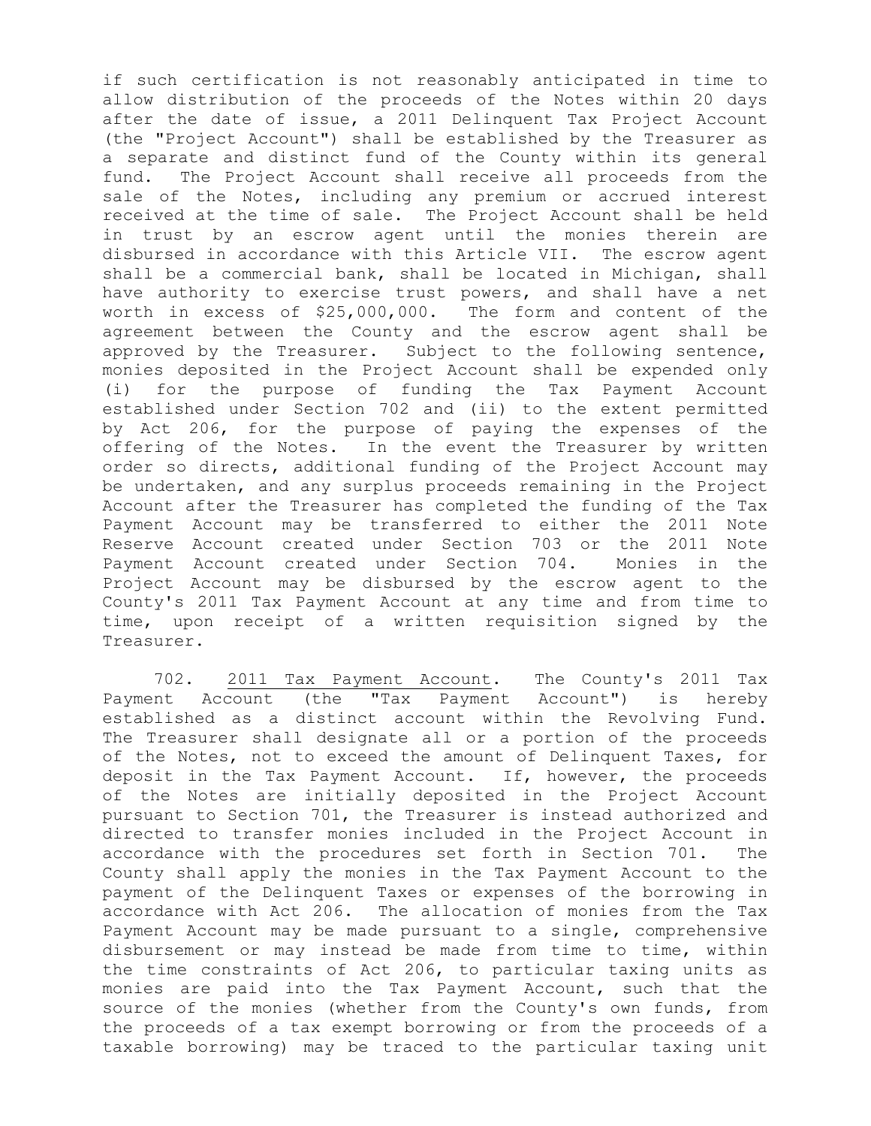if such certification is not reasonably anticipated in time to allow distribution of the proceeds of the Notes within 20 days after the date of issue, a 2011 Delinquent Tax Project Account (the "Project Account") shall be established by the Treasurer as a separate and distinct fund of the County within its general fund. The Project Account shall receive all proceeds from the sale of the Notes, including any premium or accrued interest received at the time of sale. The Project Account shall be held in trust by an escrow agent until the monies therein are disbursed in accordance with this Article VII. The escrow agent shall be a commercial bank, shall be located in Michigan, shall have authority to exercise trust powers, and shall have a net worth in excess of \$25,000,000. The form and content of the agreement between the County and the escrow agent shall be approved by the Treasurer. Subject to the following sentence, monies deposited in the Project Account shall be expended only (i) for the purpose of funding the Tax Payment Account established under Section 702 and (ii) to the extent permitted by Act 206, for the purpose of paying the expenses of the offering of the Notes. In the event the Treasurer by written order so directs, additional funding of the Project Account may be undertaken, and any surplus proceeds remaining in the Project Account after the Treasurer has completed the funding of the Tax Payment Account may be transferred to either the 2011 Note Reserve Account created under Section 703 or the 2011 Note Payment Account created under Section 704. Monies in the Project Account may be disbursed by the escrow agent to the County's 2011 Tax Payment Account at any time and from time to time, upon receipt of a written requisition signed by the Treasurer.

 702. 2011 Tax Payment Account. The County's 2011 Tax Payment Account (the "Tax Payment Account") is hereby established as a distinct account within the Revolving Fund. The Treasurer shall designate all or a portion of the proceeds of the Notes, not to exceed the amount of Delinquent Taxes, for deposit in the Tax Payment Account. If, however, the proceeds of the Notes are initially deposited in the Project Account pursuant to Section 701, the Treasurer is instead authorized and directed to transfer monies included in the Project Account in accordance with the procedures set forth in Section 701. The County shall apply the monies in the Tax Payment Account to the payment of the Delinquent Taxes or expenses of the borrowing in accordance with Act 206. The allocation of monies from the Tax Payment Account may be made pursuant to a single, comprehensive disbursement or may instead be made from time to time, within the time constraints of Act 206, to particular taxing units as monies are paid into the Tax Payment Account, such that the source of the monies (whether from the County's own funds, from the proceeds of a tax exempt borrowing or from the proceeds of a taxable borrowing) may be traced to the particular taxing unit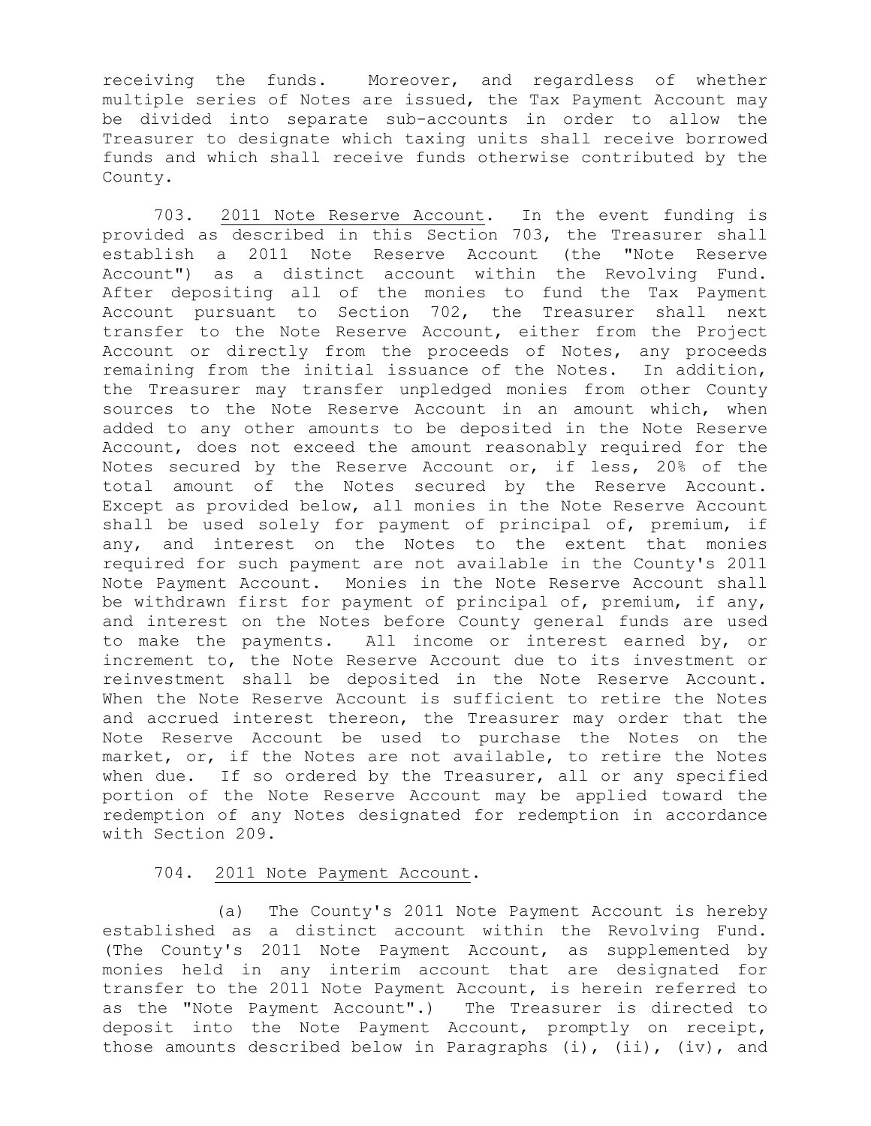receiving the funds. Moreover, and regardless of whether multiple series of Notes are issued, the Tax Payment Account may be divided into separate sub-accounts in order to allow the Treasurer to designate which taxing units shall receive borrowed funds and which shall receive funds otherwise contributed by the County.

 703. 2011 Note Reserve Account. In the event funding is provided as described in this Section 703, the Treasurer shall establish a 2011 Note Reserve Account (the "Note Reserve Account") as a distinct account within the Revolving Fund. After depositing all of the monies to fund the Tax Payment Account pursuant to Section 702, the Treasurer shall next transfer to the Note Reserve Account, either from the Project Account or directly from the proceeds of Notes, any proceeds remaining from the initial issuance of the Notes. In addition, the Treasurer may transfer unpledged monies from other County sources to the Note Reserve Account in an amount which, when added to any other amounts to be deposited in the Note Reserve Account, does not exceed the amount reasonably required for the Notes secured by the Reserve Account or, if less, 20% of the total amount of the Notes secured by the Reserve Account. Except as provided below, all monies in the Note Reserve Account shall be used solely for payment of principal of, premium, if any, and interest on the Notes to the extent that monies required for such payment are not available in the County's 2011 Note Payment Account. Monies in the Note Reserve Account shall be withdrawn first for payment of principal of, premium, if any, and interest on the Notes before County general funds are used to make the payments. All income or interest earned by, or increment to, the Note Reserve Account due to its investment or reinvestment shall be deposited in the Note Reserve Account. When the Note Reserve Account is sufficient to retire the Notes and accrued interest thereon, the Treasurer may order that the Note Reserve Account be used to purchase the Notes on the market, or, if the Notes are not available, to retire the Notes when due. If so ordered by the Treasurer, all or any specified portion of the Note Reserve Account may be applied toward the redemption of any Notes designated for redemption in accordance with Section 209.

#### 704. 2011 Note Payment Account.

 (a) The County's 2011 Note Payment Account is hereby established as a distinct account within the Revolving Fund. (The County's 2011 Note Payment Account, as supplemented by monies held in any interim account that are designated for transfer to the 2011 Note Payment Account, is herein referred to as the "Note Payment Account".) The Treasurer is directed to deposit into the Note Payment Account, promptly on receipt, those amounts described below in Paragraphs  $(i)$ ,  $(ii)$ ,  $(iv)$ , and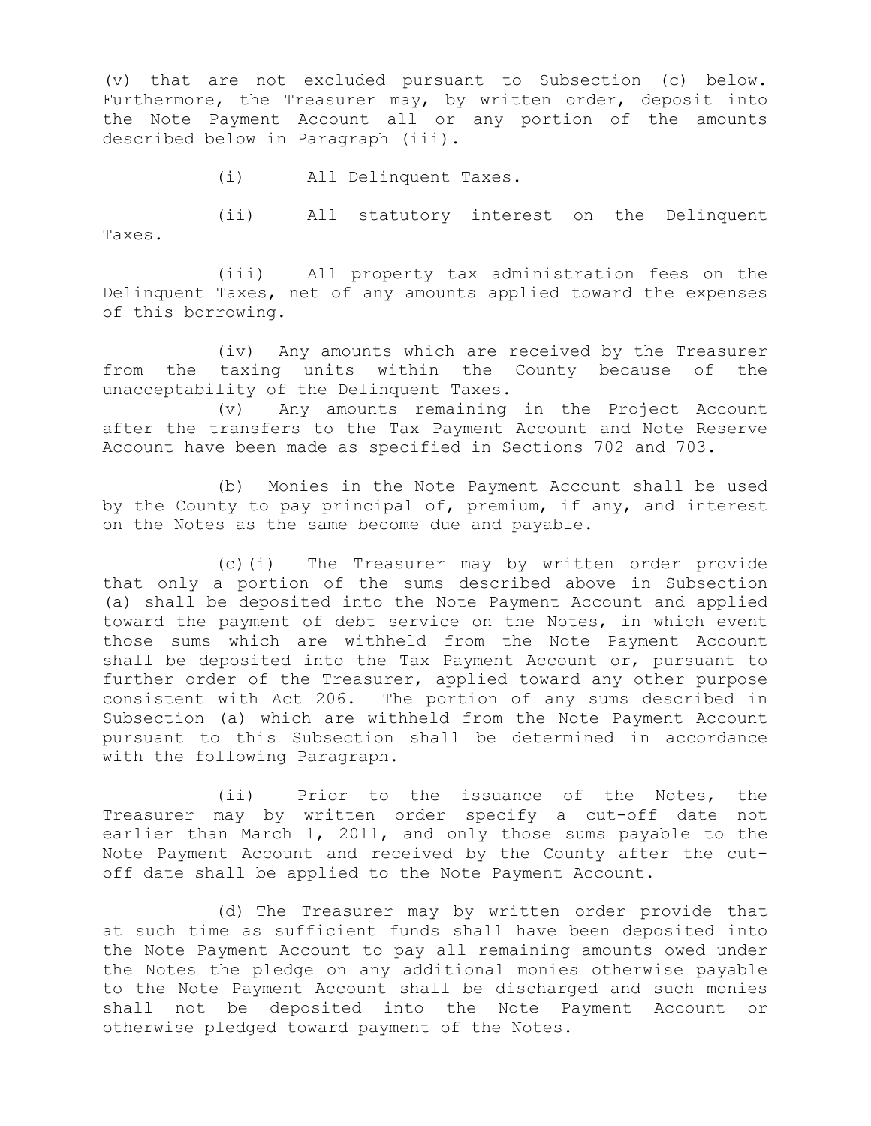(v) that are not excluded pursuant to Subsection (c) below. Furthermore, the Treasurer may, by written order, deposit into the Note Payment Account all or any portion of the amounts described below in Paragraph (iii).

(i) All Delinquent Taxes.

 (ii) All statutory interest on the Delinquent Taxes.

 (iii) All property tax administration fees on the Delinquent Taxes, net of any amounts applied toward the expenses of this borrowing.

 (iv) Any amounts which are received by the Treasurer from the taxing units within the County because of the unacceptability of the Delinquent Taxes.

 (v) Any amounts remaining in the Project Account after the transfers to the Tax Payment Account and Note Reserve Account have been made as specified in Sections 702 and 703.

 (b) Monies in the Note Payment Account shall be used by the County to pay principal of, premium, if any, and interest on the Notes as the same become due and payable.

 (c)(i) The Treasurer may by written order provide that only a portion of the sums described above in Subsection (a) shall be deposited into the Note Payment Account and applied toward the payment of debt service on the Notes, in which event those sums which are withheld from the Note Payment Account shall be deposited into the Tax Payment Account or, pursuant to further order of the Treasurer, applied toward any other purpose consistent with Act 206. The portion of any sums described in Subsection (a) which are withheld from the Note Payment Account pursuant to this Subsection shall be determined in accordance with the following Paragraph.

 (ii) Prior to the issuance of the Notes, the Treasurer may by written order specify a cut-off date not earlier than March 1, 2011, and only those sums payable to the Note Payment Account and received by the County after the cutoff date shall be applied to the Note Payment Account.

 (d) The Treasurer may by written order provide that at such time as sufficient funds shall have been deposited into the Note Payment Account to pay all remaining amounts owed under the Notes the pledge on any additional monies otherwise payable to the Note Payment Account shall be discharged and such monies shall not be deposited into the Note Payment Account or otherwise pledged toward payment of the Notes.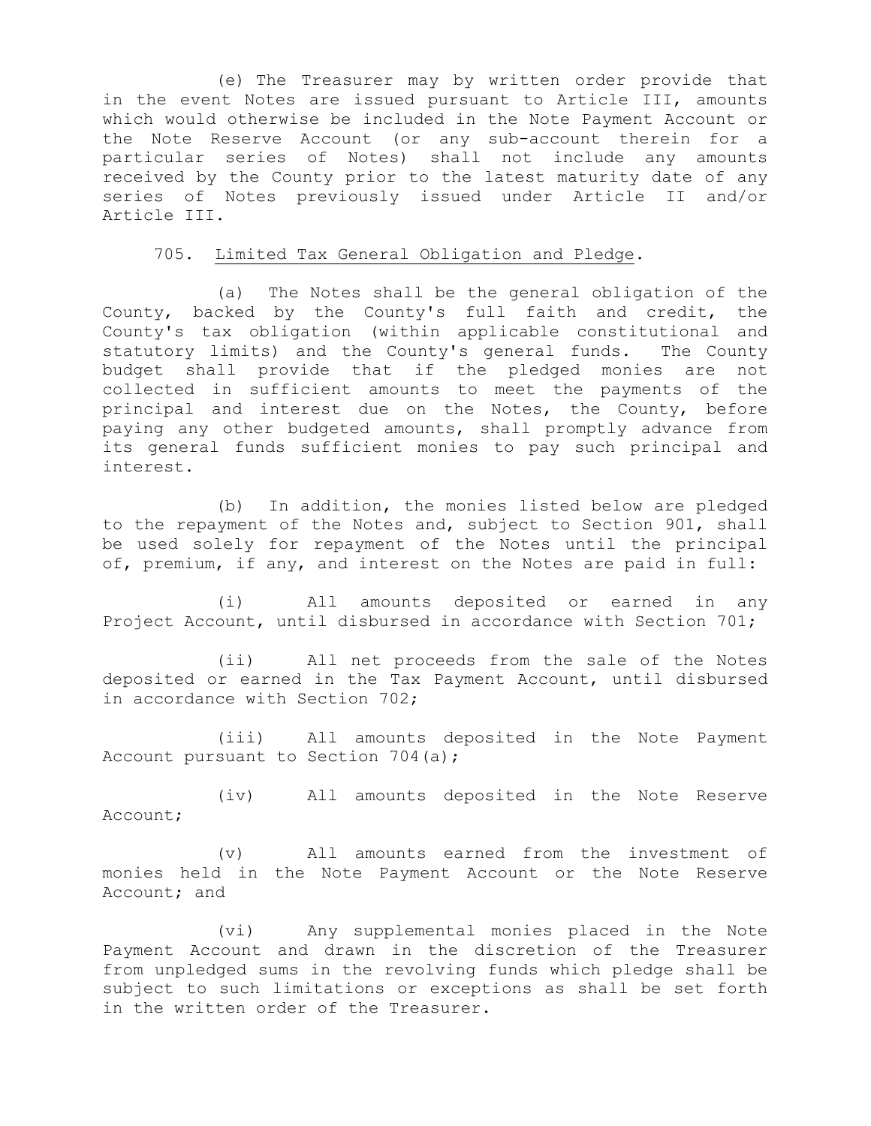(e) The Treasurer may by written order provide that in the event Notes are issued pursuant to Article III, amounts which would otherwise be included in the Note Payment Account or the Note Reserve Account (or any sub-account therein for a particular series of Notes) shall not include any amounts received by the County prior to the latest maturity date of any series of Notes previously issued under Article II and/or Article III.

705. Limited Tax General Obligation and Pledge.

 (a) The Notes shall be the general obligation of the County, backed by the County's full faith and credit, the County's tax obligation (within applicable constitutional and statutory limits) and the County's general funds. The County budget shall provide that if the pledged monies are not collected in sufficient amounts to meet the payments of the principal and interest due on the Notes, the County, before paying any other budgeted amounts, shall promptly advance from its general funds sufficient monies to pay such principal and interest.

 (b) In addition, the monies listed below are pledged to the repayment of the Notes and, subject to Section 901, shall be used solely for repayment of the Notes until the principal of, premium, if any, and interest on the Notes are paid in full:

 (i) All amounts deposited or earned in any Project Account, until disbursed in accordance with Section 701;

 (ii) All net proceeds from the sale of the Notes deposited or earned in the Tax Payment Account, until disbursed in accordance with Section 702;

 (iii) All amounts deposited in the Note Payment Account pursuant to Section 704(a);

 (iv) All amounts deposited in the Note Reserve Account;

 (v) All amounts earned from the investment of monies held in the Note Payment Account or the Note Reserve Account; and

 (vi) Any supplemental monies placed in the Note Payment Account and drawn in the discretion of the Treasurer from unpledged sums in the revolving funds which pledge shall be subject to such limitations or exceptions as shall be set forth in the written order of the Treasurer.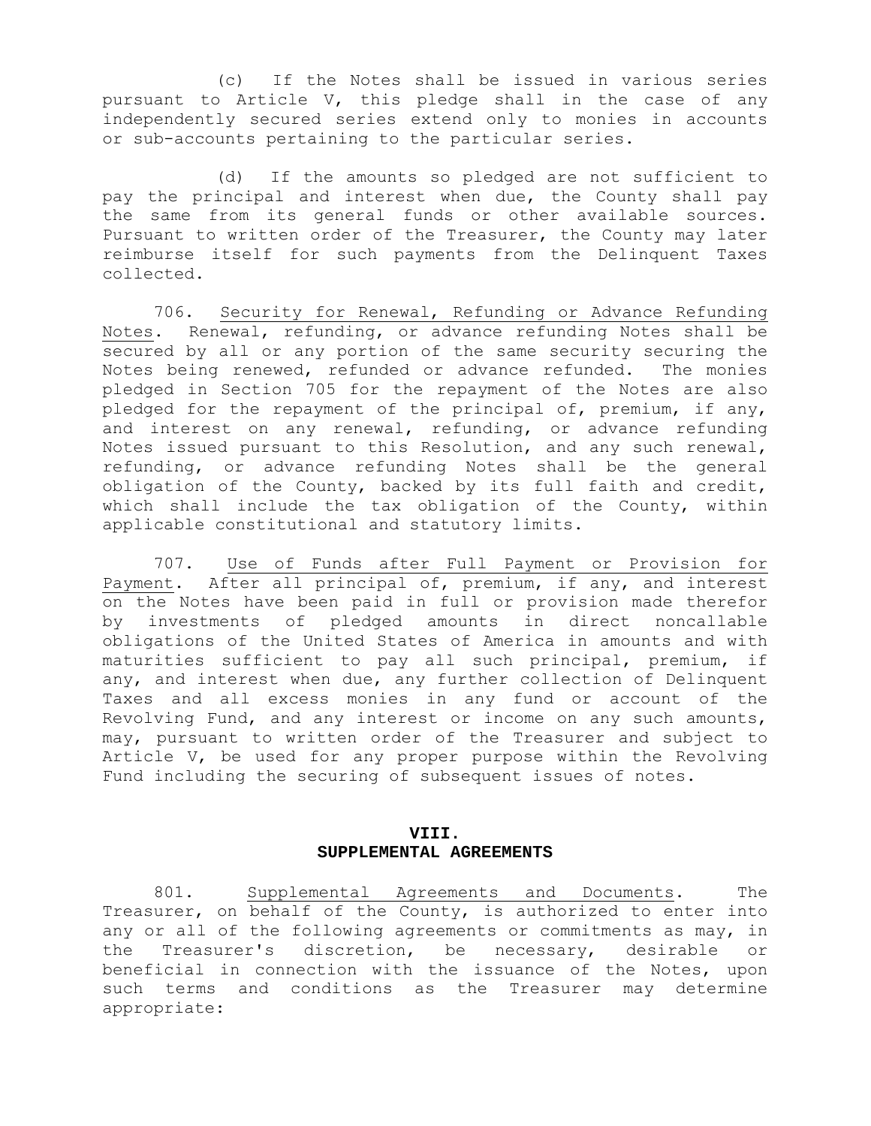(c) If the Notes shall be issued in various series pursuant to Article V, this pledge shall in the case of any independently secured series extend only to monies in accounts or sub-accounts pertaining to the particular series.

 (d) If the amounts so pledged are not sufficient to pay the principal and interest when due, the County shall pay the same from its general funds or other available sources. Pursuant to written order of the Treasurer, the County may later reimburse itself for such payments from the Delinquent Taxes collected.

 706. Security for Renewal, Refunding or Advance Refunding Notes. Renewal, refunding, or advance refunding Notes shall be secured by all or any portion of the same security securing the Notes being renewed, refunded or advance refunded. The monies pledged in Section 705 for the repayment of the Notes are also pledged for the repayment of the principal of, premium, if any, and interest on any renewal, refunding, or advance refunding Notes issued pursuant to this Resolution, and any such renewal, refunding, or advance refunding Notes shall be the general obligation of the County, backed by its full faith and credit, which shall include the tax obligation of the County, within applicable constitutional and statutory limits.

 707. Use of Funds after Full Payment or Provision for Payment. After all principal of, premium, if any, and interest on the Notes have been paid in full or provision made therefor by investments of pledged amounts in direct noncallable obligations of the United States of America in amounts and with maturities sufficient to pay all such principal, premium, if any, and interest when due, any further collection of Delinquent Taxes and all excess monies in any fund or account of the Revolving Fund, and any interest or income on any such amounts, may, pursuant to written order of the Treasurer and subject to Article V, be used for any proper purpose within the Revolving Fund including the securing of subsequent issues of notes.

#### **VIII. SUPPLEMENTAL AGREEMENTS**

 801. Supplemental Agreements and Documents. The Treasurer, on behalf of the County, is authorized to enter into any or all of the following agreements or commitments as may, in the Treasurer's discretion, be necessary, desirable or beneficial in connection with the issuance of the Notes, upon such terms and conditions as the Treasurer may determine appropriate: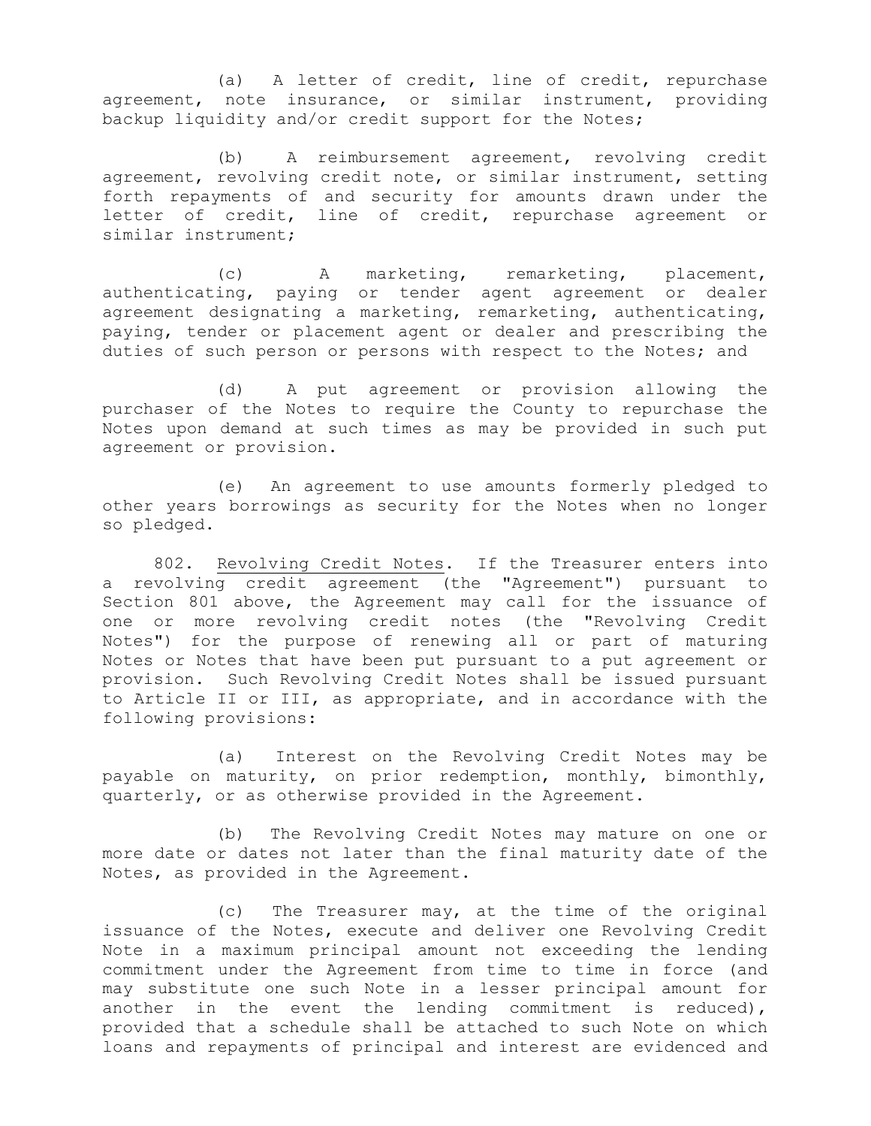(a) A letter of credit, line of credit, repurchase agreement, note insurance, or similar instrument, providing backup liquidity and/or credit support for the Notes;

 (b) A reimbursement agreement, revolving credit agreement, revolving credit note, or similar instrument, setting forth repayments of and security for amounts drawn under the letter of credit, line of credit, repurchase agreement or similar instrument;

 (c) A marketing, remarketing, placement, authenticating, paying or tender agent agreement or dealer agreement designating a marketing, remarketing, authenticating, paying, tender or placement agent or dealer and prescribing the duties of such person or persons with respect to the Notes; and

 (d) A put agreement or provision allowing the purchaser of the Notes to require the County to repurchase the Notes upon demand at such times as may be provided in such put agreement or provision.

 (e) An agreement to use amounts formerly pledged to other years borrowings as security for the Notes when no longer so pledged.

 802. Revolving Credit Notes. If the Treasurer enters into a revolving credit agreement (the "Agreement") pursuant to Section 801 above, the Agreement may call for the issuance of one or more revolving credit notes (the "Revolving Credit Notes") for the purpose of renewing all or part of maturing Notes or Notes that have been put pursuant to a put agreement or provision. Such Revolving Credit Notes shall be issued pursuant to Article II or III, as appropriate, and in accordance with the following provisions:

 (a) Interest on the Revolving Credit Notes may be payable on maturity, on prior redemption, monthly, bimonthly, quarterly, or as otherwise provided in the Agreement.

 (b) The Revolving Credit Notes may mature on one or more date or dates not later than the final maturity date of the Notes, as provided in the Agreement.

 (c) The Treasurer may, at the time of the original issuance of the Notes, execute and deliver one Revolving Credit Note in a maximum principal amount not exceeding the lending commitment under the Agreement from time to time in force (and may substitute one such Note in a lesser principal amount for another in the event the lending commitment is reduced), provided that a schedule shall be attached to such Note on which loans and repayments of principal and interest are evidenced and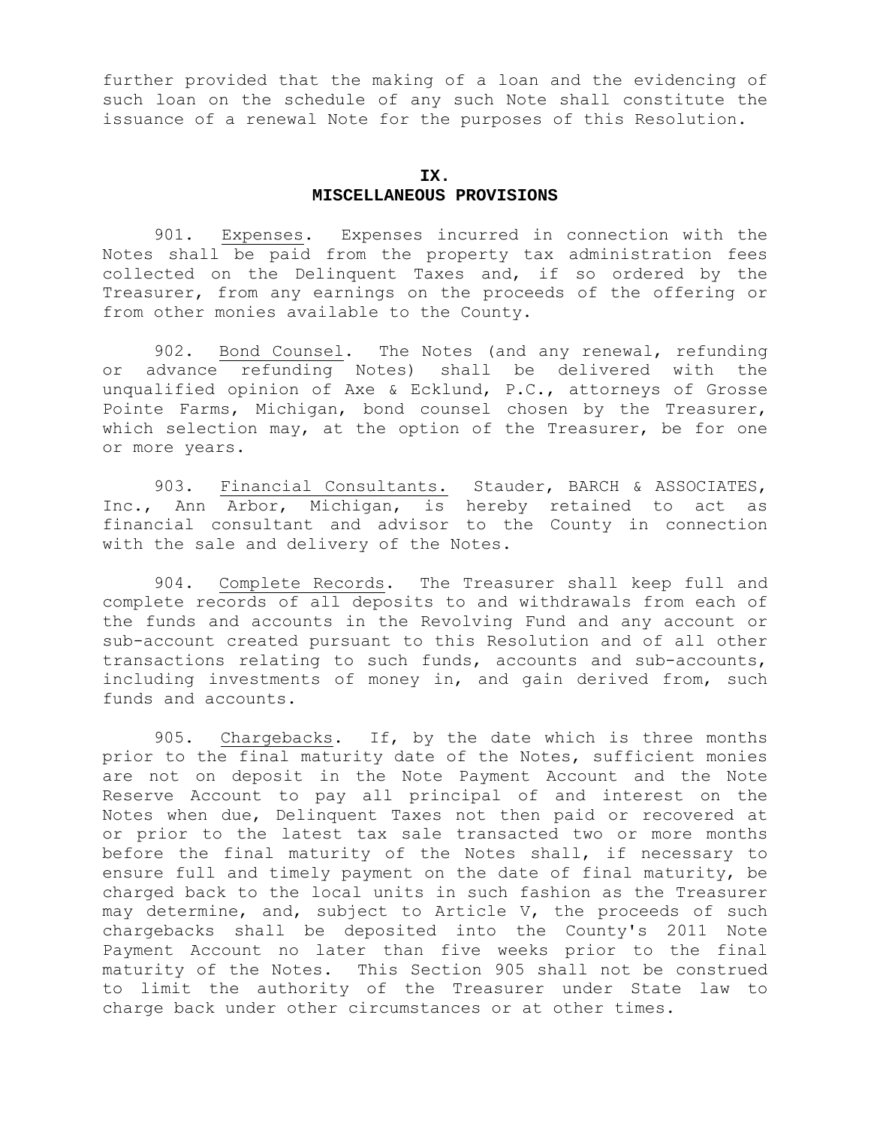further provided that the making of a loan and the evidencing of such loan on the schedule of any such Note shall constitute the issuance of a renewal Note for the purposes of this Resolution.

## **IX. MISCELLANEOUS PROVISIONS**

 901. Expenses. Expenses incurred in connection with the Notes shall be paid from the property tax administration fees collected on the Delinquent Taxes and, if so ordered by the Treasurer, from any earnings on the proceeds of the offering or from other monies available to the County.

 902. Bond Counsel. The Notes (and any renewal, refunding or advance refunding Notes) shall be delivered with the unqualified opinion of Axe & Ecklund, P.C., attorneys of Grosse Pointe Farms, Michigan, bond counsel chosen by the Treasurer, which selection may, at the option of the Treasurer, be for one or more years.

903. Financial Consultants. Stauder, BARCH & ASSOCIATES, Inc., Ann Arbor, Michigan, is hereby retained to act as financial consultant and advisor to the County in connection with the sale and delivery of the Notes.

 904. Complete Records. The Treasurer shall keep full and complete records of all deposits to and withdrawals from each of the funds and accounts in the Revolving Fund and any account or sub-account created pursuant to this Resolution and of all other transactions relating to such funds, accounts and sub-accounts, including investments of money in, and gain derived from, such funds and accounts.

 905. Chargebacks. If, by the date which is three months prior to the final maturity date of the Notes, sufficient monies are not on deposit in the Note Payment Account and the Note Reserve Account to pay all principal of and interest on the Notes when due, Delinquent Taxes not then paid or recovered at or prior to the latest tax sale transacted two or more months before the final maturity of the Notes shall, if necessary to ensure full and timely payment on the date of final maturity, be charged back to the local units in such fashion as the Treasurer may determine, and, subject to Article V, the proceeds of such chargebacks shall be deposited into the County's 2011 Note Payment Account no later than five weeks prior to the final maturity of the Notes. This Section 905 shall not be construed to limit the authority of the Treasurer under State law to charge back under other circumstances or at other times.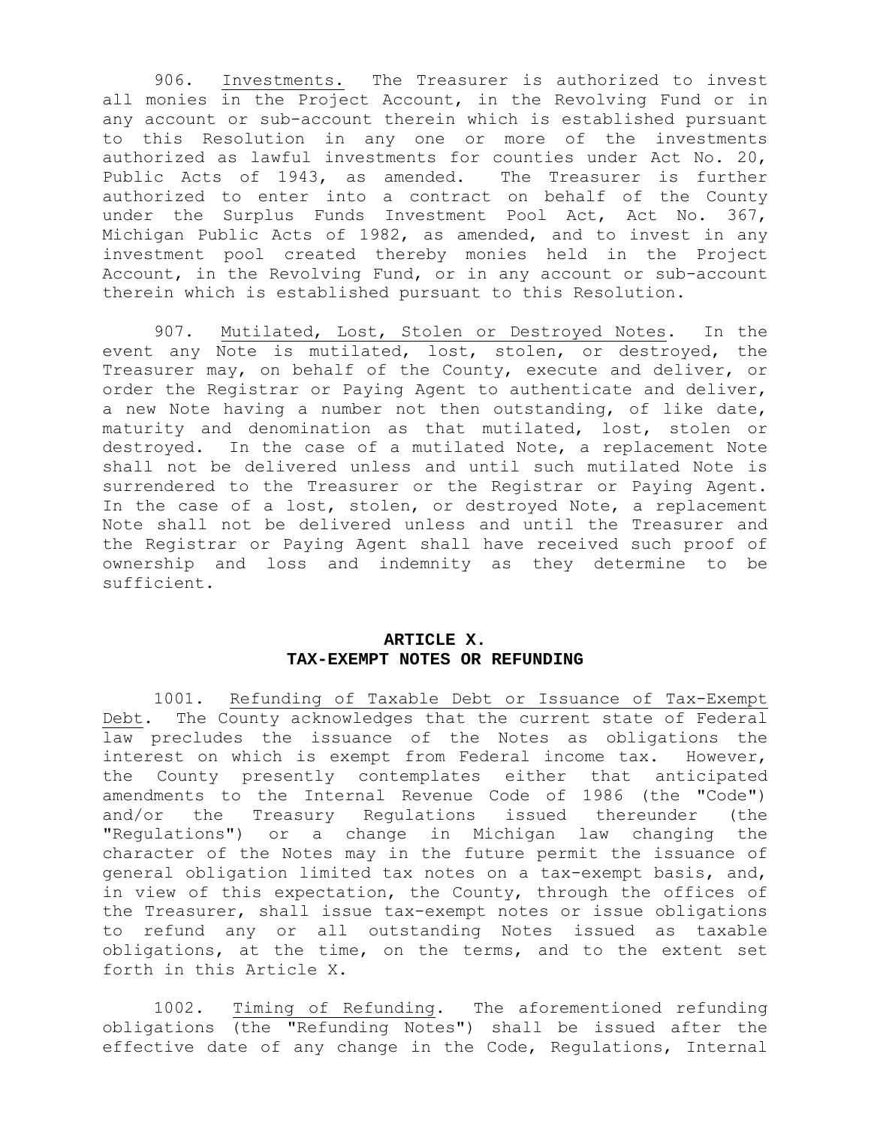906. Investments. The Treasurer is authorized to invest all monies in the Project Account, in the Revolving Fund or in any account or sub-account therein which is established pursuant to this Resolution in any one or more of the investments authorized as lawful investments for counties under Act No. 20, Public Acts of 1943, as amended. The Treasurer is further authorized to enter into a contract on behalf of the County under the Surplus Funds Investment Pool Act, Act No. 367, Michigan Public Acts of 1982, as amended, and to invest in any investment pool created thereby monies held in the Project Account, in the Revolving Fund, or in any account or sub-account therein which is established pursuant to this Resolution.

 907. Mutilated, Lost, Stolen or Destroyed Notes. In the event any Note is mutilated, lost, stolen, or destroyed, the Treasurer may, on behalf of the County, execute and deliver, or order the Registrar or Paying Agent to authenticate and deliver, a new Note having a number not then outstanding, of like date, maturity and denomination as that mutilated, lost, stolen or destroyed. In the case of a mutilated Note, a replacement Note shall not be delivered unless and until such mutilated Note is surrendered to the Treasurer or the Registrar or Paying Agent. In the case of a lost, stolen, or destroyed Note, a replacement Note shall not be delivered unless and until the Treasurer and the Registrar or Paying Agent shall have received such proof of ownership and loss and indemnity as they determine to be sufficient.

### **ARTICLE X. TAX-EXEMPT NOTES OR REFUNDING**

 1001. Refunding of Taxable Debt or Issuance of Tax-Exempt Debt. The County acknowledges that the current state of Federal law precludes the issuance of the Notes as obligations the interest on which is exempt from Federal income tax. However, the County presently contemplates either that anticipated amendments to the Internal Revenue Code of 1986 (the "Code") and/or the Treasury Regulations issued thereunder (the "Regulations") or a change in Michigan law changing the character of the Notes may in the future permit the issuance of general obligation limited tax notes on a tax-exempt basis, and, in view of this expectation, the County, through the offices of the Treasurer, shall issue tax-exempt notes or issue obligations to refund any or all outstanding Notes issued as taxable obligations, at the time, on the terms, and to the extent set forth in this Article X.

 1002. Timing of Refunding. The aforementioned refunding obligations (the "Refunding Notes") shall be issued after the effective date of any change in the Code, Regulations, Internal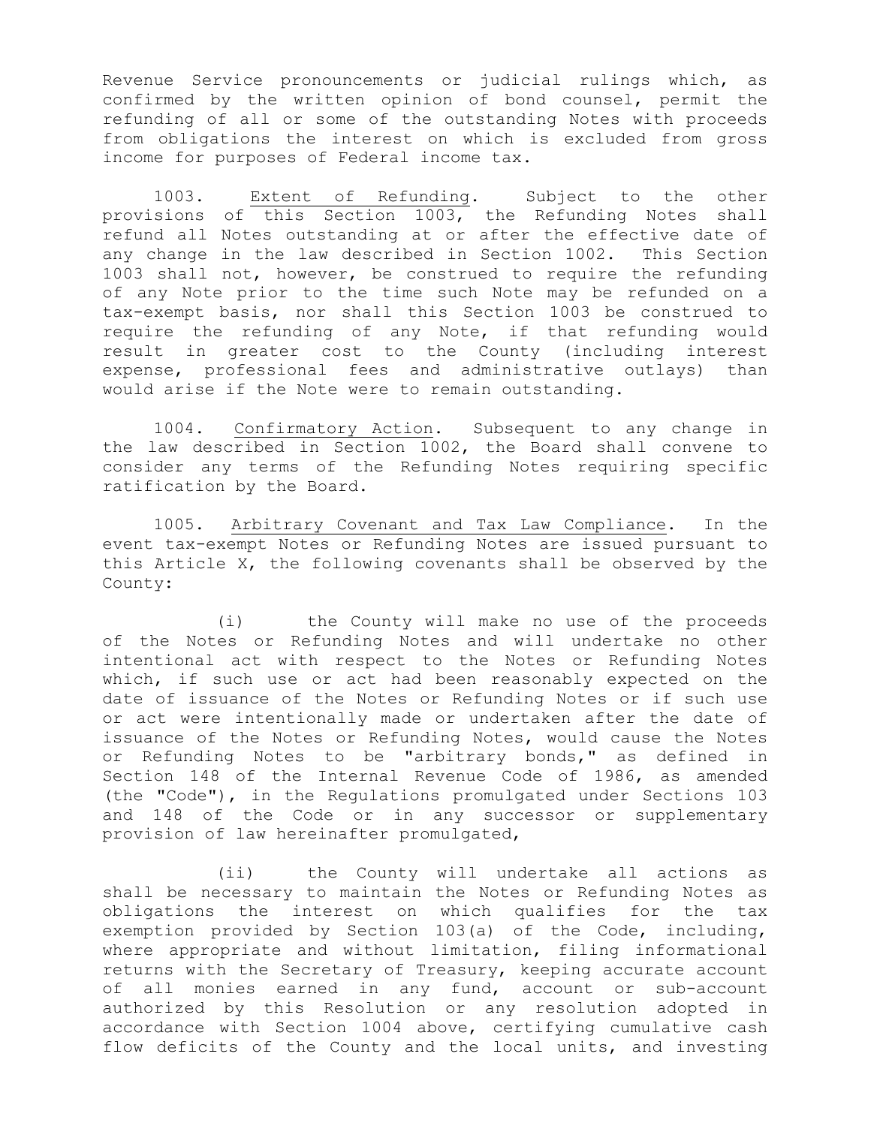Revenue Service pronouncements or judicial rulings which, as confirmed by the written opinion of bond counsel, permit the refunding of all or some of the outstanding Notes with proceeds from obligations the interest on which is excluded from gross income for purposes of Federal income tax.

 1003. Extent of Refunding. Subject to the other provisions of this Section 1003, the Refunding Notes shall refund all Notes outstanding at or after the effective date of any change in the law described in Section 1002. This Section 1003 shall not, however, be construed to require the refunding of any Note prior to the time such Note may be refunded on a tax-exempt basis, nor shall this Section 1003 be construed to require the refunding of any Note, if that refunding would result in greater cost to the County (including interest expense, professional fees and administrative outlays) than would arise if the Note were to remain outstanding.

 1004. Confirmatory Action. Subsequent to any change in the law described in Section 1002, the Board shall convene to consider any terms of the Refunding Notes requiring specific ratification by the Board.

 1005. Arbitrary Covenant and Tax Law Compliance. In the event tax-exempt Notes or Refunding Notes are issued pursuant to this Article X, the following covenants shall be observed by the County:

 (i) the County will make no use of the proceeds of the Notes or Refunding Notes and will undertake no other intentional act with respect to the Notes or Refunding Notes which, if such use or act had been reasonably expected on the date of issuance of the Notes or Refunding Notes or if such use or act were intentionally made or undertaken after the date of issuance of the Notes or Refunding Notes, would cause the Notes or Refunding Notes to be "arbitrary bonds," as defined in Section 148 of the Internal Revenue Code of 1986, as amended (the "Code"), in the Regulations promulgated under Sections 103 and 148 of the Code or in any successor or supplementary provision of law hereinafter promulgated,

 (ii) the County will undertake all actions as shall be necessary to maintain the Notes or Refunding Notes as obligations the interest on which qualifies for the tax exemption provided by Section 103(a) of the Code, including, where appropriate and without limitation, filing informational returns with the Secretary of Treasury, keeping accurate account of all monies earned in any fund, account or sub-account authorized by this Resolution or any resolution adopted in accordance with Section 1004 above, certifying cumulative cash flow deficits of the County and the local units, and investing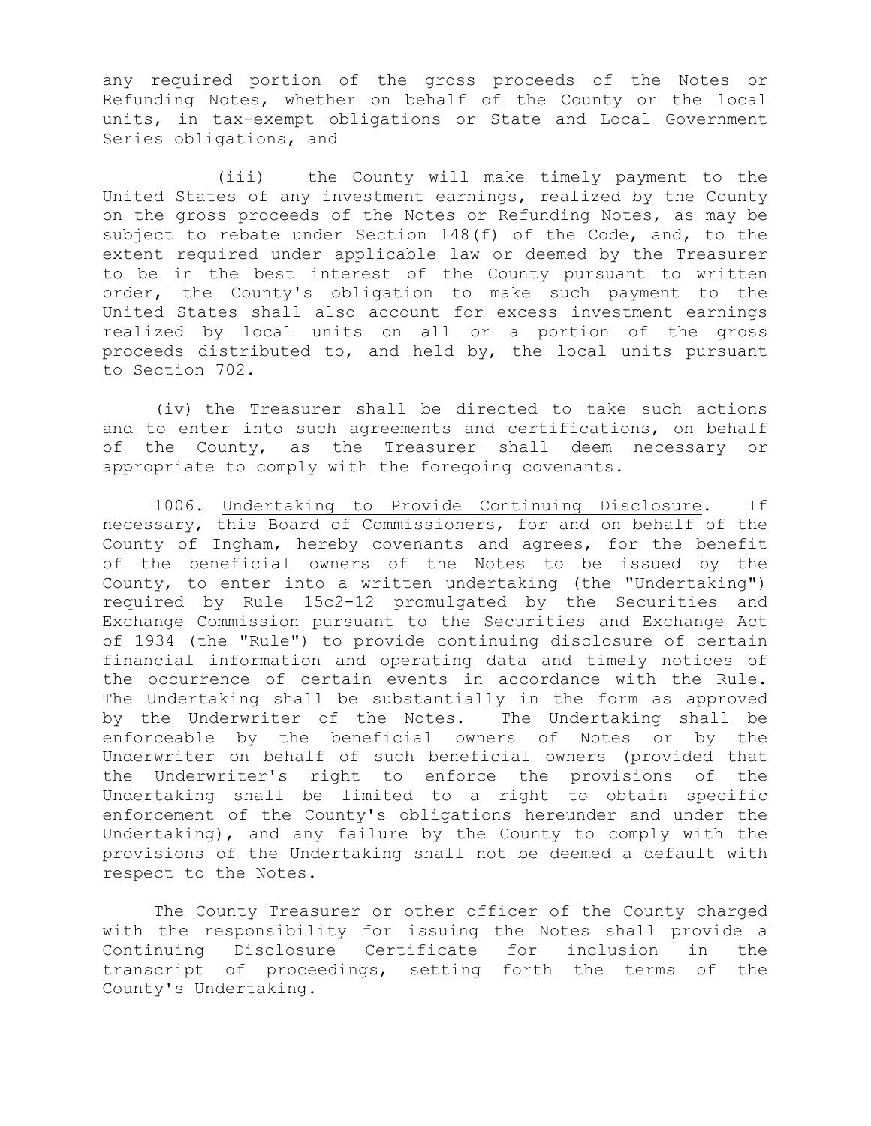any required portion of the gross proceeds of the Notes or Refunding Notes, whether on behalf of the County or the local units, in tax-exempt obligations or State and Local Government Series obligations, and

 (iii) the County will make timely payment to the United States of any investment earnings, realized by the County on the gross proceeds of the Notes or Refunding Notes, as may be subject to rebate under Section 148(f) of the Code, and, to the extent required under applicable law or deemed by the Treasurer to be in the best interest of the County pursuant to written order, the County's obligation to make such payment to the United States shall also account for excess investment earnings realized by local units on all or a portion of the gross proceeds distributed to, and held by, the local units pursuant to Section 702.

(iv) the Treasurer shall be directed to take such actions and to enter into such agreements and certifications, on behalf of the County, as the Treasurer shall deem necessary or appropriate to comply with the foregoing covenants.

1006. Undertaking to Provide Continuing Disclosure. If necessary, this Board of Commissioners, for and on behalf of the County of Ingham, hereby covenants and agrees, for the benefit of the beneficial owners of the Notes to be issued by the County, to enter into a written undertaking (the "Undertaking") required by Rule 15c2-12 promulgated by the Securities and Exchange Commission pursuant to the Securities and Exchange Act of 1934 (the "Rule") to provide continuing disclosure of certain financial information and operating data and timely notices of the occurrence of certain events in accordance with the Rule. The Undertaking shall be substantially in the form as approved by the Underwriter of the Notes. The Undertaking shall be enforceable by the beneficial owners of Notes or by the Underwriter on behalf of such beneficial owners (provided that the Underwriter's right to enforce the provisions of the Undertaking shall be limited to a right to obtain specific enforcement of the County's obligations hereunder and under the Undertaking), and any failure by the County to comply with the provisions of the Undertaking shall not be deemed a default with respect to the Notes.

 The County Treasurer or other officer of the County charged with the responsibility for issuing the Notes shall provide a Continuing Disclosure Certificate for inclusion in the transcript of proceedings, setting forth the terms of the County's Undertaking.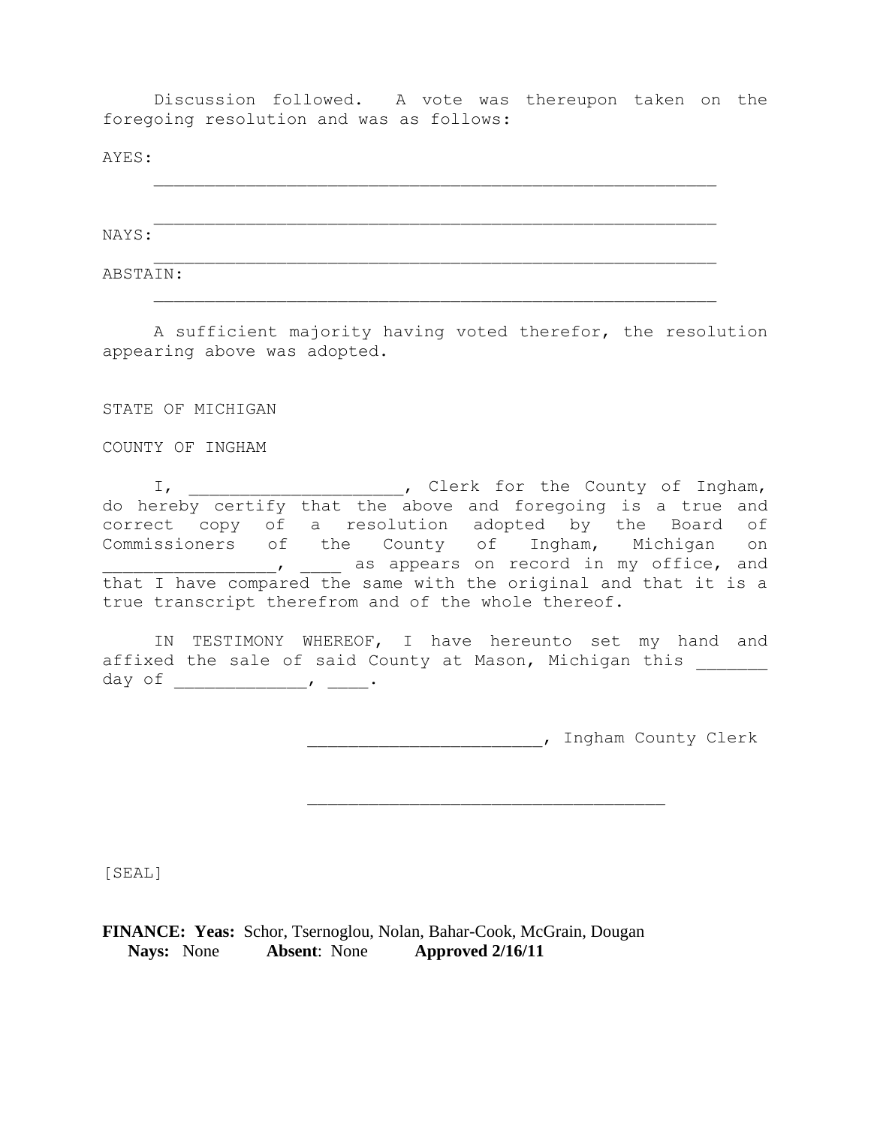Discussion followed. A vote was thereupon taken on the foregoing resolution and was as follows:

 $\mathcal{L}_\text{max}$  , and the contract of the contract of the contract of the contract of the contract of the contract of the contract of the contract of the contract of the contract of the contract of the contract of the contr

 $\mathcal{L}_\text{max}$  , and the contract of the contract of the contract of the contract of the contract of the contract of the contract of the contract of the contract of the contract of the contract of the contract of the contr

 $\mathcal{L}_\text{max}$  , and the contract of the contract of the contract of the contract of the contract of the contract of the contract of the contract of the contract of the contract of the contract of the contract of the contr

 $\mathcal{L}_\text{max}$  , and the contract of the contract of the contract of the contract of the contract of the contract of the contract of the contract of the contract of the contract of the contract of the contract of the contr

AYES:

NAYS:

ABSTAIN:

 A sufficient majority having voted therefor, the resolution appearing above was adopted.

STATE OF MICHIGAN

COUNTY OF INGHAM

 I, \_\_\_\_\_\_\_\_\_\_\_\_\_\_\_\_\_\_\_\_\_, Clerk for the County of Ingham, do hereby certify that the above and foregoing is a true and correct copy of a resolution adopted by the Board of Commissioners of the County of Ingham, Michigan on \_\_\_, \_\_\_\_\_\_ as appears on record in my office, and that I have compared the same with the original and that it is a true transcript therefrom and of the whole thereof.

IN TESTIMONY WHEREOF, I have hereunto set my hand and affixed the sale of said County at Mason, Michigan this day of \_\_\_\_\_\_\_\_\_\_\_\_\_, \_\_\_\_.

\_\_\_\_\_\_\_\_\_\_\_\_\_\_\_\_\_\_\_\_\_\_\_, Ingham County Clerk

\_\_\_\_\_\_\_\_\_\_\_\_\_\_\_\_\_\_\_\_\_\_\_\_\_\_\_\_\_\_\_\_\_\_\_

[SEAL]

**FINANCE: Yeas:** Schor, Tsernoglou, Nolan, Bahar-Cook, McGrain, Dougan  **Nays:** None **Absent**: None **Approved 2/16/11**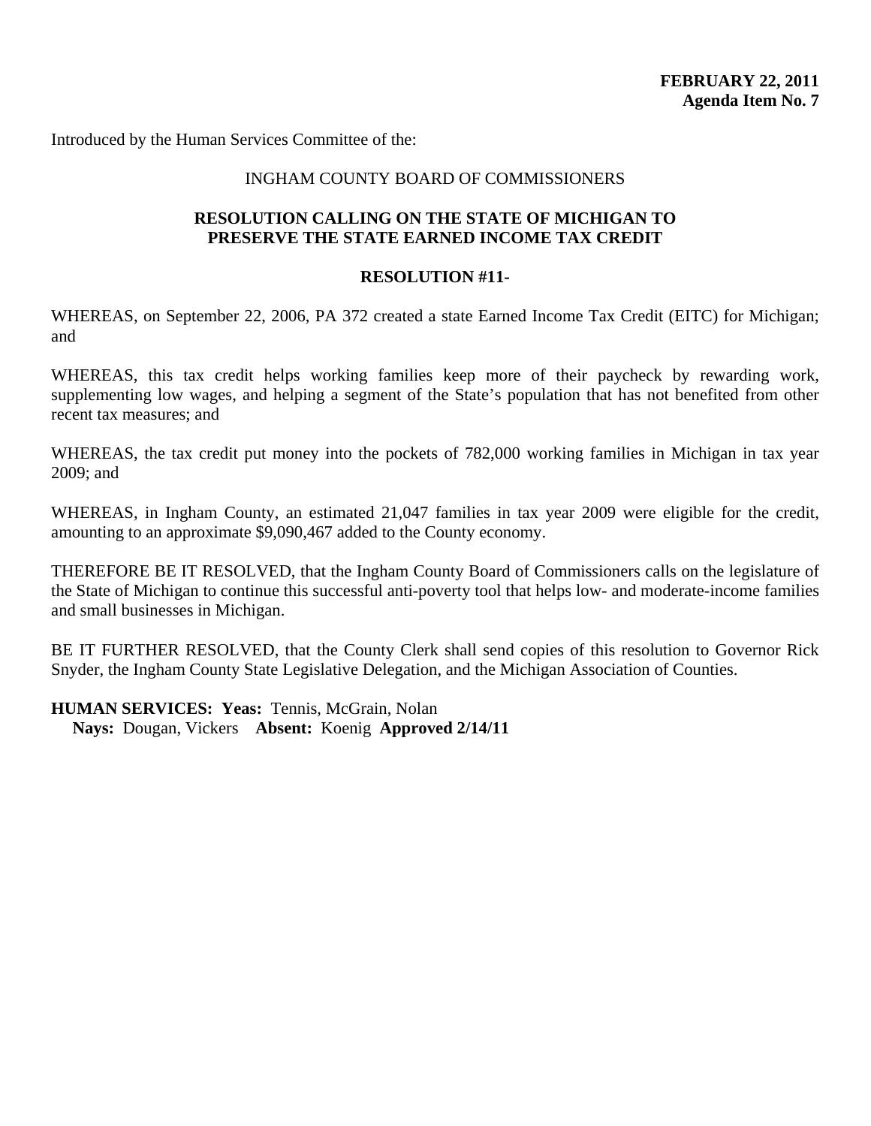Introduced by the Human Services Committee of the:

## INGHAM COUNTY BOARD OF COMMISSIONERS

## **RESOLUTION CALLING ON THE STATE OF MICHIGAN TO PRESERVE THE STATE EARNED INCOME TAX CREDIT**

## **RESOLUTION #11-**

WHEREAS, on September 22, 2006, PA 372 created a state Earned Income Tax Credit (EITC) for Michigan; and

WHEREAS, this tax credit helps working families keep more of their paycheck by rewarding work, supplementing low wages, and helping a segment of the State's population that has not benefited from other recent tax measures; and

WHEREAS, the tax credit put money into the pockets of 782,000 working families in Michigan in tax year 2009; and

WHEREAS, in Ingham County, an estimated 21,047 families in tax year 2009 were eligible for the credit, amounting to an approximate \$9,090,467 added to the County economy.

THEREFORE BE IT RESOLVED, that the Ingham County Board of Commissioners calls on the legislature of the State of Michigan to continue this successful anti-poverty tool that helps low- and moderate-income families and small businesses in Michigan.

BE IT FURTHER RESOLVED, that the County Clerk shall send copies of this resolution to Governor Rick Snyder, the Ingham County State Legislative Delegation, and the Michigan Association of Counties.

**HUMAN SERVICES: Yeas: Tennis, McGrain, Nolan** 

**Nays:** Dougan, Vickers **Absent:** Koenig **Approved 2/14/11**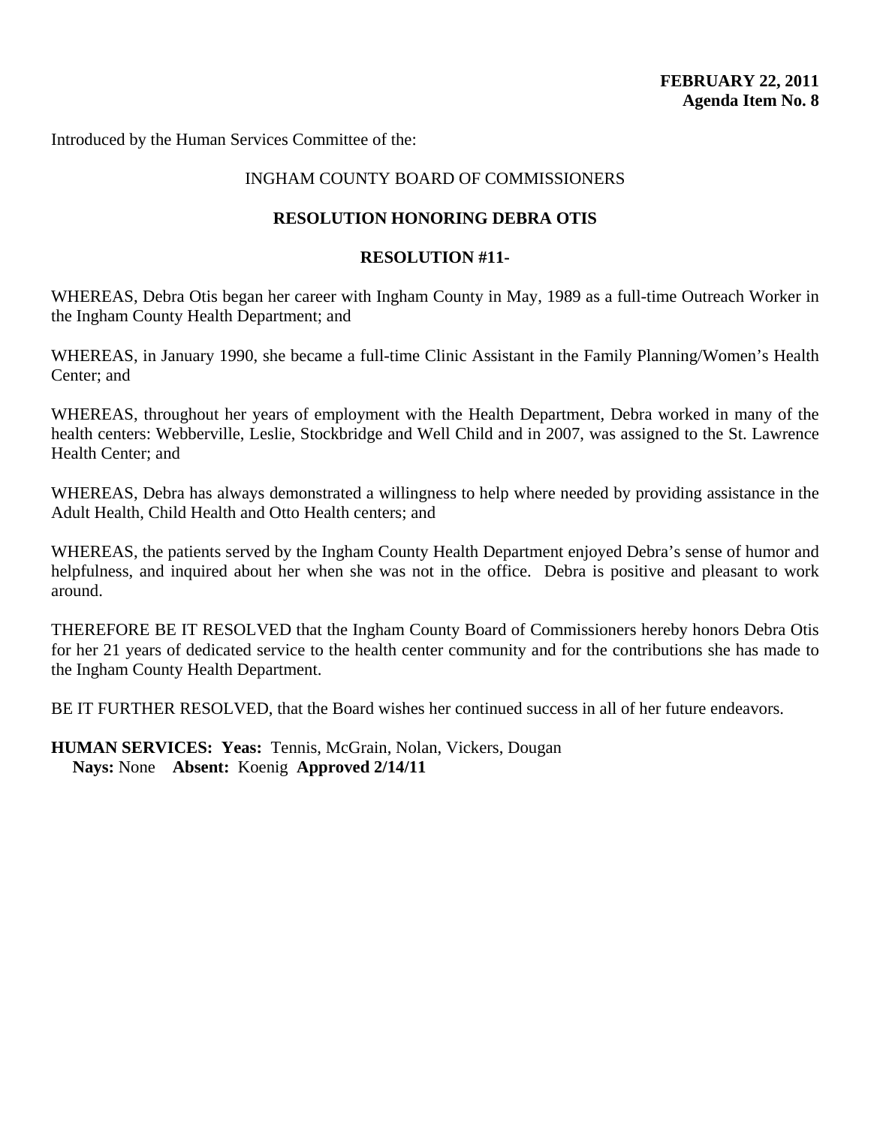Introduced by the Human Services Committee of the:

## INGHAM COUNTY BOARD OF COMMISSIONERS

## **RESOLUTION HONORING DEBRA OTIS**

### **RESOLUTION #11-**

WHEREAS, Debra Otis began her career with Ingham County in May, 1989 as a full-time Outreach Worker in the Ingham County Health Department; and

WHEREAS, in January 1990, she became a full-time Clinic Assistant in the Family Planning/Women's Health Center; and

WHEREAS, throughout her years of employment with the Health Department, Debra worked in many of the health centers: Webberville, Leslie, Stockbridge and Well Child and in 2007, was assigned to the St. Lawrence Health Center; and

WHEREAS, Debra has always demonstrated a willingness to help where needed by providing assistance in the Adult Health, Child Health and Otto Health centers; and

WHEREAS, the patients served by the Ingham County Health Department enjoyed Debra's sense of humor and helpfulness, and inquired about her when she was not in the office. Debra is positive and pleasant to work around.

THEREFORE BE IT RESOLVED that the Ingham County Board of Commissioners hereby honors Debra Otis for her 21 years of dedicated service to the health center community and for the contributions she has made to the Ingham County Health Department.

BE IT FURTHER RESOLVED, that the Board wishes her continued success in all of her future endeavors.

**HUMAN SERVICES: Yeas:** Tennis, McGrain, Nolan, Vickers, Dougan **Nays:** None **Absent:** Koenig **Approved 2/14/11**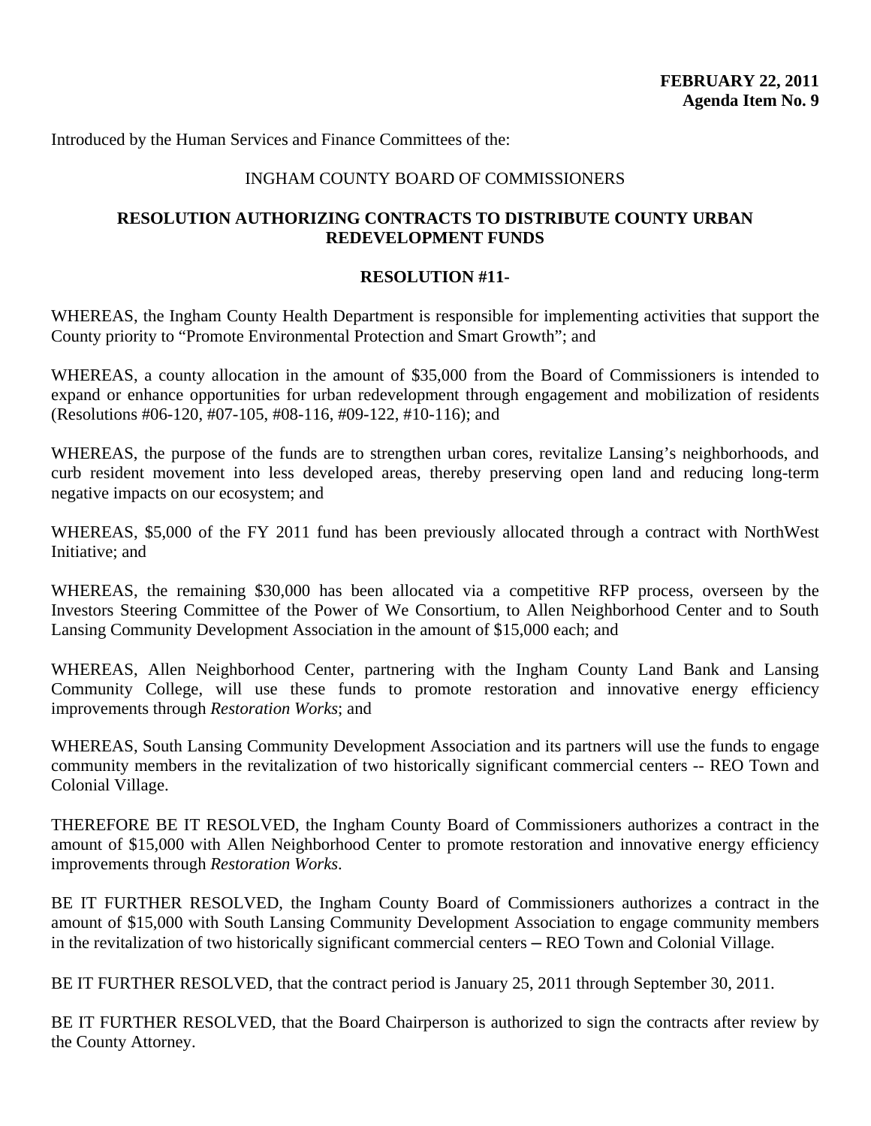Introduced by the Human Services and Finance Committees of the:

## INGHAM COUNTY BOARD OF COMMISSIONERS

## **RESOLUTION AUTHORIZING CONTRACTS TO DISTRIBUTE COUNTY URBAN REDEVELOPMENT FUNDS**

# **RESOLUTION #11-**

WHEREAS, the Ingham County Health Department is responsible for implementing activities that support the County priority to "Promote Environmental Protection and Smart Growth"; and

WHEREAS, a county allocation in the amount of \$35,000 from the Board of Commissioners is intended to expand or enhance opportunities for urban redevelopment through engagement and mobilization of residents (Resolutions #06-120, #07-105, #08-116, #09-122, #10-116); and

WHEREAS, the purpose of the funds are to strengthen urban cores, revitalize Lansing's neighborhoods, and curb resident movement into less developed areas, thereby preserving open land and reducing long-term negative impacts on our ecosystem; and

WHEREAS, \$5,000 of the FY 2011 fund has been previously allocated through a contract with NorthWest Initiative; and

WHEREAS, the remaining \$30,000 has been allocated via a competitive RFP process, overseen by the Investors Steering Committee of the Power of We Consortium, to Allen Neighborhood Center and to South Lansing Community Development Association in the amount of \$15,000 each; and

WHEREAS, Allen Neighborhood Center, partnering with the Ingham County Land Bank and Lansing Community College, will use these funds to promote restoration and innovative energy efficiency improvements through *Restoration Works*; and

WHEREAS, South Lansing Community Development Association and its partners will use the funds to engage community members in the revitalization of two historically significant commercial centers -- REO Town and Colonial Village.

THEREFORE BE IT RESOLVED, the Ingham County Board of Commissioners authorizes a contract in the amount of \$15,000 with Allen Neighborhood Center to promote restoration and innovative energy efficiency improvements through *Restoration Works*.

BE IT FURTHER RESOLVED, the Ingham County Board of Commissioners authorizes a contract in the amount of \$15,000 with South Lansing Community Development Association to engage community members in the revitalization of two historically significant commercial centers — REO Town and Colonial Village.

BE IT FURTHER RESOLVED, that the contract period is January 25, 2011 through September 30, 2011.

BE IT FURTHER RESOLVED, that the Board Chairperson is authorized to sign the contracts after review by the County Attorney.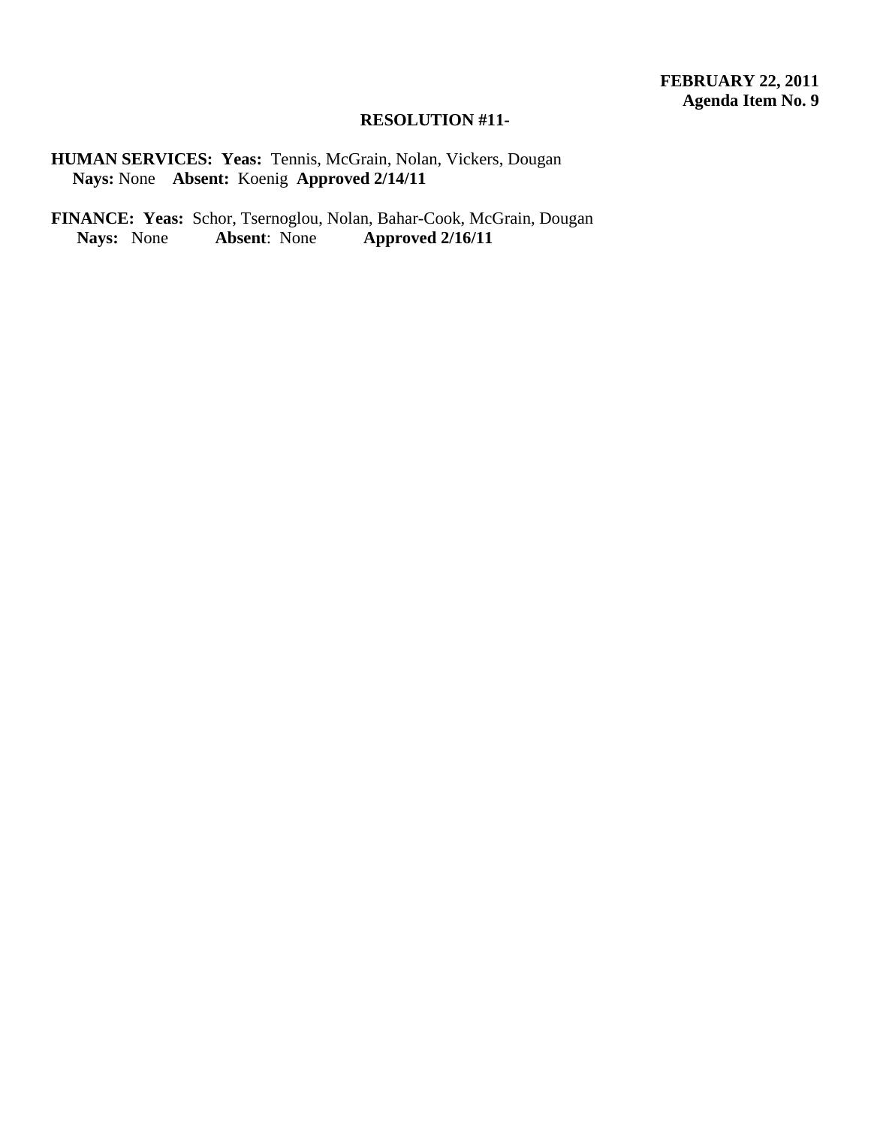# **RESOLUTION #11-**

**HUMAN SERVICES: Yeas:** Tennis, McGrain, Nolan, Vickers, Dougan **Nays:** None **Absent:** Koenig **Approved 2/14/11** 

FINANCE: Yeas: Schor, Tsernoglou, Nolan, Bahar-Cook, McGrain, Dougan Nays: None Absent: None Approved 2/16/11  **Nays:** None **Absent**: None **Approved 2/16/11**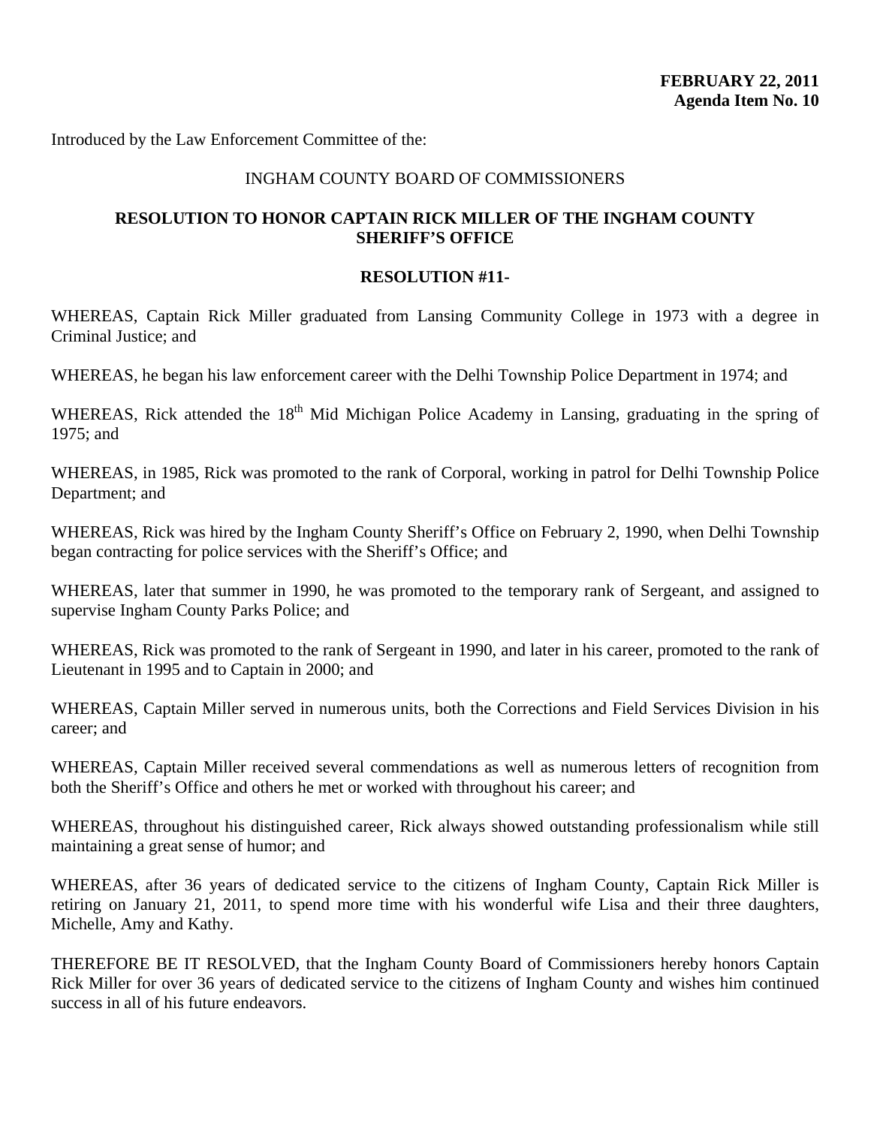Introduced by the Law Enforcement Committee of the:

## INGHAM COUNTY BOARD OF COMMISSIONERS

# **RESOLUTION TO HONOR CAPTAIN RICK MILLER OF THE INGHAM COUNTY SHERIFF'S OFFICE**

## **RESOLUTION #11-**

WHEREAS, Captain Rick Miller graduated from Lansing Community College in 1973 with a degree in Criminal Justice; and

WHEREAS, he began his law enforcement career with the Delhi Township Police Department in 1974; and

WHEREAS, Rick attended the 18<sup>th</sup> Mid Michigan Police Academy in Lansing, graduating in the spring of 1975; and

WHEREAS, in 1985, Rick was promoted to the rank of Corporal, working in patrol for Delhi Township Police Department; and

WHEREAS, Rick was hired by the Ingham County Sheriff's Office on February 2, 1990, when Delhi Township began contracting for police services with the Sheriff's Office; and

WHEREAS, later that summer in 1990, he was promoted to the temporary rank of Sergeant, and assigned to supervise Ingham County Parks Police; and

WHEREAS, Rick was promoted to the rank of Sergeant in 1990, and later in his career, promoted to the rank of Lieutenant in 1995 and to Captain in 2000; and

WHEREAS, Captain Miller served in numerous units, both the Corrections and Field Services Division in his career; and

WHEREAS, Captain Miller received several commendations as well as numerous letters of recognition from both the Sheriff's Office and others he met or worked with throughout his career; and

WHEREAS, throughout his distinguished career, Rick always showed outstanding professionalism while still maintaining a great sense of humor; and

WHEREAS, after 36 years of dedicated service to the citizens of Ingham County, Captain Rick Miller is retiring on January 21, 2011, to spend more time with his wonderful wife Lisa and their three daughters, Michelle, Amy and Kathy.

THEREFORE BE IT RESOLVED, that the Ingham County Board of Commissioners hereby honors Captain Rick Miller for over 36 years of dedicated service to the citizens of Ingham County and wishes him continued success in all of his future endeavors.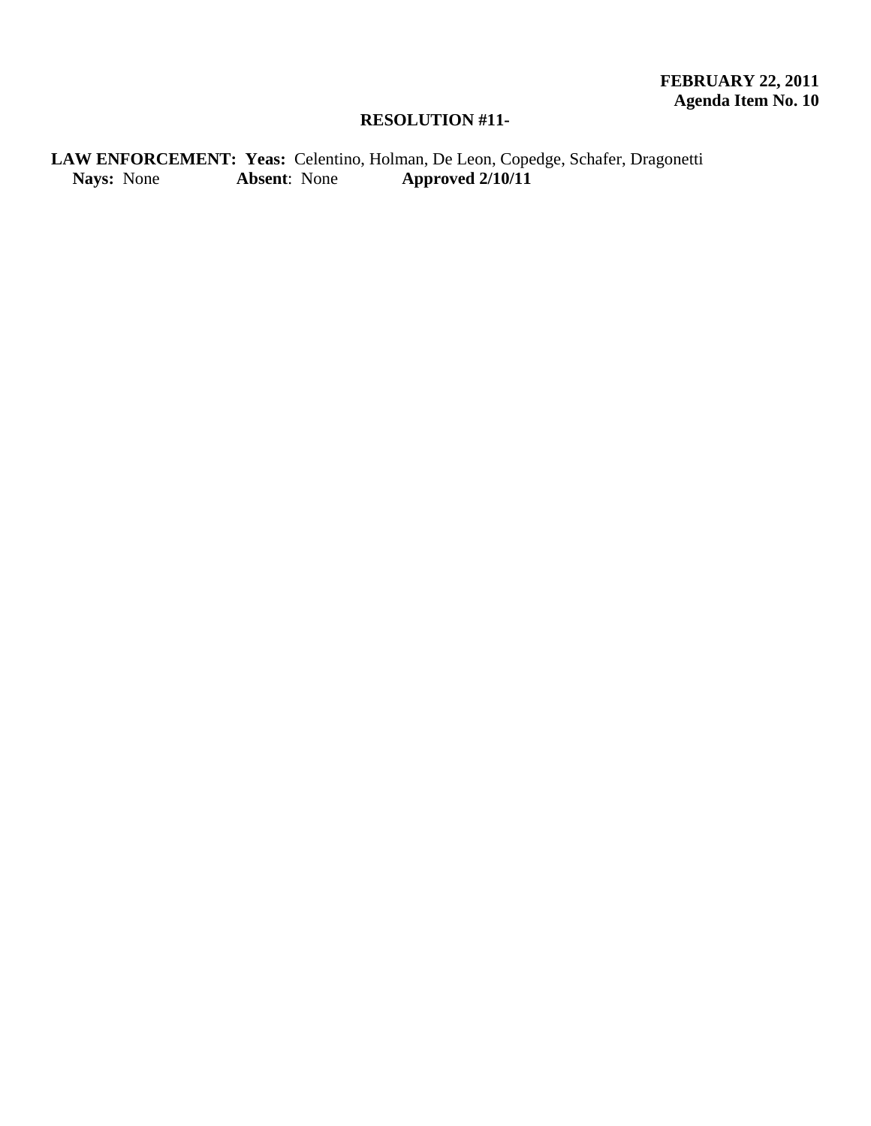# **RESOLUTION #11-**

LAW ENFORCEMENT: Yeas: Celentino, Holman, De Leon, Copedge, Schafer, Dragonetti<br>Nays: None **Absent**: None **Approved 2/10/11 Nays:** None **Absent**: None **Approved 2/10/11**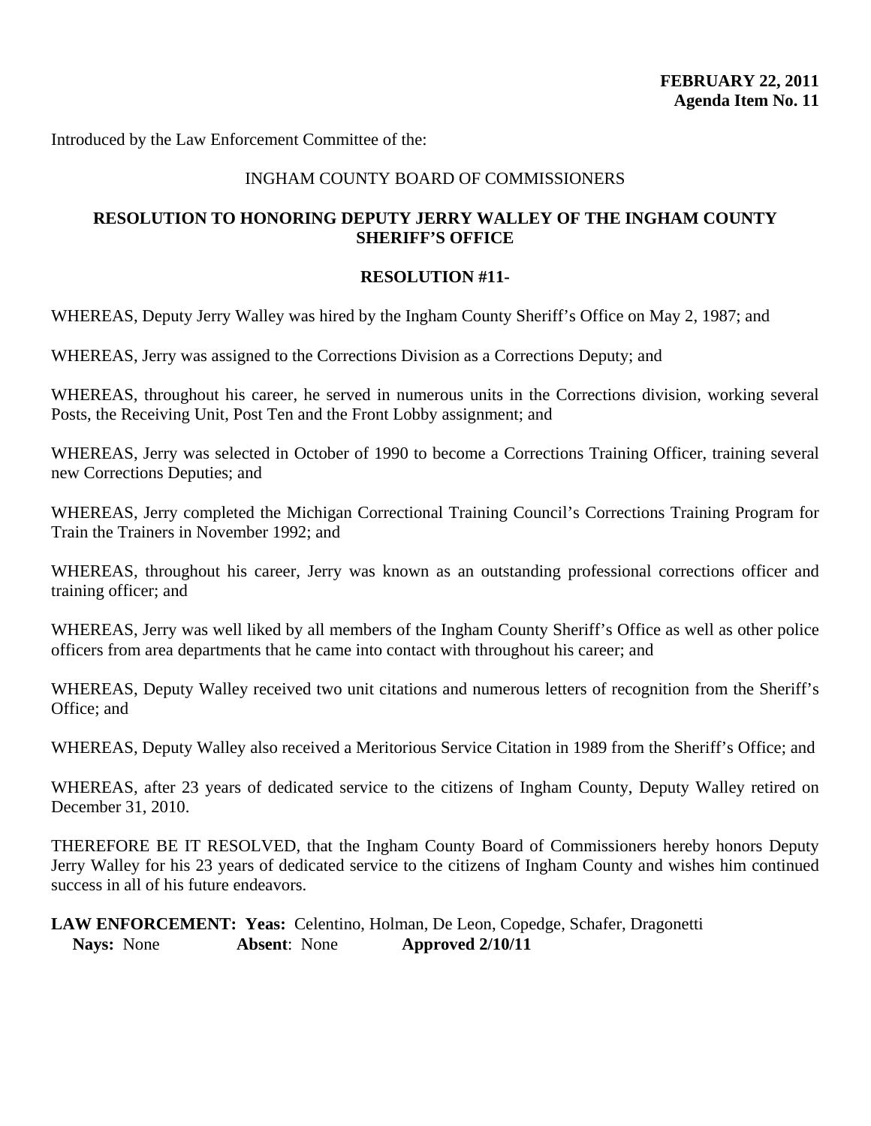Introduced by the Law Enforcement Committee of the:

## INGHAM COUNTY BOARD OF COMMISSIONERS

# **RESOLUTION TO HONORING DEPUTY JERRY WALLEY OF THE INGHAM COUNTY SHERIFF'S OFFICE**

## **RESOLUTION #11-**

WHEREAS, Deputy Jerry Walley was hired by the Ingham County Sheriff's Office on May 2, 1987; and

WHEREAS, Jerry was assigned to the Corrections Division as a Corrections Deputy; and

WHEREAS, throughout his career, he served in numerous units in the Corrections division, working several Posts, the Receiving Unit, Post Ten and the Front Lobby assignment; and

WHEREAS, Jerry was selected in October of 1990 to become a Corrections Training Officer, training several new Corrections Deputies; and

WHEREAS, Jerry completed the Michigan Correctional Training Council's Corrections Training Program for Train the Trainers in November 1992; and

WHEREAS, throughout his career, Jerry was known as an outstanding professional corrections officer and training officer; and

WHEREAS, Jerry was well liked by all members of the Ingham County Sheriff's Office as well as other police officers from area departments that he came into contact with throughout his career; and

WHEREAS, Deputy Walley received two unit citations and numerous letters of recognition from the Sheriff's Office; and

WHEREAS, Deputy Walley also received a Meritorious Service Citation in 1989 from the Sheriff's Office; and

WHEREAS, after 23 years of dedicated service to the citizens of Ingham County, Deputy Walley retired on December 31, 2010.

THEREFORE BE IT RESOLVED, that the Ingham County Board of Commissioners hereby honors Deputy Jerry Walley for his 23 years of dedicated service to the citizens of Ingham County and wishes him continued success in all of his future endeavors.

**LAW ENFORCEMENT: Yeas:** Celentino, Holman, De Leon, Copedge, Schafer, Dragonetti **Nays:** None **Absent**: None **Approved 2/10/11**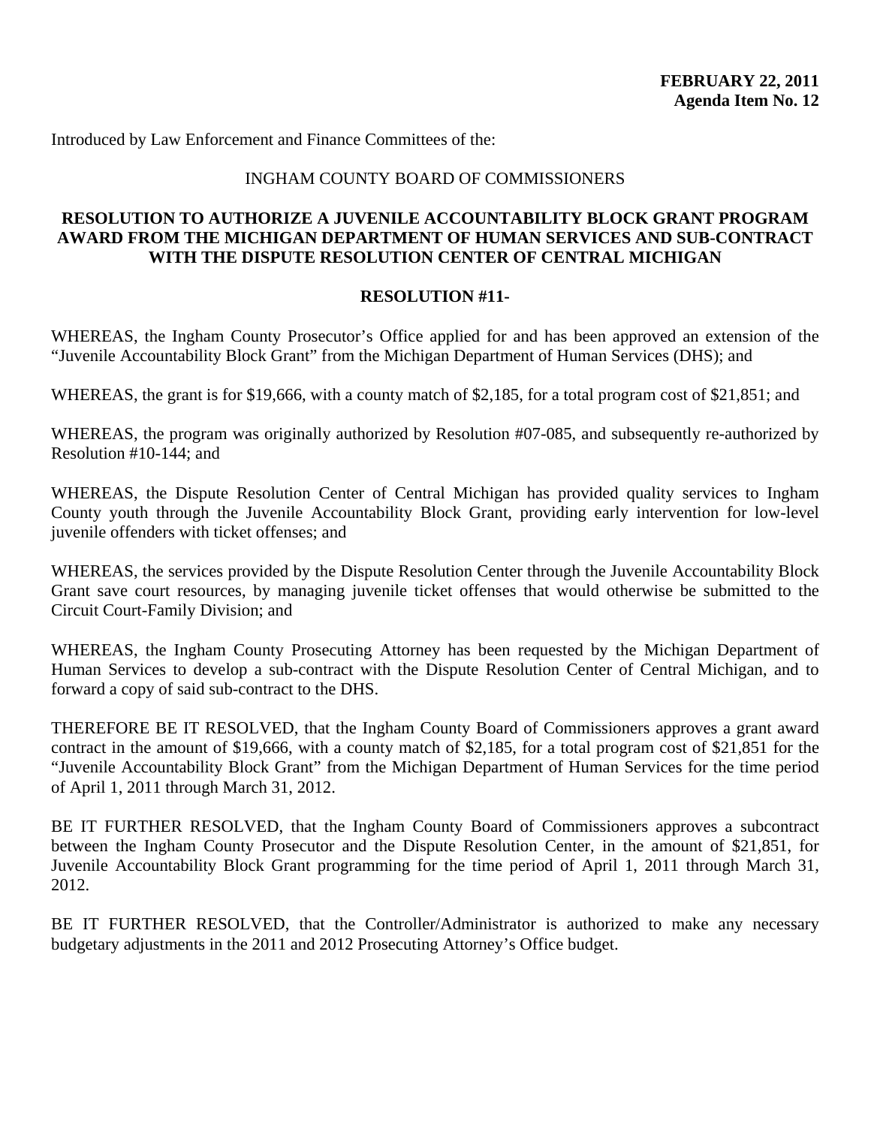Introduced by Law Enforcement and Finance Committees of the:

## INGHAM COUNTY BOARD OF COMMISSIONERS

# **RESOLUTION TO AUTHORIZE A JUVENILE ACCOUNTABILITY BLOCK GRANT PROGRAM AWARD FROM THE MICHIGAN DEPARTMENT OF HUMAN SERVICES AND SUB-CONTRACT WITH THE DISPUTE RESOLUTION CENTER OF CENTRAL MICHIGAN**

## **RESOLUTION #11-**

WHEREAS, the Ingham County Prosecutor's Office applied for and has been approved an extension of the "Juvenile Accountability Block Grant" from the Michigan Department of Human Services (DHS); and

WHEREAS, the grant is for \$19,666, with a county match of \$2,185, for a total program cost of \$21,851; and

WHEREAS, the program was originally authorized by Resolution #07-085, and subsequently re-authorized by Resolution #10-144; and

WHEREAS, the Dispute Resolution Center of Central Michigan has provided quality services to Ingham County youth through the Juvenile Accountability Block Grant, providing early intervention for low-level juvenile offenders with ticket offenses; and

WHEREAS, the services provided by the Dispute Resolution Center through the Juvenile Accountability Block Grant save court resources, by managing juvenile ticket offenses that would otherwise be submitted to the Circuit Court-Family Division; and

WHEREAS, the Ingham County Prosecuting Attorney has been requested by the Michigan Department of Human Services to develop a sub-contract with the Dispute Resolution Center of Central Michigan, and to forward a copy of said sub-contract to the DHS.

THEREFORE BE IT RESOLVED, that the Ingham County Board of Commissioners approves a grant award contract in the amount of \$19,666, with a county match of \$2,185, for a total program cost of \$21,851 for the "Juvenile Accountability Block Grant" from the Michigan Department of Human Services for the time period of April 1, 2011 through March 31, 2012.

BE IT FURTHER RESOLVED, that the Ingham County Board of Commissioners approves a subcontract between the Ingham County Prosecutor and the Dispute Resolution Center, in the amount of \$21,851, for Juvenile Accountability Block Grant programming for the time period of April 1, 2011 through March 31, 2012.

BE IT FURTHER RESOLVED, that the Controller/Administrator is authorized to make any necessary budgetary adjustments in the 2011 and 2012 Prosecuting Attorney's Office budget.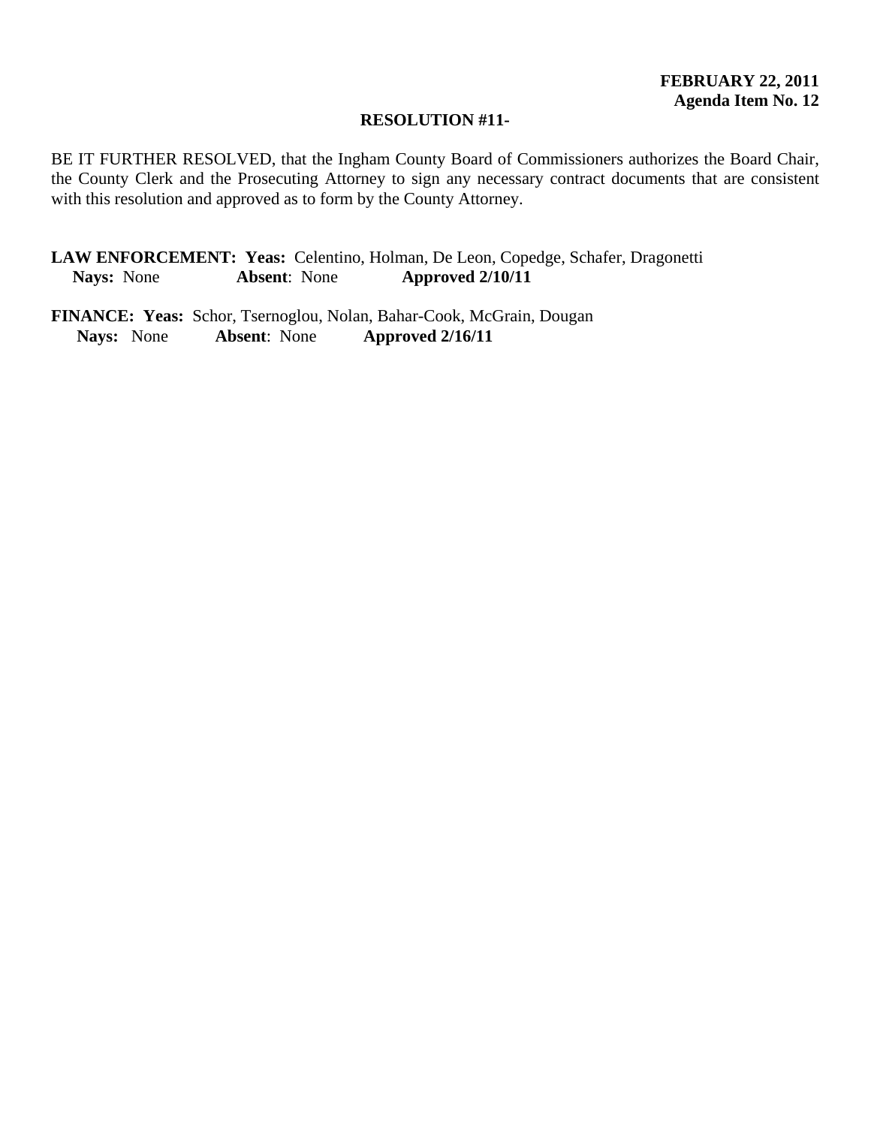## **RESOLUTION #11-**

BE IT FURTHER RESOLVED, that the Ingham County Board of Commissioners authorizes the Board Chair, the County Clerk and the Prosecuting Attorney to sign any necessary contract documents that are consistent with this resolution and approved as to form by the County Attorney.

**LAW ENFORCEMENT: Yeas:** Celentino, Holman, De Leon, Copedge, Schafer, Dragonetti **Nays:** None **Absent**: None **Approved 2/10/11** 

**FINANCE: Yeas:** Schor, Tsernoglou, Nolan, Bahar-Cook, McGrain, Dougan  **Nays:** None **Absent**: None **Approved 2/16/11**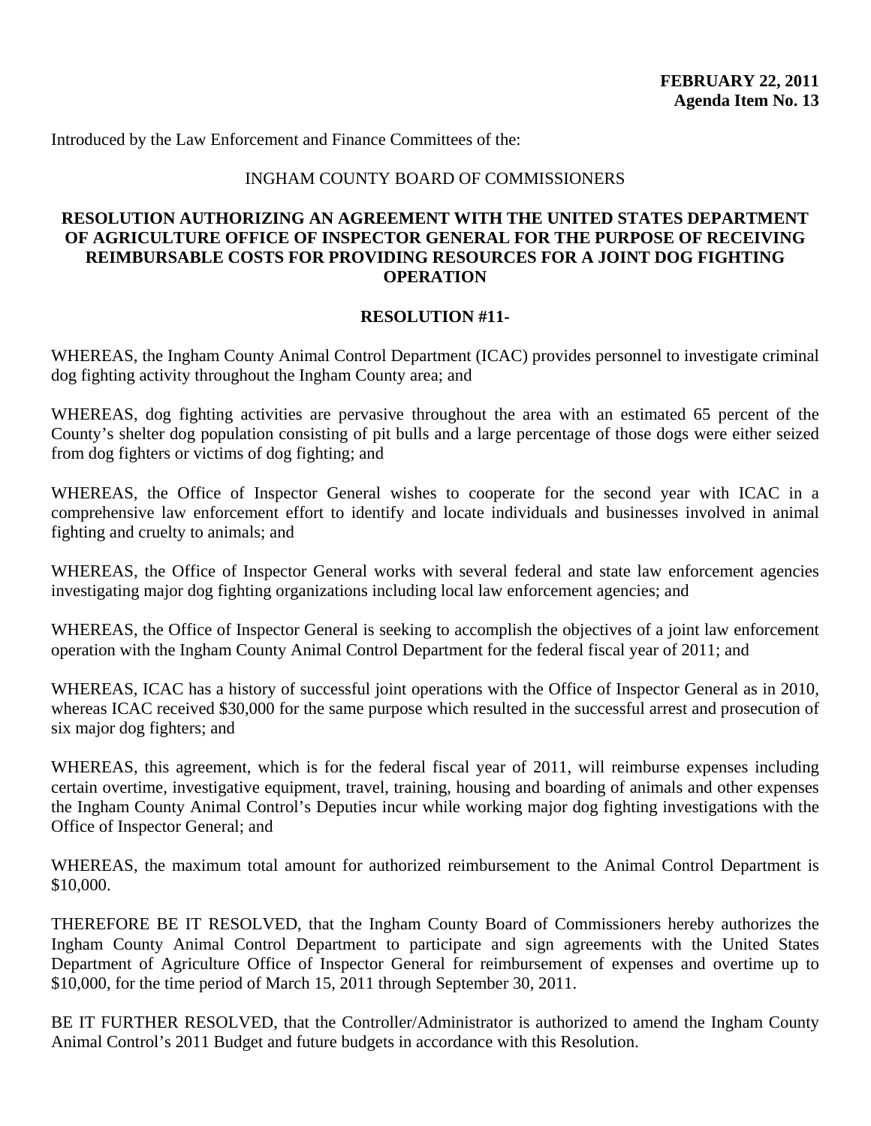Introduced by the Law Enforcement and Finance Committees of the:

## INGHAM COUNTY BOARD OF COMMISSIONERS

# **RESOLUTION AUTHORIZING AN AGREEMENT WITH THE UNITED STATES DEPARTMENT OF AGRICULTURE OFFICE OF INSPECTOR GENERAL FOR THE PURPOSE OF RECEIVING REIMBURSABLE COSTS FOR PROVIDING RESOURCES FOR A JOINT DOG FIGHTING OPERATION**

## **RESOLUTION #11-**

WHEREAS, the Ingham County Animal Control Department (ICAC) provides personnel to investigate criminal dog fighting activity throughout the Ingham County area; and

WHEREAS, dog fighting activities are pervasive throughout the area with an estimated 65 percent of the County's shelter dog population consisting of pit bulls and a large percentage of those dogs were either seized from dog fighters or victims of dog fighting; and

WHEREAS, the Office of Inspector General wishes to cooperate for the second year with ICAC in a comprehensive law enforcement effort to identify and locate individuals and businesses involved in animal fighting and cruelty to animals; and

WHEREAS, the Office of Inspector General works with several federal and state law enforcement agencies investigating major dog fighting organizations including local law enforcement agencies; and

WHEREAS, the Office of Inspector General is seeking to accomplish the objectives of a joint law enforcement operation with the Ingham County Animal Control Department for the federal fiscal year of 2011; and

WHEREAS, ICAC has a history of successful joint operations with the Office of Inspector General as in 2010, whereas ICAC received \$30,000 for the same purpose which resulted in the successful arrest and prosecution of six major dog fighters; and

WHEREAS, this agreement, which is for the federal fiscal year of 2011, will reimburse expenses including certain overtime, investigative equipment, travel, training, housing and boarding of animals and other expenses the Ingham County Animal Control's Deputies incur while working major dog fighting investigations with the Office of Inspector General; and

WHEREAS, the maximum total amount for authorized reimbursement to the Animal Control Department is \$10,000.

THEREFORE BE IT RESOLVED, that the Ingham County Board of Commissioners hereby authorizes the Ingham County Animal Control Department to participate and sign agreements with the United States Department of Agriculture Office of Inspector General for reimbursement of expenses and overtime up to \$10,000, for the time period of March 15, 2011 through September 30, 2011.

BE IT FURTHER RESOLVED, that the Controller/Administrator is authorized to amend the Ingham County Animal Control's 2011 Budget and future budgets in accordance with this Resolution.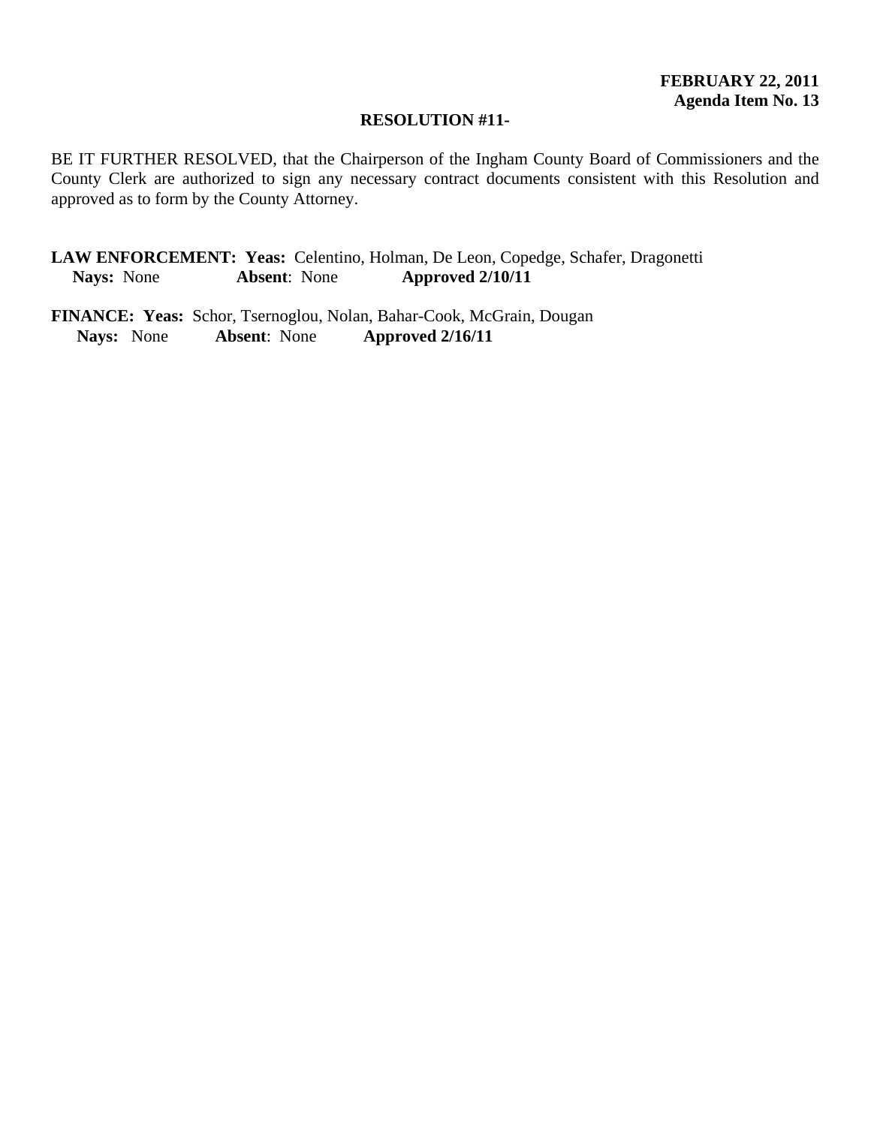## **RESOLUTION #11-**

BE IT FURTHER RESOLVED, that the Chairperson of the Ingham County Board of Commissioners and the County Clerk are authorized to sign any necessary contract documents consistent with this Resolution and approved as to form by the County Attorney.

**LAW ENFORCEMENT: Yeas:** Celentino, Holman, De Leon, Copedge, Schafer, Dragonetti **Nays:** None **Absent**: None **Approved 2/10/11** 

**FINANCE: Yeas:** Schor, Tsernoglou, Nolan, Bahar-Cook, McGrain, Dougan Navs: None Absent: None Approved 2/16/11  **Nays:** None **Absent**: None **Approved 2/16/11**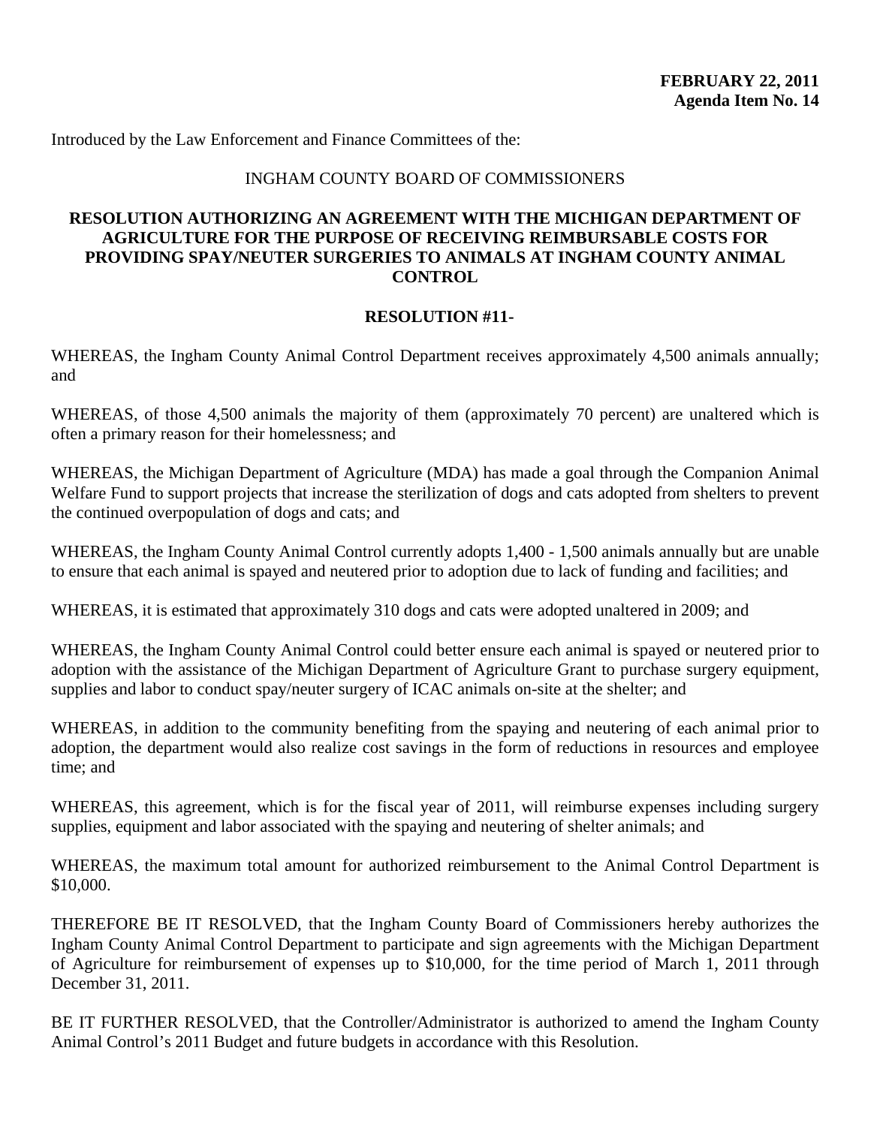Introduced by the Law Enforcement and Finance Committees of the:

## INGHAM COUNTY BOARD OF COMMISSIONERS

# **RESOLUTION AUTHORIZING AN AGREEMENT WITH THE MICHIGAN DEPARTMENT OF AGRICULTURE FOR THE PURPOSE OF RECEIVING REIMBURSABLE COSTS FOR PROVIDING SPAY/NEUTER SURGERIES TO ANIMALS AT INGHAM COUNTY ANIMAL CONTROL**

## **RESOLUTION #11-**

WHEREAS, the Ingham County Animal Control Department receives approximately 4,500 animals annually; and

WHEREAS, of those 4,500 animals the majority of them (approximately 70 percent) are unaltered which is often a primary reason for their homelessness; and

WHEREAS, the Michigan Department of Agriculture (MDA) has made a goal through the Companion Animal Welfare Fund to support projects that increase the sterilization of dogs and cats adopted from shelters to prevent the continued overpopulation of dogs and cats; and

WHEREAS, the Ingham County Animal Control currently adopts 1,400 - 1,500 animals annually but are unable to ensure that each animal is spayed and neutered prior to adoption due to lack of funding and facilities; and

WHEREAS, it is estimated that approximately 310 dogs and cats were adopted unaltered in 2009; and

WHEREAS, the Ingham County Animal Control could better ensure each animal is spayed or neutered prior to adoption with the assistance of the Michigan Department of Agriculture Grant to purchase surgery equipment, supplies and labor to conduct spay/neuter surgery of ICAC animals on-site at the shelter; and

WHEREAS, in addition to the community benefiting from the spaying and neutering of each animal prior to adoption, the department would also realize cost savings in the form of reductions in resources and employee time; and

WHEREAS, this agreement, which is for the fiscal year of 2011, will reimburse expenses including surgery supplies, equipment and labor associated with the spaying and neutering of shelter animals; and

WHEREAS, the maximum total amount for authorized reimbursement to the Animal Control Department is \$10,000.

THEREFORE BE IT RESOLVED, that the Ingham County Board of Commissioners hereby authorizes the Ingham County Animal Control Department to participate and sign agreements with the Michigan Department of Agriculture for reimbursement of expenses up to \$10,000, for the time period of March 1, 2011 through December 31, 2011.

BE IT FURTHER RESOLVED, that the Controller/Administrator is authorized to amend the Ingham County Animal Control's 2011 Budget and future budgets in accordance with this Resolution.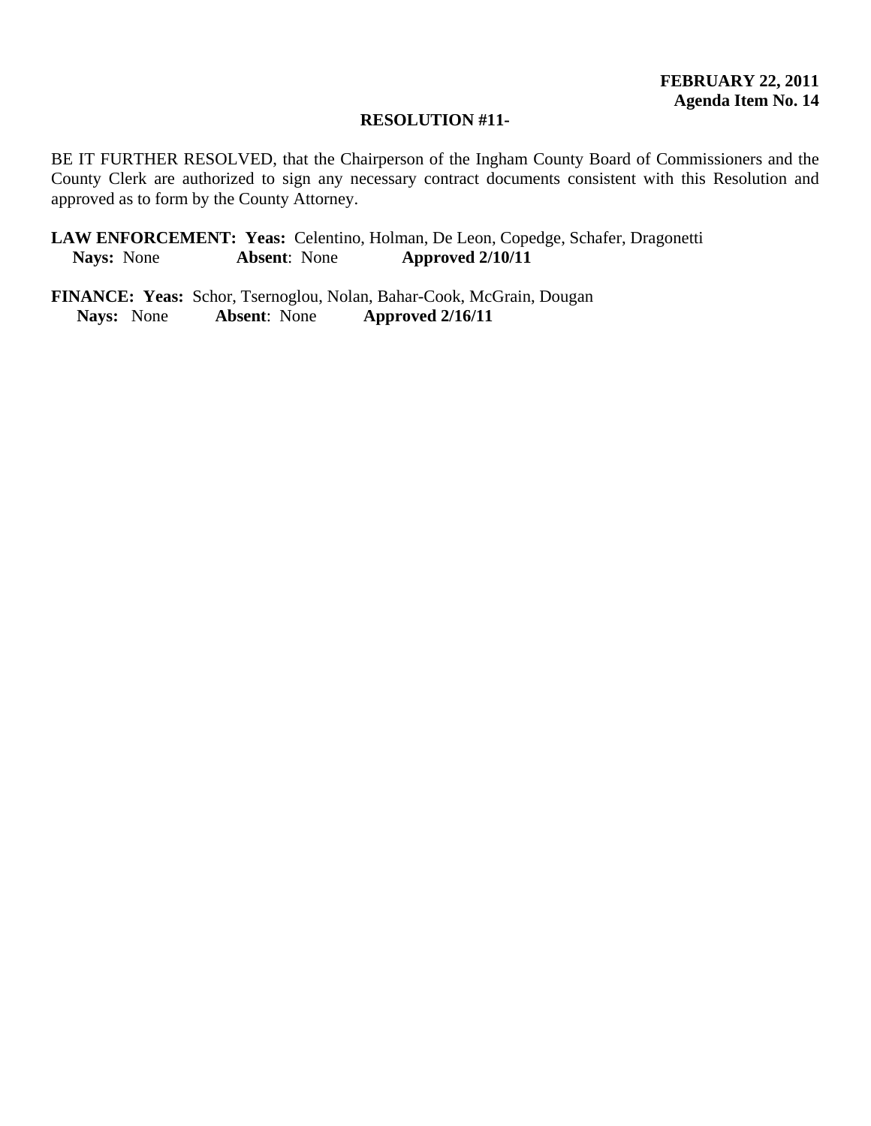## **RESOLUTION #11-**

BE IT FURTHER RESOLVED, that the Chairperson of the Ingham County Board of Commissioners and the County Clerk are authorized to sign any necessary contract documents consistent with this Resolution and approved as to form by the County Attorney.

**LAW ENFORCEMENT: Yeas:** Celentino, Holman, De Leon, Copedge, Schafer, Dragonetti **Nays:** None **Absent**: None **Approved 2/10/11** 

**FINANCE: Yeas:** Schor, Tsernoglou, Nolan, Bahar-Cook, McGrain, Dougan  **Nays:** None **Absent**: None **Approved 2/16/11**